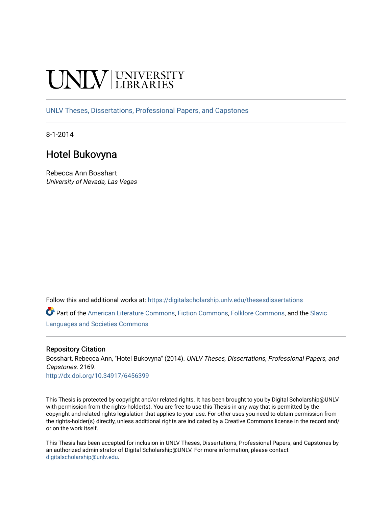# **INIVERSITY**

[UNLV Theses, Dissertations, Professional Papers, and Capstones](https://digitalscholarship.unlv.edu/thesesdissertations)

8-1-2014

# Hotel Bukovyna

Rebecca Ann Bosshart University of Nevada, Las Vegas

Follow this and additional works at: [https://digitalscholarship.unlv.edu/thesesdissertations](https://digitalscholarship.unlv.edu/thesesdissertations?utm_source=digitalscholarship.unlv.edu%2Fthesesdissertations%2F2169&utm_medium=PDF&utm_campaign=PDFCoverPages)

Part of the [American Literature Commons](http://network.bepress.com/hgg/discipline/441?utm_source=digitalscholarship.unlv.edu%2Fthesesdissertations%2F2169&utm_medium=PDF&utm_campaign=PDFCoverPages), [Fiction Commons](http://network.bepress.com/hgg/discipline/1151?utm_source=digitalscholarship.unlv.edu%2Fthesesdissertations%2F2169&utm_medium=PDF&utm_campaign=PDFCoverPages), [Folklore Commons,](http://network.bepress.com/hgg/discipline/321?utm_source=digitalscholarship.unlv.edu%2Fthesesdissertations%2F2169&utm_medium=PDF&utm_campaign=PDFCoverPages) and the [Slavic](http://network.bepress.com/hgg/discipline/486?utm_source=digitalscholarship.unlv.edu%2Fthesesdissertations%2F2169&utm_medium=PDF&utm_campaign=PDFCoverPages) [Languages and Societies Commons](http://network.bepress.com/hgg/discipline/486?utm_source=digitalscholarship.unlv.edu%2Fthesesdissertations%2F2169&utm_medium=PDF&utm_campaign=PDFCoverPages) 

#### Repository Citation

Bosshart, Rebecca Ann, "Hotel Bukovyna" (2014). UNLV Theses, Dissertations, Professional Papers, and Capstones. 2169.

<http://dx.doi.org/10.34917/6456399>

This Thesis is protected by copyright and/or related rights. It has been brought to you by Digital Scholarship@UNLV with permission from the rights-holder(s). You are free to use this Thesis in any way that is permitted by the copyright and related rights legislation that applies to your use. For other uses you need to obtain permission from the rights-holder(s) directly, unless additional rights are indicated by a Creative Commons license in the record and/ or on the work itself.

This Thesis has been accepted for inclusion in UNLV Theses, Dissertations, Professional Papers, and Capstones by an authorized administrator of Digital Scholarship@UNLV. For more information, please contact [digitalscholarship@unlv.edu](mailto:digitalscholarship@unlv.edu).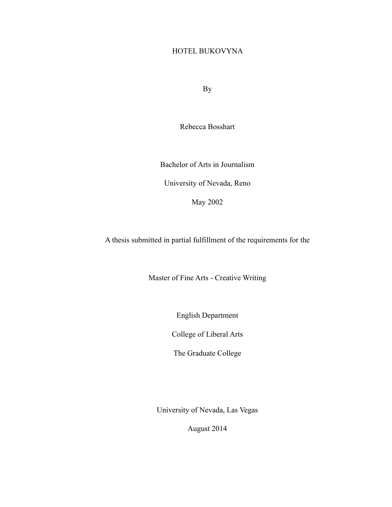## HOTEL BUKOVYNA

By

Rebecca Bosshart

Bachelor of Arts in Journalism

University of Nevada, Reno

May 2002

A thesis submitted in partial fulfillment of the requirements for the

Master of Fine Arts - Creative Writing

English Department

College of Liberal Arts

The Graduate College

University of Nevada, Las Vegas

August 2014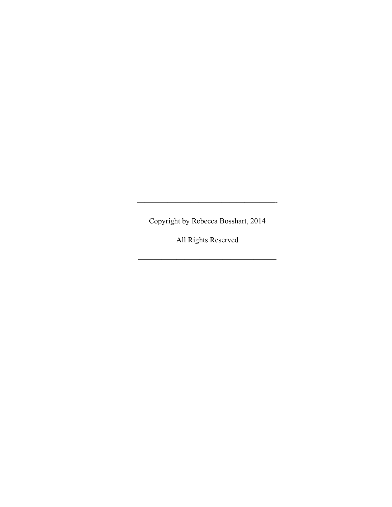Copyright by Rebecca Bosshart, 2014

——————————————————-

All Rights Reserved

——————————————————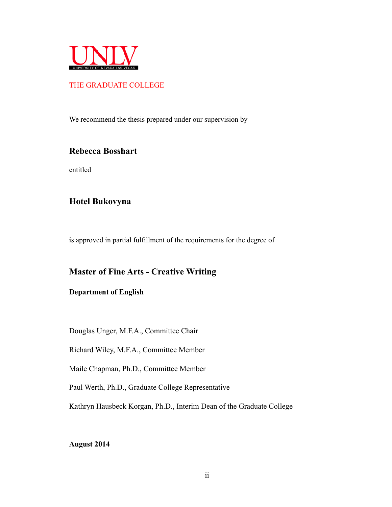

## THE GRADUATE COLLEGE

We recommend the thesis prepared under our supervision by

# **Rebecca Bosshart**

entitled

# **Hotel Bukovyna**

is approved in partial fulfillment of the requirements for the degree of

# **Master of Fine Arts - Creative Writing**

# **Department of English**

Douglas Unger, M.F.A., Committee Chair

Richard Wiley, M.F.A., Committee Member

Maile Chapman, Ph.D., Committee Member

Paul Werth, Ph.D., Graduate College Representative

Kathryn Hausbeck Korgan, Ph.D., Interim Dean of the Graduate College

## **August 2014**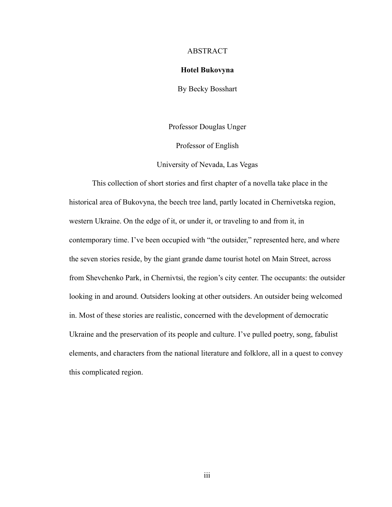#### ABSTRACT

#### **Hotel Bukovyna**

By Becky Bosshart

Professor Douglas Unger

Professor of English

University of Nevada, Las Vegas

 This collection of short stories and first chapter of a novella take place in the historical area of Bukovyna, the beech tree land, partly located in Chernivetska region, western Ukraine. On the edge of it, or under it, or traveling to and from it, in contemporary time. I've been occupied with "the outsider," represented here, and where the seven stories reside, by the giant grande dame tourist hotel on Main Street, across from Shevchenko Park, in Chernivtsi, the region's city center. The occupants: the outsider looking in and around. Outsiders looking at other outsiders. An outsider being welcomed in. Most of these stories are realistic, concerned with the development of democratic Ukraine and the preservation of its people and culture. I've pulled poetry, song, fabulist elements, and characters from the national literature and folklore, all in a quest to convey this complicated region.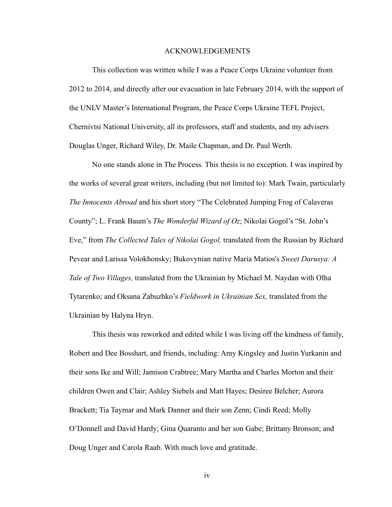#### ACKNOWLEDGEMENTS

 This collection was written while I was a Peace Corps Ukraine volunteer from 2012 to 2014, and directly after our evacuation in late February 2014, with the support of the UNLV Master's International Program, the Peace Corps Ukraine TEFL Project, Chernivtsi National University, all its professors, staff and students, and my advisers Douglas Unger, Richard Wiley, Dr. Maile Chapman, and Dr. Paul Werth.

 No one stands alone in The Process. This thesis is no exception. I was inspired by the works of several great writers, including (but not limited to): Mark Twain, particularly *The Innocents Abroad* and his short story "The Celebrated Jumping Frog of Calaveras County"; L. Frank Baum's *The Wonderful Wizard of Oz*; Nikolai Gogol's "St. John's Eve," from *The Collected Tales of Nikolai Gogol,* translated from the Russian by Richard Pevear and Larissa Volokhonsky; Bukovynian native Maria Matios's *Sweet Darusya: A Tale of Two Villages,* translated from the Ukrainian by Michael M. Naydan with Olha Tytarenko; and Oksana Zabuzhko's *Fieldwork in Ukrainian Sex,* translated from the Ukrainian by Halyna Hryn.

 This thesis was reworked and edited while I was living off the kindness of family, Robert and Dee Bosshart, and friends, including: Amy Kingsley and Justin Yurkanin and their sons Ike and Will; Jamison Crabtree; Mary Martha and Charles Morton and their children Owen and Clair; Ashley Siebels and Matt Hayes; Desiree Belcher; Aurora Brackett; Tia Taymar and Mark Danner and their son Zenn; Cindi Reed; Molly O'Donnell and David Hardy; Gina Quaranto and her son Gabe; Brittany Bronson; and Doug Unger and Carola Raab. With much love and gratitude.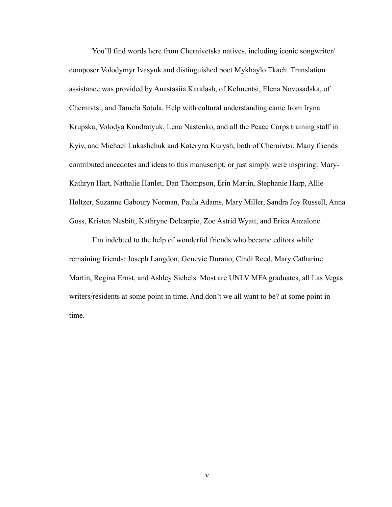You'll find words here from Chernivetska natives, including iconic songwriter/ composer Volodymyr Ivasyuk and distinguished poet Mykhaylo Tkach. Translation assistance was provided by Anastasiia Karalash, of Kelmentsi, Elena Novosadska, of Chernivtsi, and Tamela Sotula. Help with cultural understanding came from Iryna Krupska, Volodya Kondratyuk, Lena Nastenko, and all the Peace Corps training staff in Kyiv, and Michael Lukashchuk and Kateryna Kurysh, both of Chernivtsi. Many friends contributed anecdotes and ideas to this manuscript, or just simply were inspiring: Mary-Kathryn Hart, Nathalie Hanlet, Dan Thompson, Erin Martin, Stephanie Harp, Allie Holtzer, Suzanne Gaboury Norman, Paula Adams, Mary Miller, Sandra Joy Russell, Anna Goss, Kristen Nesbitt, Kathryne Delcarpio, Zoe Astrid Wyatt, and Erica Anzalone.

 I'm indebted to the help of wonderful friends who became editors while remaining friends: Joseph Langdon, Genevie Durano, Cindi Reed, Mary Catharine Martin, Regina Ernst, and Ashley Siebels. Most are UNLV MFA graduates, all Las Vegas writers/residents at some point in time. And don't we all want to be? at some point in time.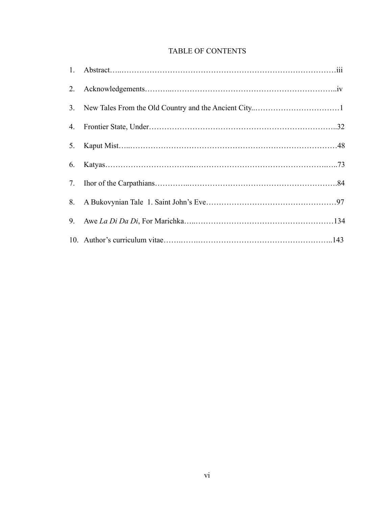# TABLE OF CONTENTS

| 2. |  |
|----|--|
|    |  |
|    |  |
| 5. |  |
| 6. |  |
| 7. |  |
| 8. |  |
| 9. |  |
|    |  |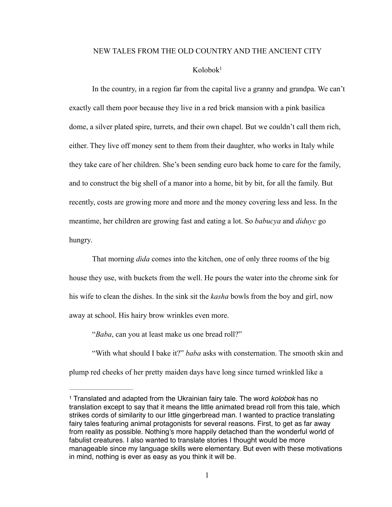#### NEW TALES FROM THE OLD COUNTRY AND THE ANCIENT CITY

#### $Kolobok<sup>1</sup>$

 In the country, in a region far from the capital live a granny and grandpa. We can't exactly call them poor because they live in a red brick mansion with a pink basilica dome, a silver plated spire, turrets, and their own chapel. But we couldn't call them rich, either. They live off money sent to them from their daughter, who works in Italy while they take care of her children. She's been sending euro back home to care for the family, and to construct the big shell of a manor into a home, bit by bit, for all the family. But recently, costs are growing more and more and the money covering less and less. In the meantime, her children are growing fast and eating a lot. So *babucya* and *diduyc* go hungry.

 That morning *dida* comes into the kitchen, one of only three rooms of the big house they use, with buckets from the well. He pours the water into the chrome sink for his wife to clean the dishes. In the sink sit the *kasha* bowls from the boy and girl, now away at school. His hairy brow wrinkles even more.

"*Baba*, can you at least make us one bread roll?"

 "With what should I bake it?" *baba* asks with consternation. The smooth skin and plump red cheeks of her pretty maiden days have long since turned wrinkled like a

Translated and adapted from the Ukrainian fairy tale. The word *kolobok* has no 1 translation except to say that it means the little animated bread roll from this tale, which strikes cords of similarity to our little gingerbread man. I wanted to practice translating fairy tales featuring animal protagonists for several reasons. First, to get as far away from reality as possible. Nothing's more happily detached than the wonderful world of fabulist creatures. I also wanted to translate stories I thought would be more manageable since my language skills were elementary. But even with these motivations in mind, nothing is ever as easy as you think it will be.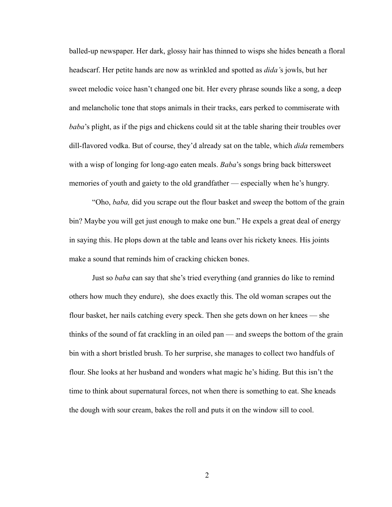balled-up newspaper. Her dark, glossy hair has thinned to wisps she hides beneath a floral headscarf. Her petite hands are now as wrinkled and spotted as *dida'*s jowls, but her sweet melodic voice hasn't changed one bit. Her every phrase sounds like a song, a deep and melancholic tone that stops animals in their tracks, ears perked to commiserate with *baba*'s plight, as if the pigs and chickens could sit at the table sharing their troubles over dill-flavored vodka. But of course, they'd already sat on the table, which *dida* remembers with a wisp of longing for long-ago eaten meals. *Baba*'s songs bring back bittersweet memories of youth and gaiety to the old grandfather — especially when he's hungry.

 "Oho, *baba,* did you scrape out the flour basket and sweep the bottom of the grain bin? Maybe you will get just enough to make one bun." He expels a great deal of energy in saying this. He plops down at the table and leans over his rickety knees. His joints make a sound that reminds him of cracking chicken bones.

 Just so *baba* can say that she's tried everything (and grannies do like to remind others how much they endure), she does exactly this. The old woman scrapes out the flour basket, her nails catching every speck. Then she gets down on her knees — she thinks of the sound of fat crackling in an oiled pan — and sweeps the bottom of the grain bin with a short bristled brush. To her surprise, she manages to collect two handfuls of flour. She looks at her husband and wonders what magic he's hiding. But this isn't the time to think about supernatural forces, not when there is something to eat. She kneads the dough with sour cream, bakes the roll and puts it on the window sill to cool.

2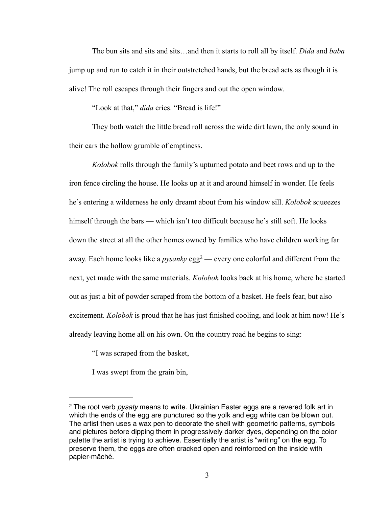The bun sits and sits and sits…and then it starts to roll all by itself. *Dida* and *baba*  jump up and run to catch it in their outstretched hands, but the bread acts as though it is alive! The roll escapes through their fingers and out the open window.

"Look at that," *dida* cries. "Bread is life!"

 They both watch the little bread roll across the wide dirt lawn, the only sound in their ears the hollow grumble of emptiness.

*Kolobok* rolls through the family's upturned potato and beet rows and up to the iron fence circling the house. He looks up at it and around himself in wonder. He feels he's entering a wilderness he only dreamt about from his window sill. *Kolobok* squeezes himself through the bars — which isn't too difficult because he's still soft. He looks down the street at all the other homes owned by families who have children working far away. Each home looks like a  $pysanky egg^2$  — every one colorful and different from the next, yet made with the same materials. *Kolobok* looks back at his home, where he started out as just a bit of powder scraped from the bottom of a basket. He feels fear, but also excitement. *Kolobok* is proud that he has just finished cooling, and look at him now! He's already leaving home all on his own. On the country road he begins to sing:

"I was scraped from the basket,

I was swept from the grain bin,

The root verb *pysaty* means to write. Ukrainian Easter eggs are a revered folk art in 2 which the ends of the egg are punctured so the yolk and egg white can be blown out. The artist then uses a wax pen to decorate the shell with geometric patterns, symbols and pictures before dipping them in progressively darker dyes, depending on the color palette the artist is trying to achieve. Essentially the artist is "writing" on the egg. To preserve them, the eggs are often cracked open and reinforced on the inside with papier-mâché.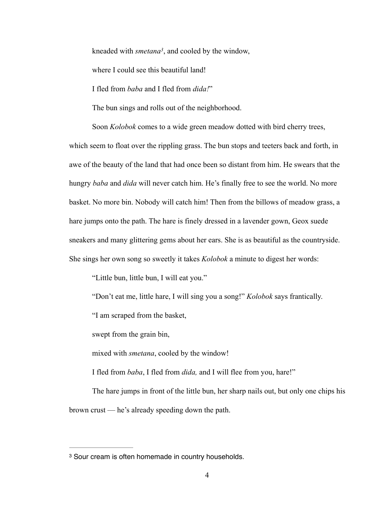kneaded with *smetana*<sup>3</sup>, and cooled by the window,

where I could see this beautiful land!

I fled from *baba* and I fled from *dida!*"

The bun sings and rolls out of the neighborhood.

 Soon *Kolobok* comes to a wide green meadow dotted with bird cherry trees, which seem to float over the rippling grass. The bun stops and teeters back and forth, in awe of the beauty of the land that had once been so distant from him. He swears that the hungry *baba* and *dida* will never catch him. He's finally free to see the world. No more basket. No more bin. Nobody will catch him! Then from the billows of meadow grass, a hare jumps onto the path. The hare is finely dressed in a lavender gown, Geox suede sneakers and many glittering gems about her ears. She is as beautiful as the countryside. She sings her own song so sweetly it takes *Kolobok* a minute to digest her words:

"Little bun, little bun, I will eat you."

"Don't eat me, little hare, I will sing you a song!" *Kolobok* says frantically.

"I am scraped from the basket,

swept from the grain bin,

mixed with *smetana*, cooled by the window!

I fled from *baba*, I fled from *dida,* and I will flee from you, hare!"

 The hare jumps in front of the little bun, her sharp nails out, but only one chips his brown crust — he's already speeding down the path.

<sup>&</sup>lt;sup>3</sup> Sour cream is often homemade in country households.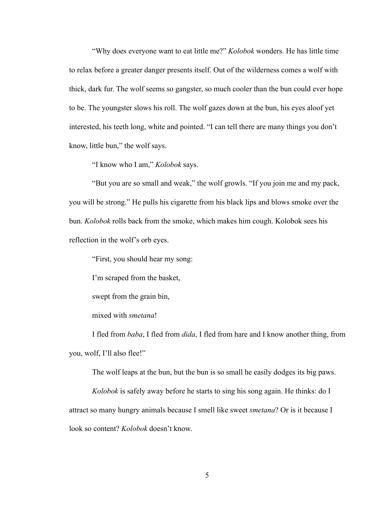"Why does everyone want to eat little me?" *Kolobok* wonders. He has little time to relax before a greater danger presents itself. Out of the wilderness comes a wolf with thick, dark fur. The wolf seems so gangster, so much cooler than the bun could ever hope to be. The youngster slows his roll. The wolf gazes down at the bun, his eyes aloof yet interested, his teeth long, white and pointed. "I can tell there are many things you don't know, little bun," the wolf says.

"I know who I am," *Kolobok* says.

 "But you are so small and weak," the wolf growls. "If you join me and my pack, you will be strong." He pulls his cigarette from his black lips and blows smoke over the bun. *Kolobok* rolls back from the smoke, which makes him cough. Kolobok sees his reflection in the wolf's orb eyes.

"First, you should hear my song:

I'm scraped from the basket,

swept from the grain bin,

mixed with *smetana*!

 I fled from *baba*, I fled from *dida*, I fled from hare and I know another thing, from you, wolf, I'll also flee!"

The wolf leaps at the bun, but the bun is so small he easily dodges its big paws.

*Kolobok* is safely away before he starts to sing his song again. He thinks: do I attract so many hungry animals because I smell like sweet *smetana*? Or is it because I look so content? *Kolobok* doesn't know.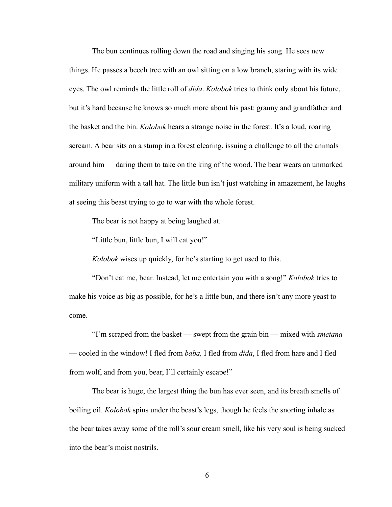The bun continues rolling down the road and singing his song. He sees new things. He passes a beech tree with an owl sitting on a low branch, staring with its wide eyes. The owl reminds the little roll of *dida*. *Kolobok* tries to think only about his future, but it's hard because he knows so much more about his past: granny and grandfather and the basket and the bin. *Kolobok* hears a strange noise in the forest. It's a loud, roaring scream. A bear sits on a stump in a forest clearing, issuing a challenge to all the animals around him — daring them to take on the king of the wood. The bear wears an unmarked military uniform with a tall hat. The little bun isn't just watching in amazement, he laughs at seeing this beast trying to go to war with the whole forest.

The bear is not happy at being laughed at.

"Little bun, little bun, I will eat you!"

*Kolobok* wises up quickly, for he's starting to get used to this.

 "Don't eat me, bear. Instead, let me entertain you with a song!" *Kolobok* tries to make his voice as big as possible, for he's a little bun, and there isn't any more yeast to come.

 "I'm scraped from the basket — swept from the grain bin — mixed with *smetana* — cooled in the window! I fled from *baba,* I fled from *dida*, I fled from hare and I fled from wolf, and from you, bear, I'll certainly escape!"

 The bear is huge, the largest thing the bun has ever seen, and its breath smells of boiling oil. *Kolobok* spins under the beast's legs, though he feels the snorting inhale as the bear takes away some of the roll's sour cream smell, like his very soul is being sucked into the bear's moist nostrils.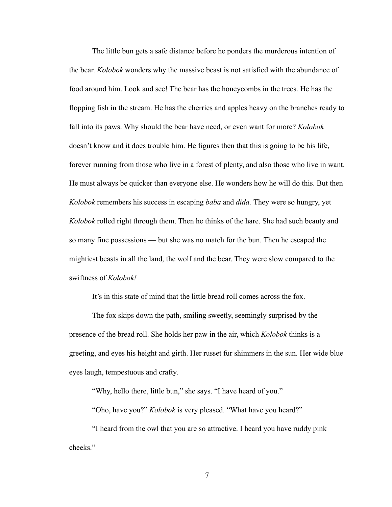The little bun gets a safe distance before he ponders the murderous intention of the bear. *Kolobok* wonders why the massive beast is not satisfied with the abundance of food around him. Look and see! The bear has the honeycombs in the trees. He has the flopping fish in the stream. He has the cherries and apples heavy on the branches ready to fall into its paws. Why should the bear have need, or even want for more? *Kolobok* doesn't know and it does trouble him. He figures then that this is going to be his life, forever running from those who live in a forest of plenty, and also those who live in want. He must always be quicker than everyone else. He wonders how he will do this. But then *Kolobok* remembers his success in escaping *baba* and *dida.* They were so hungry, yet *Kolobok* rolled right through them. Then he thinks of the hare. She had such beauty and so many fine possessions — but she was no match for the bun. Then he escaped the mightiest beasts in all the land, the wolf and the bear. They were slow compared to the swiftness of *Kolobok!* 

It's in this state of mind that the little bread roll comes across the fox.

The fox skips down the path, smiling sweetly, seemingly surprised by the presence of the bread roll. She holds her paw in the air, which *Kolobok* thinks is a greeting, and eyes his height and girth. Her russet fur shimmers in the sun. Her wide blue eyes laugh, tempestuous and crafty.

"Why, hello there, little bun," she says. "I have heard of you."

"Oho, have you?" *Kolobok* is very pleased. "What have you heard?"

 "I heard from the owl that you are so attractive. I heard you have ruddy pink cheeks."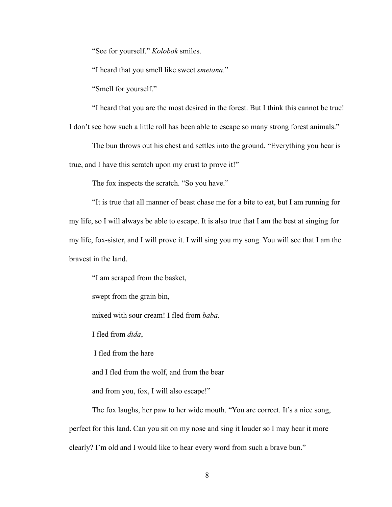"See for yourself." *Kolobok* smiles.

"I heard that you smell like sweet *smetana*."

"Smell for yourself."

"I heard that you are the most desired in the forest. But I think this cannot be true!

I don't see how such a little roll has been able to escape so many strong forest animals."

 The bun throws out his chest and settles into the ground. "Everything you hear is true, and I have this scratch upon my crust to prove it!"

The fox inspects the scratch. "So you have."

 "It is true that all manner of beast chase me for a bite to eat, but I am running for my life, so I will always be able to escape. It is also true that I am the best at singing for my life, fox-sister, and I will prove it. I will sing you my song. You will see that I am the bravest in the land.

"I am scraped from the basket,

swept from the grain bin,

mixed with sour cream! I fled from *baba.* 

I fled from *dida*,

I fled from the hare

and I fled from the wolf, and from the bear

and from you, fox, I will also escape!"

 The fox laughs, her paw to her wide mouth. "You are correct. It's a nice song, perfect for this land. Can you sit on my nose and sing it louder so I may hear it more clearly? I'm old and I would like to hear every word from such a brave bun."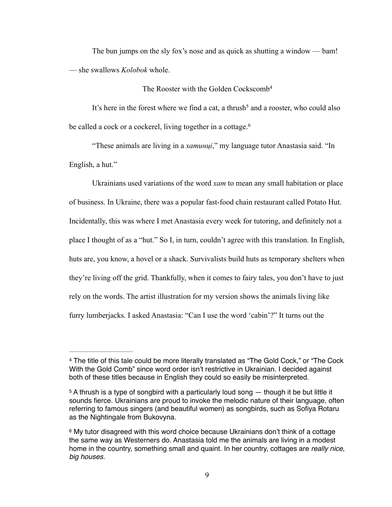The bun jumps on the sly fox's nose and as quick as shutting a window — bam! — she swallows *Kolobok* whole.

The Rooster with the Golden Cockscomb<sup>4</sup>

It's here in the forest where we find a cat, a thrush<sup>5</sup> and a rooster, who could also be called a cock or a cockerel, living together in a cottage.<sup>6</sup>

"These animals are living in a *хатинці*," my language tutor Anastasia said. "In English, a hut."

 Ukrainians used variations of the word *хат* to mean any small habitation or place of business. In Ukraine, there was a popular fast-food chain restaurant called Potato Hut. Incidentally, this was where I met Anastasia every week for tutoring, and definitely not a place I thought of as a "hut." So I, in turn, couldn't agree with this translation. In English, huts are, you know, a hovel or a shack. Survivalists build huts as temporary shelters when they're living off the grid. Thankfully, when it comes to fairy tales, you don't have to just rely on the words. The artist illustration for my version shows the animals living like furry lumberjacks. I asked Anastasia: "Can I use the word 'cabin'?" It turns out the

The title of this tale could be more literally translated as "The Gold Cock," or "The Cock 4 With the Gold Comb" since word order isn't restrictive in Ukrainian. I decided against both of these titles because in English they could so easily be misinterpreted.

 $5A$  thrush is a type of songbird with a particularly loud song  $-$  though it be but little it sounds fierce. Ukrainians are proud to invoke the melodic nature of their language, often referring to famous singers (and beautiful women) as songbirds, such as Sofiya Rotaru as the Nightingale from Bukovyna.

<sup>&</sup>lt;sup>6</sup> My tutor disagreed with this word choice because Ukrainians don't think of a cottage the same way as Westerners do. Anastasia told me the animals are living in a modest home in the country, something small and quaint. In her country, cottages are *really nice, big houses.*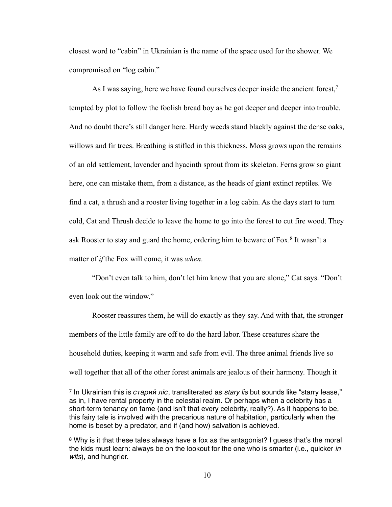closest word to "cabin" in Ukrainian is the name of the space used for the shower. We compromised on "log cabin."

 As I was saying, here we have found ourselves deeper inside the ancient forest,7 tempted by plot to follow the foolish bread boy as he got deeper and deeper into trouble. And no doubt there's still danger here. Hardy weeds stand blackly against the dense oaks, willows and fir trees. Breathing is stifled in this thickness. Moss grows upon the remains of an old settlement, lavender and hyacinth sprout from its skeleton. Ferns grow so giant here, one can mistake them, from a distance, as the heads of giant extinct reptiles. We find a cat, a thrush and a rooster living together in a log cabin. As the days start to turn cold, Cat and Thrush decide to leave the home to go into the forest to cut fire wood. They ask Rooster to stay and guard the home, ordering him to beware of Fox.<sup>8</sup> It wasn't a matter of *if* the Fox will come, it was *when*.

 "Don't even talk to him, don't let him know that you are alone," Cat says. "Don't even look out the window."

 Rooster reassures them, he will do exactly as they say. And with that, the stronger members of the little family are off to do the hard labor. These creatures share the household duties, keeping it warm and safe from evil. The three animal friends live so well together that all of the other forest animals are jealous of their harmony. Though it

In Ukrainian this is старий ліс, transliterated as *stary lis* but sounds like "starry lease," 7 as in, I have rental property in the celestial realm. Or perhaps when a celebrity has a short-term tenancy on fame (and isn't that every celebrity, really?). As it happens to be, this fairy tale is involved with the precarious nature of habitation, particularly when the home is beset by a predator, and if (and how) salvation is achieved.

<sup>&</sup>lt;sup>8</sup> Why is it that these tales always have a fox as the antagonist? I guess that's the moral the kids must learn: always be on the lookout for the one who is smarter (i.e., quicker *in wits*), and hungrier.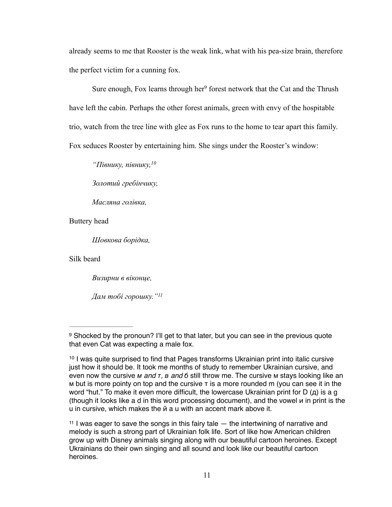already seems to me that Rooster is the weak link, what with his pea-size brain, therefore the perfect victim for a cunning fox.

Sure enough, Fox learns through her<sup>9</sup> forest network that the Cat and the Thrush have left the cabin. Perhaps the other forest animals, green with envy of the hospitable trio, watch from the tree line with glee as Fox runs to the home to tear apart this family. Fox seduces Rooster by entertaining him. She sings under the Rooster's window:

*"Півнику, півнику, 10*

*Золотий гребінчику,* 

*Масляна голівка,*

Buttery head

*Шовкова борідка,*

Silk beard

*Визирни в віконце,* 

*Дам тобі горошку."11*

 $11$  I was eager to save the songs in this fairy tale  $-$  the intertwining of narrative and melody is such a strong part of Ukrainian folk life. Sort of like how American children grow up with Disney animals singing along with our beautiful cartoon heroines. Except Ukrainians do their own singing and all sound and look like our beautiful cartoon heroines.

<sup>&</sup>lt;sup>9</sup> Shocked by the pronoun? I'll get to that later, but you can see in the previous quote that even Cat was expecting a male fox.

<sup>&</sup>lt;sup>10</sup> I was quite surprised to find that Pages transforms Ukrainian print into italic cursive just how it should be. It took me months of study to remember Ukrainian cursive, and even now the cursive м *and* т*,* в *and* б still throw me. The cursive м stays looking like an M but is more pointy on top and the cursive  $\tau$  is a more rounded m (you can see it in the word "hut." To make it even more difficult, the lowercase Ukrainian print for  $D(\mu)$  is a g (though it looks like a d in this word processing document), and the vowel и in print is the u in cursive, which makes the й a u with an accent mark above it.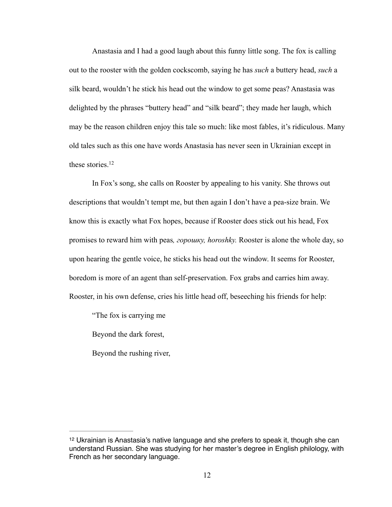Anastasia and I had a good laugh about this funny little song. The fox is calling out to the rooster with the golden cockscomb, saying he has *such* a buttery head, *such* a silk beard, wouldn't he stick his head out the window to get some peas? Anastasia was delighted by the phrases "buttery head" and "silk beard"; they made her laugh, which may be the reason children enjoy this tale so much: like most fables, it's ridiculous. Many old tales such as this one have words Anastasia has never seen in Ukrainian except in these stories  $12$ 

 In Fox's song, she calls on Rooster by appealing to his vanity. She throws out descriptions that wouldn't tempt me, but then again I don't have a pea-size brain. We know this is exactly what Fox hopes, because if Rooster does stick out his head, Fox promises to reward him with peas*, горошку, horoshky.* Rooster is alone the whole day, so upon hearing the gentle voice, he sticks his head out the window. It seems for Rooster, boredom is more of an agent than self-preservation. Fox grabs and carries him away. Rooster, in his own defense, cries his little head off, beseeching his friends for help:

"The fox is carrying me

Beyond the dark forest,

Beyond the rushing river,

 $12$  Ukrainian is Anastasia's native language and she prefers to speak it, though she can understand Russian. She was studying for her master's degree in English philology, with French as her secondary language.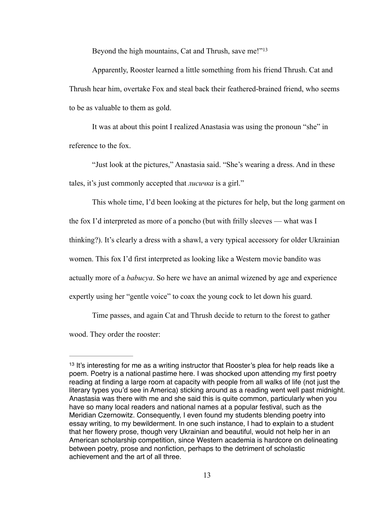Beyond the high mountains, Cat and Thrush, save me!"<sup>13</sup>

 Apparently, Rooster learned a little something from his friend Thrush. Cat and Thrush hear him, overtake Fox and steal back their feathered-brained friend, who seems to be as valuable to them as gold.

 It was at about this point I realized Anastasia was using the pronoun "she" in reference to the fox.

 "Just look at the pictures," Anastasia said. "She's wearing a dress. And in these tales, it's just commonly accepted that *лисичка* is a girl."

 This whole time, I'd been looking at the pictures for help, but the long garment on the fox I'd interpreted as more of a poncho (but with frilly sleeves — what was I thinking?). It's clearly a dress with a shawl, a very typical accessory for older Ukrainian women. This fox I'd first interpreted as looking like a Western movie bandito was actually more of a *babucya*. So here we have an animal wizened by age and experience expertly using her "gentle voice" to coax the young cock to let down his guard.

Time passes, and again Cat and Thrush decide to return to the forest to gather

wood. They order the rooster:

 $13$  It's interesting for me as a writing instructor that Rooster's plea for help reads like a poem. Poetry is a national pastime here. I was shocked upon attending my first poetry reading at finding a large room at capacity with people from all walks of life (not just the literary types you'd see in America) sticking around as a reading went well past midnight. Anastasia was there with me and she said this is quite common, particularly when you have so many local readers and national names at a popular festival, such as the Meridian Czernowitz. Consequently, I even found my students blending poetry into essay writing, to my bewilderment. In one such instance, I had to explain to a student that her flowery prose, though very Ukrainian and beautiful, would not help her in an American scholarship competition, since Western academia is hardcore on delineating between poetry, prose and nonfiction, perhaps to the detriment of scholastic achievement and the art of all three.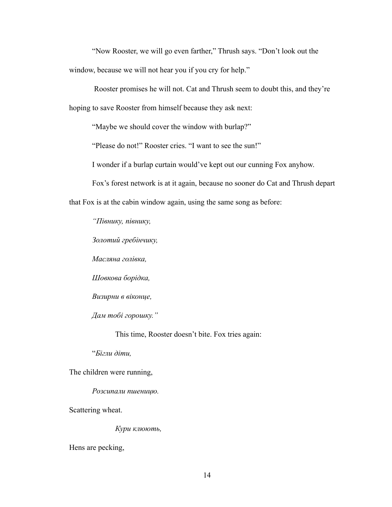"Now Rooster, we will go even farther," Thrush says. "Don't look out the window, because we will not hear you if you cry for help."

 Rooster promises he will not. Cat and Thrush seem to doubt this, and they're hoping to save Rooster from himself because they ask next:

"Maybe we should cover the window with burlap?"

"Please do not!" Rooster cries. "I want to see the sun!"

I wonder if a burlap curtain would've kept out our cunning Fox anyhow.

Fox's forest network is at it again, because no sooner do Cat and Thrush depart

that Fox is at the cabin window again, using the same song as before:

 *"Півнику, півнику,* 

*Золотий гребінчику,* 

*Масляна голівка,* 

*Шовкова борідка,* 

*Визирни в віконце,* 

*Дам тобі горошку."* 

This time, Rooster doesn't bite. Fox tries again:

"*Бігли діти,*

The children were running,

*Розсипали пшеницю.*

Scattering wheat.

*Кури клюють,*

Hens are pecking,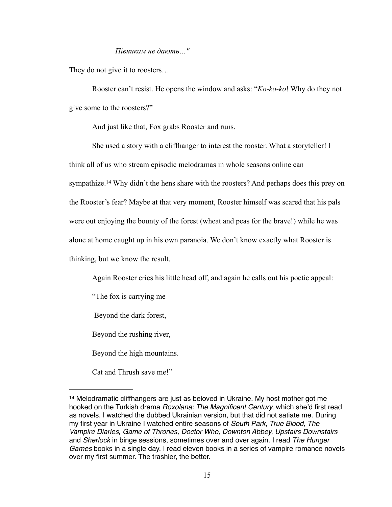#### *Півникам не дають…"*

They do not give it to roosters…

 Rooster can't resist. He opens the window and asks: "*Ko-ko-ko*! Why do they not give some to the roosters?"

And just like that, Fox grabs Rooster and runs.

 She used a story with a cliffhanger to interest the rooster. What a storyteller! I think all of us who stream episodic melodramas in whole seasons online can sympathize.<sup>14</sup> Why didn't the hens share with the roosters? And perhaps does this prey on the Rooster's fear? Maybe at that very moment, Rooster himself was scared that his pals were out enjoying the bounty of the forest (wheat and peas for the brave!) while he was alone at home caught up in his own paranoia. We don't know exactly what Rooster is thinking, but we know the result.

Again Rooster cries his little head off, and again he calls out his poetic appeal:

"The fox is carrying me

Beyond the dark forest,

Beyond the rushing river,

Beyond the high mountains.

Cat and Thrush save me!"

 $14$  Melodramatic cliffhangers are just as beloved in Ukraine. My host mother got me hooked on the Turkish drama *Roxolana: The Magnificent Century,* which she'd first read as novels. I watched the dubbed Ukrainian version, but that did not satiate me. During my first year in Ukraine I watched entire seasons of *South Park, True Blood, The Vampire Diaries, Game of Thrones, Doctor Who, Downton Abbey, Upstairs Downstairs* and *Sherlock* in binge sessions, sometimes over and over again. I read *The Hunger Games* books in a single day. I read eleven books in a series of vampire romance novels over my first summer. The trashier, the better.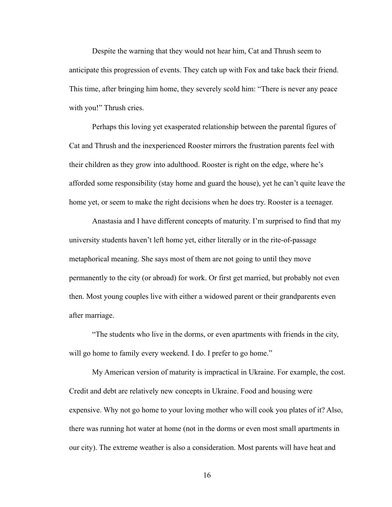Despite the warning that they would not hear him, Cat and Thrush seem to anticipate this progression of events. They catch up with Fox and take back their friend. This time, after bringing him home, they severely scold him: "There is never any peace with you!" Thrush cries.

 Perhaps this loving yet exasperated relationship between the parental figures of Cat and Thrush and the inexperienced Rooster mirrors the frustration parents feel with their children as they grow into adulthood. Rooster is right on the edge, where he's afforded some responsibility (stay home and guard the house), yet he can't quite leave the home yet, or seem to make the right decisions when he does try. Rooster is a teenager.

 Anastasia and I have different concepts of maturity. I'm surprised to find that my university students haven't left home yet, either literally or in the rite-of-passage metaphorical meaning. She says most of them are not going to until they move permanently to the city (or abroad) for work. Or first get married, but probably not even then. Most young couples live with either a widowed parent or their grandparents even after marriage.

 "The students who live in the dorms, or even apartments with friends in the city, will go home to family every weekend. I do. I prefer to go home."

 My American version of maturity is impractical in Ukraine. For example, the cost. Credit and debt are relatively new concepts in Ukraine. Food and housing were expensive. Why not go home to your loving mother who will cook you plates of it? Also, there was running hot water at home (not in the dorms or even most small apartments in our city). The extreme weather is also a consideration. Most parents will have heat and

16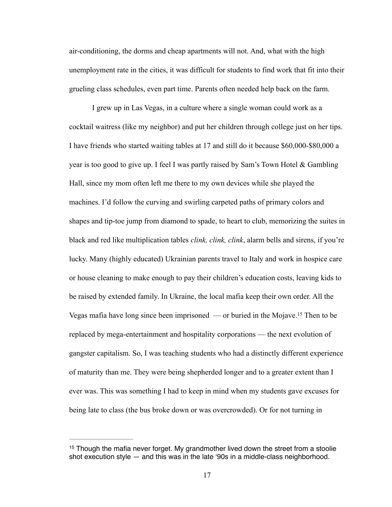air-conditioning, the dorms and cheap apartments will not. And, what with the high unemployment rate in the cities, it was difficult for students to find work that fit into their grueling class schedules, even part time. Parents often needed help back on the farm.

 I grew up in Las Vegas, in a culture where a single woman could work as a cocktail waitress (like my neighbor) and put her children through college just on her tips. I have friends who started waiting tables at 17 and still do it because \$60,000-\$80,000 a year is too good to give up. I feel I was partly raised by Sam's Town Hotel & Gambling Hall, since my mom often left me there to my own devices while she played the machines. I'd follow the curving and swirling carpeted paths of primary colors and shapes and tip-toe jump from diamond to spade, to heart to club, memorizing the suites in black and red like multiplication tables *clink, clink, clink*, alarm bells and sirens, if you're lucky. Many (highly educated) Ukrainian parents travel to Italy and work in hospice care or house cleaning to make enough to pay their children's education costs, leaving kids to be raised by extended family. In Ukraine, the local mafia keep their own order. All the Vegas mafia have long since been imprisoned — or buried in the Mojave.<sup>15</sup> Then to be replaced by mega-entertainment and hospitality corporations — the next evolution of gangster capitalism. So, I was teaching students who had a distinctly different experience of maturity than me. They were being shepherded longer and to a greater extent than I ever was. This was something I had to keep in mind when my students gave excuses for being late to class (the bus broke down or was overcrowded). Or for not turning in

 $15$  Though the mafia never forget. My grandmother lived down the street from a stoolie shot execution style — and this was in the late '90s in a middle-class neighborhood.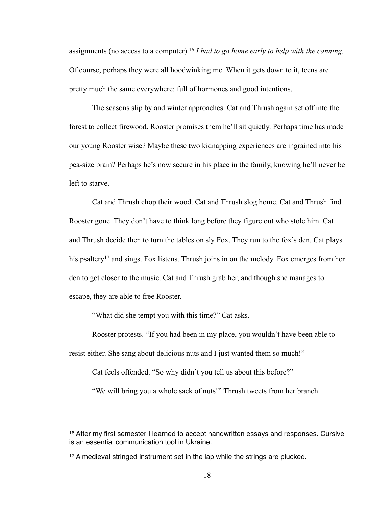assignments (no access to a computer).<sup>16</sup> *I had to go home early to help with the canning.* Of course, perhaps they were all hoodwinking me. When it gets down to it, teens are pretty much the same everywhere: full of hormones and good intentions.

 The seasons slip by and winter approaches. Cat and Thrush again set off into the forest to collect firewood. Rooster promises them he'll sit quietly. Perhaps time has made our young Rooster wise? Maybe these two kidnapping experiences are ingrained into his pea-size brain? Perhaps he's now secure in his place in the family, knowing he'll never be left to starve.

 Cat and Thrush chop their wood. Cat and Thrush slog home. Cat and Thrush find Rooster gone. They don't have to think long before they figure out who stole him. Cat and Thrush decide then to turn the tables on sly Fox. They run to the fox's den. Cat plays his psaltery<sup>17</sup> and sings. Fox listens. Thrush joins in on the melody. Fox emerges from her den to get closer to the music. Cat and Thrush grab her, and though she manages to escape, they are able to free Rooster.

"What did she tempt you with this time?" Cat asks.

 Rooster protests. "If you had been in my place, you wouldn't have been able to resist either. She sang about delicious nuts and I just wanted them so much!"

Cat feels offended. "So why didn't you tell us about this before?"

"We will bring you a whole sack of nuts!" Thrush tweets from her branch.

<sup>&</sup>lt;sup>16</sup> After my first semester I learned to accept handwritten essays and responses. Cursive is an essential communication tool in Ukraine.

<sup>&</sup>lt;sup>17</sup> A medieval stringed instrument set in the lap while the strings are plucked.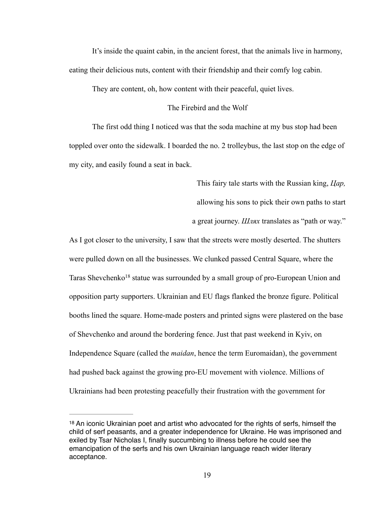It's inside the quaint cabin, in the ancient forest, that the animals live in harmony, eating their delicious nuts, content with their friendship and their comfy log cabin.

They are content, oh, how content with their peaceful, quiet lives.

#### The Firebird and the Wolf

 The first odd thing I noticed was that the soda machine at my bus stop had been toppled over onto the sidewalk. I boarded the no. 2 trolleybus, the last stop on the edge of my city, and easily found a seat in back.

> This fairy tale starts with the Russian king, *Цар,*  allowing his sons to pick their own paths to start a great journey. *Шлях* translates as "path or way."

As I got closer to the university, I saw that the streets were mostly deserted. The shutters were pulled down on all the businesses. We clunked passed Central Square, where the Taras Shevchenko<sup>18</sup> statue was surrounded by a small group of pro-European Union and opposition party supporters. Ukrainian and EU flags flanked the bronze figure. Political booths lined the square. Home-made posters and printed signs were plastered on the base of Shevchenko and around the bordering fence. Just that past weekend in Kyiv, on Independence Square (called the *maidan*, hence the term Euromaidan), the government had pushed back against the growing pro-EU movement with violence. Millions of Ukrainians had been protesting peacefully their frustration with the government for

<sup>&</sup>lt;sup>18</sup> An iconic Ukrainian poet and artist who advocated for the rights of serfs, himself the child of serf peasants, and a greater independence for Ukraine. He was imprisoned and exiled by Tsar Nicholas I, finally succumbing to illness before he could see the emancipation of the serfs and his own Ukrainian language reach wider literary acceptance.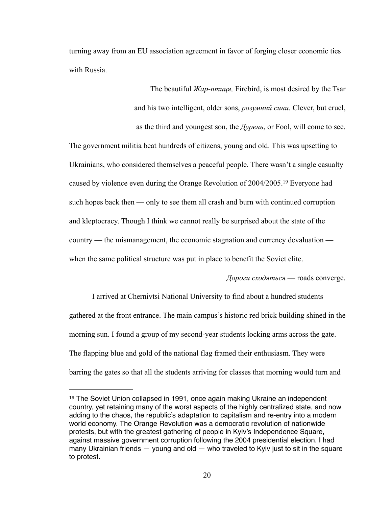turning away from an EU association agreement in favor of forging closer economic ties with Russia.

> The beautiful *Жар-птиця,* Firebird, is most desired by the Tsar and his two intelligent, older sons, *розумний сини.* Clever, but cruel, as the third and youngest son, the *Дурень*, or Fool, will come to see.

The government militia beat hundreds of citizens, young and old. This was upsetting to Ukrainians, who considered themselves a peaceful people. There wasn't a single casualty caused by violence even during the Orange Revolution of 2004/2005.<sup>19</sup> Everyone had such hopes back then — only to see them all crash and burn with continued corruption and kleptocracy. Though I think we cannot really be surprised about the state of the country — the mismanagement, the economic stagnation and currency devaluation when the same political structure was put in place to benefit the Soviet elite.

*Дороги сходяться* — roads converge.

 I arrived at Chernivtsi National University to find about a hundred students gathered at the front entrance. The main campus's historic red brick building shined in the morning sun. I found a group of my second-year students locking arms across the gate. The flapping blue and gold of the national flag framed their enthusiasm. They were barring the gates so that all the students arriving for classes that morning would turn and

 $19$  The Soviet Union collapsed in 1991, once again making Ukraine an independent country, yet retaining many of the worst aspects of the highly centralized state, and now adding to the chaos, the republic's adaptation to capitalism and re-entry into a modern world economy. The Orange Revolution was a democratic revolution of nationwide protests, but with the greatest gathering of people in Kyiv's Independence Square, against massive government corruption following the 2004 presidential election. I had many Ukrainian friends  $-$  young and old  $-$  who traveled to Kyiv just to sit in the square to protest.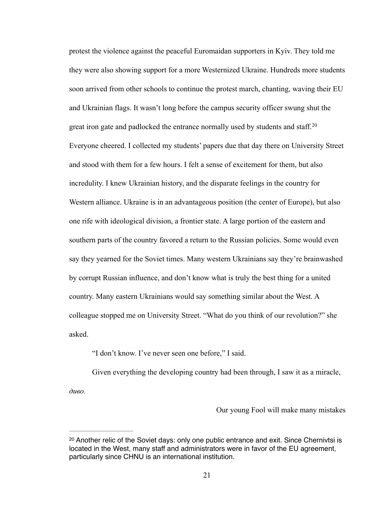protest the violence against the peaceful Euromaidan supporters in Kyiv. They told me they were also showing support for a more Westernized Ukraine. Hundreds more students soon arrived from other schools to continue the protest march, chanting, waving their EU and Ukrainian flags. It wasn't long before the campus security officer swung shut the great iron gate and padlocked the entrance normally used by students and staff.<sup>20</sup> Everyone cheered. I collected my students' papers due that day there on University Street and stood with them for a few hours. I felt a sense of excitement for them, but also incredulity. I knew Ukrainian history, and the disparate feelings in the country for Western alliance. Ukraine is in an advantageous position (the center of Europe), but also one rife with ideological division, a frontier state. A large portion of the eastern and southern parts of the country favored a return to the Russian policies. Some would even say they yearned for the Soviet times. Many western Ukrainians say they're brainwashed by corrupt Russian influence, and don't know what is truly the best thing for a united country. Many eastern Ukrainians would say something similar about the West. A colleague stopped me on University Street. "What do you think of our revolution?" she asked.

"I don't know. I've never seen one before," I said.

 Given everything the developing country had been through, I saw it as a miracle, *диво.* 

Our young Fool will make many mistakes

<sup>&</sup>lt;sup>20</sup> Another relic of the Soviet days: only one public entrance and exit. Since Chernivtsi is located in the West, many staff and administrators were in favor of the EU agreement, particularly since CHNU is an international institution.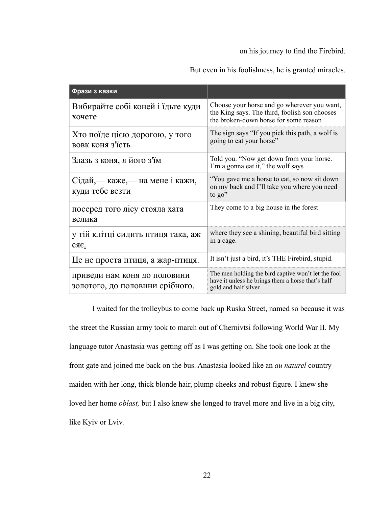## on his journey to find the Firebird.

But even in his foolishness, he is granted miracles.

| Фрази з казки                                                   |                                                                                                                                       |
|-----------------------------------------------------------------|---------------------------------------------------------------------------------------------------------------------------------------|
| Вибирайте собі коней і їдьте куди<br>хочете                     | Choose your horse and go wherever you want,<br>the King says. The third, foolish son chooses<br>the broken-down horse for some reason |
| Хто поїде цією дорогою, у того<br>вовк коня з'їсть              | The sign says "If you pick this path, a wolf is<br>going to eat your horse"                                                           |
| Злазь з коня, я його з'їм                                       | Told you. "Now get down from your horse.<br>I'm a gonna eat it," the wolf says                                                        |
| Сідай,— каже,— на мене і кажи,<br>куди тебе везти               | "You gave me a horse to eat, so now sit down"<br>on my back and I'll take you where you need<br>to go"                                |
| посеред того лісу стояла хата<br>велика                         | They come to a big house in the forest                                                                                                |
| у тій клітці сидить птиця така, аж<br>сяє.                      | where they see a shining, beautiful bird sitting<br>in a cage.                                                                        |
| Це не проста птиця, а жар-птиця.                                | It isn't just a bird, it's THE Firebird, stupid.                                                                                      |
| приведи нам коня до половини<br>золотого, до половини срібного. | The men holding the bird captive won't let the fool<br>have it unless he brings them a horse that's half<br>gold and half silver.     |

 I waited for the trolleybus to come back up Ruska Street, named so because it was the street the Russian army took to march out of Chernivtsi following World War II. My language tutor Anastasia was getting off as I was getting on. She took one look at the front gate and joined me back on the bus. Anastasia looked like an *au naturel* country maiden with her long, thick blonde hair, plump cheeks and robust figure. I knew she loved her home *oblast,* but I also knew she longed to travel more and live in a big city, like Kyiv or Lviv.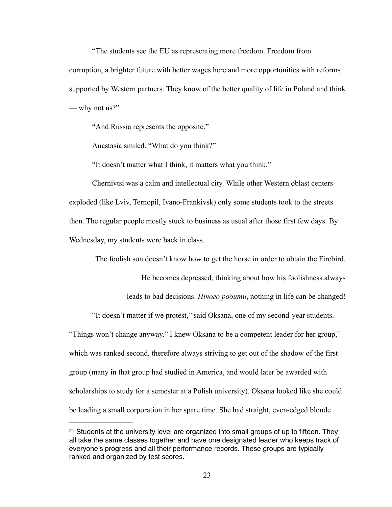"The students see the EU as representing more freedom. Freedom from corruption, a brighter future with better wages here and more opportunities with reforms supported by Western partners. They know of the better quality of life in Poland and think — why not us?"

"And Russia represents the opposite."

Anastasia smiled. "What do you think?"

"It doesn't matter what I think, it matters what you think."

 Chernivtsi was a calm and intellectual city. While other Western oblast centers exploded (like Lviv, Ternopil, Ivano-Frankivsk) only some students took to the streets then. The regular people mostly stuck to business as usual after those first few days. By Wednesday, my students were back in class.

The foolish son doesn't know how to get the horse in order to obtain the Firebird.

He becomes depressed, thinking about how his foolishness always

leads to bad decisions. *Нічого робити*, nothing in life can be changed!

"It doesn't matter if we protest," said Oksana, one of my second-year students.

"Things won't change anyway." I knew Oksana to be a competent leader for her group,<sup>21</sup> which was ranked second, therefore always striving to get out of the shadow of the first group (many in that group had studied in America, and would later be awarded with scholarships to study for a semester at a Polish university). Oksana looked like she could be leading a small corporation in her spare time. She had straight, even-edged blonde

 $21$  Students at the university level are organized into small groups of up to fifteen. They all take the same classes together and have one designated leader who keeps track of everyone's progress and all their performance records. These groups are typically ranked and organized by test scores.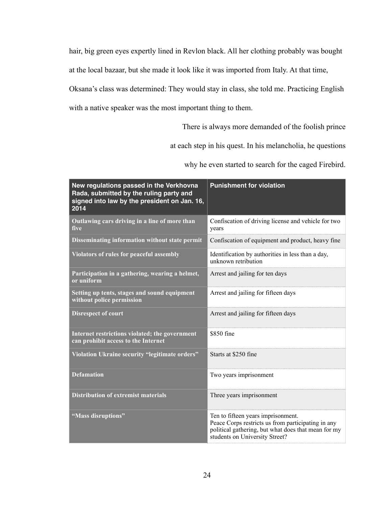hair, big green eyes expertly lined in Revlon black. All her clothing probably was bought

at the local bazaar, but she made it look like it was imported from Italy. At that time,

Oksana's class was determined: They would stay in class, she told me. Practicing English

with a native speaker was the most important thing to them.

There is always more demanded of the foolish prince

at each step in his quest. In his melancholia, he questions

why he even started to search for the caged Firebird.

| New regulations passed in the Verkhovna<br>Rada, submitted by the ruling party and<br>signed into law by the president on Jan. 16,<br>2014 | <b>Punishment for violation</b>                                                                                                                                                   |
|--------------------------------------------------------------------------------------------------------------------------------------------|-----------------------------------------------------------------------------------------------------------------------------------------------------------------------------------|
| Outlawing cars driving in a line of more than<br>five                                                                                      | Confiscation of driving license and vehicle for two<br>years                                                                                                                      |
| Disseminating information without state permit                                                                                             | Confiscation of equipment and product, heavy fine                                                                                                                                 |
| Violators of rules for peaceful assembly                                                                                                   | Identification by authorities in less than a day,<br>unknown retribution                                                                                                          |
| Participation in a gathering, wearing a helmet,<br>or uniform                                                                              | Arrest and jailing for ten days                                                                                                                                                   |
| Setting up tents, stages and sound equipment<br>without police permission                                                                  | Arrest and jailing for fifteen days                                                                                                                                               |
| <b>Disrespect of court</b>                                                                                                                 | Arrest and jailing for fifteen days                                                                                                                                               |
| <b>Internet restrictions violated; the government</b><br>can prohibit access to the Internet                                               | \$850 fine                                                                                                                                                                        |
| Violation Ukraine security "legitimate orders"                                                                                             | Starts at \$250 fine                                                                                                                                                              |
| <b>Defamation</b>                                                                                                                          | Two years imprisonment                                                                                                                                                            |
| <b>Distribution of extremist materials</b>                                                                                                 | Three years imprisonment                                                                                                                                                          |
| "Mass disruptions"                                                                                                                         | Ten to fifteen years imprisonment.<br>Peace Corps restricts us from participating in any<br>political gathering, but what does that mean for my<br>students on University Street? |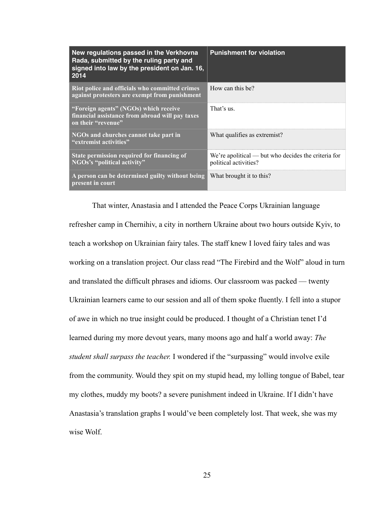| New regulations passed in the Verkhovna<br>Rada, submitted by the ruling party and<br>signed into law by the president on Jan. 16,<br>2014 | <b>Punishment for violation</b>                                              |
|--------------------------------------------------------------------------------------------------------------------------------------------|------------------------------------------------------------------------------|
| Riot police and officials who committed crimes<br>against protesters are exempt from punishment                                            | How can this be?                                                             |
| "Foreign agents" (NGOs) which receive<br>financial assistance from abroad will pay taxes<br>on their "revenue"                             | That's us                                                                    |
| <b>NGOs and churches cannot take part in</b><br>"extremist activities"                                                                     | What qualifies as extremist?                                                 |
| State permission required for financing of<br>NGOs's "political activity"                                                                  | We're apolitical — but who decides the criteria for<br>political activities? |
| A person can be determined guilty without being<br>present in court                                                                        | What brought it to this?                                                     |

 That winter, Anastasia and I attended the Peace Corps Ukrainian language refresher camp in Chernihiv, a city in northern Ukraine about two hours outside Kyiv, to teach a workshop on Ukrainian fairy tales. The staff knew I loved fairy tales and was working on a translation project. Our class read "The Firebird and the Wolf" aloud in turn and translated the difficult phrases and idioms. Our classroom was packed — twenty Ukrainian learners came to our session and all of them spoke fluently. I fell into a stupor of awe in which no true insight could be produced. I thought of a Christian tenet I'd learned during my more devout years, many moons ago and half a world away: *The student shall surpass the teacher.* I wondered if the "surpassing" would involve exile from the community. Would they spit on my stupid head, my lolling tongue of Babel, tear my clothes, muddy my boots? a severe punishment indeed in Ukraine. If I didn't have Anastasia's translation graphs I would've been completely lost. That week, she was my wise Wolf.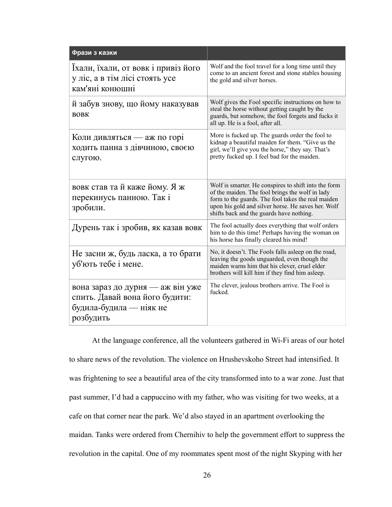| Фрази з казки                                                                                              |                                                                                                                                                                                                                                                                 |
|------------------------------------------------------------------------------------------------------------|-----------------------------------------------------------------------------------------------------------------------------------------------------------------------------------------------------------------------------------------------------------------|
| Іхали, їхали, от вовк і привіз його<br>у ліс, а в тім лісі стоять усе<br>кам'яні конюшні                   | Wolf and the fool travel for a long time until they<br>come to an ancient forest and stone stables housing<br>the gold and silver horses.                                                                                                                       |
| й забув знову, що йому наказував<br><b>BOBK</b>                                                            | Wolf gives the Fool specific instructions on how to<br>steal the horse without getting caught by the<br>guards, but somehow, the fool forgets and fucks it<br>all up. He is a fool, after all.                                                                  |
| Коли дивляться — аж по горі<br>ходить панна з дівчиною, своєю<br>слугою.                                   | More is fucked up. The guards order the fool to<br>kidnap a beautiful maiden for them. "Give us the<br>girl, we'll give you the horse," they say. That's<br>pretty fucked up. I feel bad for the maiden.                                                        |
| вовк став та й каже йому. Я ж<br>перекинусь панною. Так і<br>зробили.                                      | Wolf is smarter. He conspires to shift into the form<br>of the maiden. The fool brings the wolf in lady<br>form to the guards. The fool takes the real maiden<br>upon his gold and silver horse. He saves her. Wolf<br>shifts back and the guards have nothing. |
| Дурень так і зробив, як казав вовк                                                                         | The fool actually does everything that wolf orders<br>him to do this time! Perhaps having the woman on<br>his horse has finally cleared his mind!                                                                                                               |
| Не засни ж, будь ласка, а то брати<br>уб'ють тебе і мене.                                                  | No, it doesn't. The Fools falls as leep on the road,<br>leaving the goods unguarded, even though the<br>maiden warns him that his clever, cruel elder<br>brothers will kill him if they find him asleep.                                                        |
| вона зараз до дурня — аж він уже<br>спить. Давай вона його будити:<br>будила-будила — ніяк не<br>розбудить | The clever, jealous brothers arrive. The Fool is<br>fucked.                                                                                                                                                                                                     |

 At the language conference, all the volunteers gathered in Wi-Fi areas of our hotel to share news of the revolution. The violence on Hrushevskoho Street had intensified. It was frightening to see a beautiful area of the city transformed into to a war zone. Just that past summer, I'd had a cappuccino with my father, who was visiting for two weeks, at a cafe on that corner near the park. We'd also stayed in an apartment overlooking the maidan. Tanks were ordered from Chernihiv to help the government effort to suppress the revolution in the capital. One of my roommates spent most of the night Skyping with her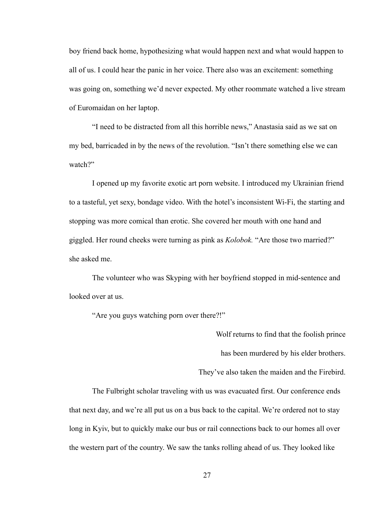boy friend back home, hypothesizing what would happen next and what would happen to all of us. I could hear the panic in her voice. There also was an excitement: something was going on, something we'd never expected. My other roommate watched a live stream of Euromaidan on her laptop.

 "I need to be distracted from all this horrible news," Anastasia said as we sat on my bed, barricaded in by the news of the revolution. "Isn't there something else we can watch?"

 I opened up my favorite exotic art porn website. I introduced my Ukrainian friend to a tasteful, yet sexy, bondage video. With the hotel's inconsistent Wi-Fi, the starting and stopping was more comical than erotic. She covered her mouth with one hand and giggled. Her round cheeks were turning as pink as *Kolobok.* "Are those two married?" she asked me.

 The volunteer who was Skyping with her boyfriend stopped in mid-sentence and looked over at us.

"Are you guys watching porn over there?!"

Wolf returns to find that the foolish prince

has been murdered by his elder brothers.

They've also taken the maiden and the Firebird.

 The Fulbright scholar traveling with us was evacuated first. Our conference ends that next day, and we're all put us on a bus back to the capital. We're ordered not to stay long in Kyiv, but to quickly make our bus or rail connections back to our homes all over the western part of the country. We saw the tanks rolling ahead of us. They looked like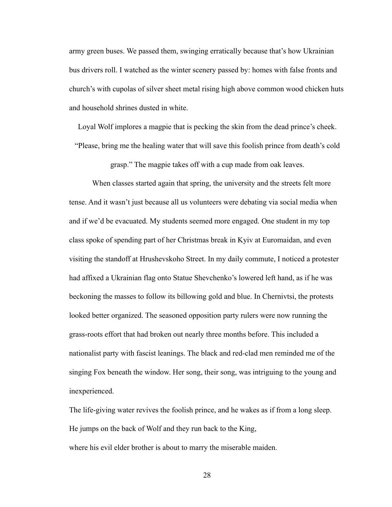army green buses. We passed them, swinging erratically because that's how Ukrainian bus drivers roll. I watched as the winter scenery passed by: homes with false fronts and church's with cupolas of silver sheet metal rising high above common wood chicken huts and household shrines dusted in white.

Loyal Wolf implores a magpie that is pecking the skin from the dead prince's cheek.

"Please, bring me the healing water that will save this foolish prince from death's cold

grasp." The magpie takes off with a cup made from oak leaves.

When classes started again that spring, the university and the streets felt more tense. And it wasn't just because all us volunteers were debating via social media when and if we'd be evacuated. My students seemed more engaged. One student in my top class spoke of spending part of her Christmas break in Kyiv at Euromaidan, and even visiting the standoff at Hrushevskoho Street. In my daily commute, I noticed a protester had affixed a Ukrainian flag onto Statue Shevchenko's lowered left hand, as if he was beckoning the masses to follow its billowing gold and blue. In Chernivtsi, the protests looked better organized. The seasoned opposition party rulers were now running the grass-roots effort that had broken out nearly three months before. This included a nationalist party with fascist leanings. The black and red-clad men reminded me of the singing Fox beneath the window. Her song, their song, was intriguing to the young and inexperienced.

The life-giving water revives the foolish prince, and he wakes as if from a long sleep. He jumps on the back of Wolf and they run back to the King,

where his evil elder brother is about to marry the miserable maiden.

28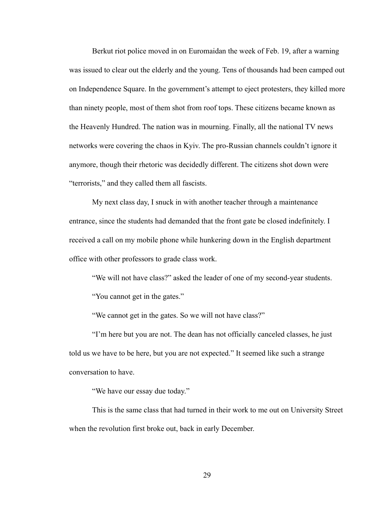Berkut riot police moved in on Euromaidan the week of Feb. 19, after a warning was issued to clear out the elderly and the young. Tens of thousands had been camped out on Independence Square. In the government's attempt to eject protesters, they killed more than ninety people, most of them shot from roof tops. These citizens became known as the Heavenly Hundred. The nation was in mourning. Finally, all the national TV news networks were covering the chaos in Kyiv. The pro-Russian channels couldn't ignore it anymore, though their rhetoric was decidedly different. The citizens shot down were "terrorists," and they called them all fascists.

 My next class day, I snuck in with another teacher through a maintenance entrance, since the students had demanded that the front gate be closed indefinitely. I received a call on my mobile phone while hunkering down in the English department office with other professors to grade class work.

"We will not have class?" asked the leader of one of my second-year students.

"You cannot get in the gates."

"We cannot get in the gates. So we will not have class?"

 "I'm here but you are not. The dean has not officially canceled classes, he just told us we have to be here, but you are not expected." It seemed like such a strange conversation to have.

"We have our essay due today."

 This is the same class that had turned in their work to me out on University Street when the revolution first broke out, back in early December.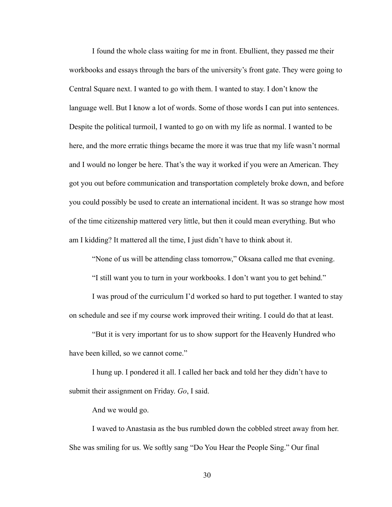I found the whole class waiting for me in front. Ebullient, they passed me their workbooks and essays through the bars of the university's front gate. They were going to Central Square next. I wanted to go with them. I wanted to stay. I don't know the language well. But I know a lot of words. Some of those words I can put into sentences. Despite the political turmoil, I wanted to go on with my life as normal. I wanted to be here, and the more erratic things became the more it was true that my life wasn't normal and I would no longer be here. That's the way it worked if you were an American. They got you out before communication and transportation completely broke down, and before you could possibly be used to create an international incident. It was so strange how most of the time citizenship mattered very little, but then it could mean everything. But who am I kidding? It mattered all the time, I just didn't have to think about it.

"None of us will be attending class tomorrow," Oksana called me that evening.

"I still want you to turn in your workbooks. I don't want you to get behind."

 I was proud of the curriculum I'd worked so hard to put together. I wanted to stay on schedule and see if my course work improved their writing. I could do that at least.

 "But it is very important for us to show support for the Heavenly Hundred who have been killed, so we cannot come."

 I hung up. I pondered it all. I called her back and told her they didn't have to submit their assignment on Friday. *Go*, I said.

And we would go.

 I waved to Anastasia as the bus rumbled down the cobbled street away from her. She was smiling for us. We softly sang "Do You Hear the People Sing." Our final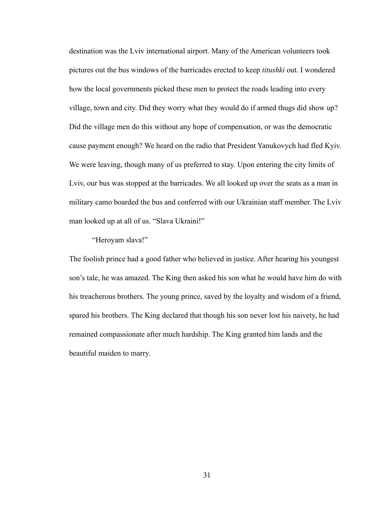destination was the Lviv international airport. Many of the American volunteers took pictures out the bus windows of the barricades erected to keep *titushki* out. I wondered how the local governments picked these men to protect the roads leading into every village, town and city. Did they worry what they would do if armed thugs did show up? Did the village men do this without any hope of compensation, or was the democratic cause payment enough? We heard on the radio that President Yanukovych had fled Kyiv. We were leaving, though many of us preferred to stay. Upon entering the city limits of Lviv, our bus was stopped at the barricades. We all looked up over the seats as a man in military camo boarded the bus and conferred with our Ukrainian staff member. The Lviv man looked up at all of us. "Slava Ukraini!"

# "Heroyam slava!"

The foolish prince had a good father who believed in justice. After hearing his youngest son's tale, he was amazed. The King then asked his son what he would have him do with his treacherous brothers. The young prince, saved by the loyalty and wisdom of a friend, spared his brothers. The King declared that though his son never lost his naivety, he had remained compassionate after much hardship. The King granted him lands and the beautiful maiden to marry.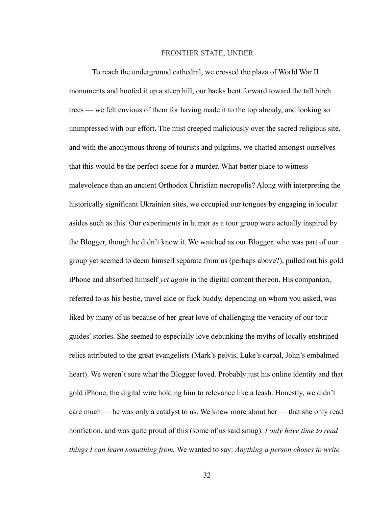#### FRONTIER STATE, UNDER

 To reach the underground cathedral, we crossed the plaza of World War II monuments and hoofed it up a steep hill, our backs bent forward toward the tall birch trees — we felt envious of them for having made it to the top already, and looking so unimpressed with our effort. The mist creeped maliciously over the sacred religious site, and with the anonymous throng of tourists and pilgrims, we chatted amongst ourselves that this would be the perfect scene for a murder. What better place to witness malevolence than an ancient Orthodox Christian necropolis? Along with interpreting the historically significant Ukrainian sites, we occupied our tongues by engaging in jocular asides such as this. Our experiments in humor as a tour group were actually inspired by the Blogger, though he didn't know it. We watched as our Blogger, who was part of our group yet seemed to deem himself separate from us (perhaps above?), pulled out his gold iPhone and absorbed himself *yet again* in the digital content thereon. His companion, referred to as his bestie, travel aide or fuck buddy, depending on whom you asked, was liked by many of us because of her great love of challenging the veracity of our tour guides' stories. She seemed to especially love debunking the myths of locally enshrined relics attributed to the great evangelists (Mark's pelvis, Luke's carpal, John's embalmed heart). We weren't sure what the Blogger loved. Probably just his online identity and that gold iPhone, the digital wire holding him to relevance like a leash. Honestly, we didn't care much — he was only a catalyst to us. We knew more about her — that she only read nonfiction, and was quite proud of this (some of us said smug). *I only have time to read things I can learn something from.* We wanted to say: *Anything a person choses to write*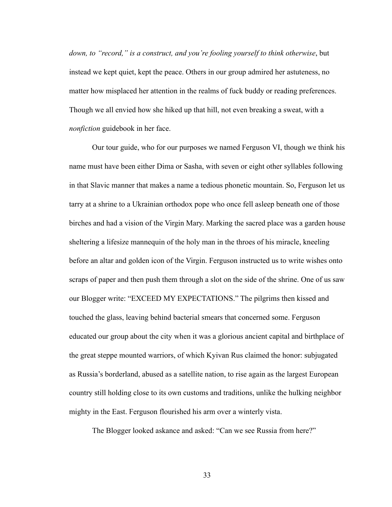*down, to "record," is a construct, and you're fooling yourself to think otherwise*, but instead we kept quiet, kept the peace. Others in our group admired her astuteness, no matter how misplaced her attention in the realms of fuck buddy or reading preferences. Though we all envied how she hiked up that hill, not even breaking a sweat, with a *nonfiction* guidebook in her face.

 Our tour guide, who for our purposes we named Ferguson VI, though we think his name must have been either Dima or Sasha, with seven or eight other syllables following in that Slavic manner that makes a name a tedious phonetic mountain. So, Ferguson let us tarry at a shrine to a Ukrainian orthodox pope who once fell asleep beneath one of those birches and had a vision of the Virgin Mary. Marking the sacred place was a garden house sheltering a lifesize mannequin of the holy man in the throes of his miracle, kneeling before an altar and golden icon of the Virgin. Ferguson instructed us to write wishes onto scraps of paper and then push them through a slot on the side of the shrine. One of us saw our Blogger write: "EXCEED MY EXPECTATIONS." The pilgrims then kissed and touched the glass, leaving behind bacterial smears that concerned some. Ferguson educated our group about the city when it was a glorious ancient capital and birthplace of the great steppe mounted warriors, of which Kyivan Rus claimed the honor: subjugated as Russia's borderland, abused as a satellite nation, to rise again as the largest European country still holding close to its own customs and traditions, unlike the hulking neighbor mighty in the East. Ferguson flourished his arm over a winterly vista.

The Blogger looked askance and asked: "Can we see Russia from here?"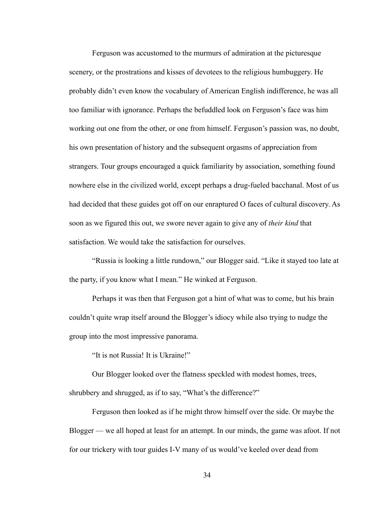Ferguson was accustomed to the murmurs of admiration at the picturesque scenery, or the prostrations and kisses of devotees to the religious humbuggery. He probably didn't even know the vocabulary of American English indifference, he was all too familiar with ignorance. Perhaps the befuddled look on Ferguson's face was him working out one from the other, or one from himself. Ferguson's passion was, no doubt, his own presentation of history and the subsequent orgasms of appreciation from strangers. Tour groups encouraged a quick familiarity by association, something found nowhere else in the civilized world, except perhaps a drug-fueled bacchanal. Most of us had decided that these guides got off on our enraptured O faces of cultural discovery. As soon as we figured this out, we swore never again to give any of *their kind* that satisfaction. We would take the satisfaction for ourselves.

"Russia is looking a little rundown," our Blogger said. "Like it stayed too late at the party, if you know what I mean." He winked at Ferguson.

 Perhaps it was then that Ferguson got a hint of what was to come, but his brain couldn't quite wrap itself around the Blogger's idiocy while also trying to nudge the group into the most impressive panorama.

"It is not Russia! It is Ukraine!"

 Our Blogger looked over the flatness speckled with modest homes, trees, shrubbery and shrugged, as if to say, "What's the difference?"

 Ferguson then looked as if he might throw himself over the side. Or maybe the Blogger — we all hoped at least for an attempt. In our minds, the game was afoot. If not for our trickery with tour guides I-V many of us would've keeled over dead from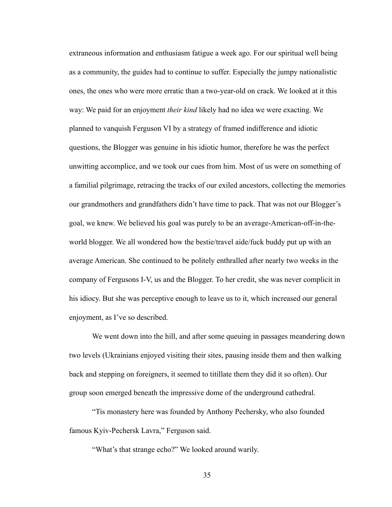extraneous information and enthusiasm fatigue a week ago. For our spiritual well being as a community, the guides had to continue to suffer. Especially the jumpy nationalistic ones, the ones who were more erratic than a two-year-old on crack. We looked at it this way: We paid for an enjoyment *their kind* likely had no idea we were exacting. We planned to vanquish Ferguson VI by a strategy of framed indifference and idiotic questions, the Blogger was genuine in his idiotic humor, therefore he was the perfect unwitting accomplice, and we took our cues from him. Most of us were on something of a familial pilgrimage, retracing the tracks of our exiled ancestors, collecting the memories our grandmothers and grandfathers didn't have time to pack. That was not our Blogger's goal, we knew. We believed his goal was purely to be an average-American-off-in-theworld blogger. We all wondered how the bestie/travel aide/fuck buddy put up with an average American. She continued to be politely enthralled after nearly two weeks in the company of Fergusons I-V, us and the Blogger. To her credit, she was never complicit in his idiocy. But she was perceptive enough to leave us to it, which increased our general enjoyment, as I've so described.

 We went down into the hill, and after some queuing in passages meandering down two levels (Ukrainians enjoyed visiting their sites, pausing inside them and then walking back and stepping on foreigners, it seemed to titillate them they did it so often). Our group soon emerged beneath the impressive dome of the underground cathedral.

 "Tis monastery here was founded by Anthony Pechersky, who also founded famous Kyiv-Pechersk Lavra," Ferguson said.

"What's that strange echo?" We looked around warily.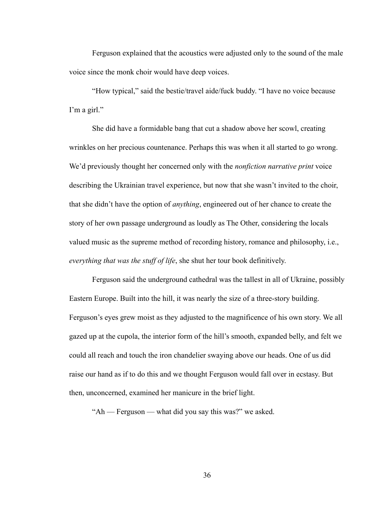Ferguson explained that the acoustics were adjusted only to the sound of the male voice since the monk choir would have deep voices.

 "How typical," said the bestie/travel aide/fuck buddy. "I have no voice because I'm a girl."

 She did have a formidable bang that cut a shadow above her scowl, creating wrinkles on her precious countenance. Perhaps this was when it all started to go wrong. We'd previously thought her concerned only with the *nonfiction narrative print* voice describing the Ukrainian travel experience, but now that she wasn't invited to the choir, that she didn't have the option of *anything*, engineered out of her chance to create the story of her own passage underground as loudly as The Other, considering the locals valued music as the supreme method of recording history, romance and philosophy, i.e., *everything that was the stuff of life*, she shut her tour book definitively.

 Ferguson said the underground cathedral was the tallest in all of Ukraine, possibly Eastern Europe. Built into the hill, it was nearly the size of a three-story building. Ferguson's eyes grew moist as they adjusted to the magnificence of his own story. We all gazed up at the cupola, the interior form of the hill's smooth, expanded belly, and felt we could all reach and touch the iron chandelier swaying above our heads. One of us did raise our hand as if to do this and we thought Ferguson would fall over in ecstasy. But then, unconcerned, examined her manicure in the brief light.

"Ah — Ferguson — what did you say this was?" we asked.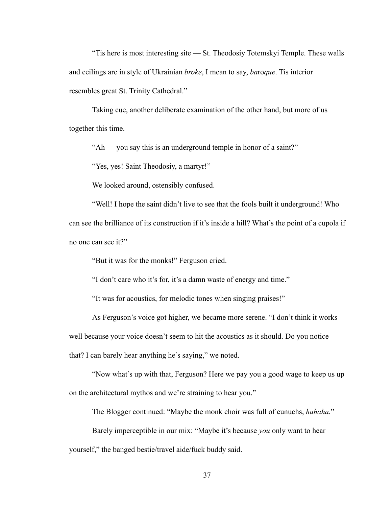"Tis here is most interesting site — St. Theodosiy Totemskyi Temple. These walls and ceilings are in style of Ukrainian *broke*, I mean to say, *ba*ro*que*. Tis interior resembles great St. Trinity Cathedral."

 Taking cue, another deliberate examination of the other hand, but more of us together this time.

"Ah — you say this is an underground temple in honor of a saint?"

"Yes, yes! Saint Theodosiy, a martyr!"

We looked around, ostensibly confused.

 "Well! I hope the saint didn't live to see that the fools built it underground! Who can see the brilliance of its construction if it's inside a hill? What's the point of a cupola if no one can see it?"

"But it was for the monks!" Ferguson cried.

"I don't care who it's for, it's a damn waste of energy and time."

"It was for acoustics, for melodic tones when singing praises!"

As Ferguson's voice got higher, we became more serene. "I don't think it works

well because your voice doesn't seem to hit the acoustics as it should. Do you notice

that? I can barely hear anything he's saying," we noted.

 "Now what's up with that, Ferguson? Here we pay you a good wage to keep us up on the architectural mythos and we're straining to hear you."

The Blogger continued: "Maybe the monk choir was full of eunuchs, *hahaha.*"

 Barely imperceptible in our mix: "Maybe it's because *you* only want to hear yourself," the banged bestie/travel aide/fuck buddy said.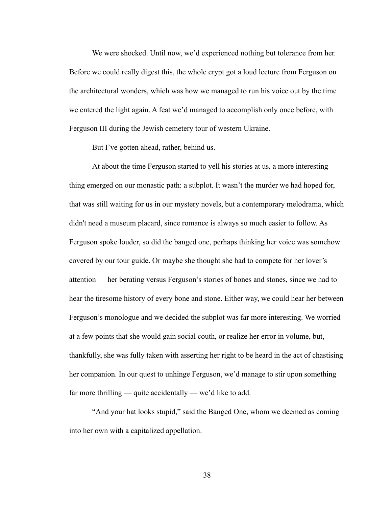We were shocked. Until now, we'd experienced nothing but tolerance from her. Before we could really digest this, the whole crypt got a loud lecture from Ferguson on the architectural wonders, which was how we managed to run his voice out by the time we entered the light again. A feat we'd managed to accomplish only once before, with Ferguson III during the Jewish cemetery tour of western Ukraine.

But I've gotten ahead, rather, behind us.

 At about the time Ferguson started to yell his stories at us, a more interesting thing emerged on our monastic path: a subplot. It wasn't the murder we had hoped for, that was still waiting for us in our mystery novels, but a contemporary melodrama, which didn't need a museum placard, since romance is always so much easier to follow. As Ferguson spoke louder, so did the banged one, perhaps thinking her voice was somehow covered by our tour guide. Or maybe she thought she had to compete for her lover's attention — her berating versus Ferguson's stories of bones and stones, since we had to hear the tiresome history of every bone and stone. Either way, we could hear her between Ferguson's monologue and we decided the subplot was far more interesting. We worried at a few points that she would gain social couth, or realize her error in volume, but, thankfully, she was fully taken with asserting her right to be heard in the act of chastising her companion. In our quest to unhinge Ferguson, we'd manage to stir upon something far more thrilling — quite accidentally — we'd like to add.

 "And your hat looks stupid," said the Banged One, whom we deemed as coming into her own with a capitalized appellation.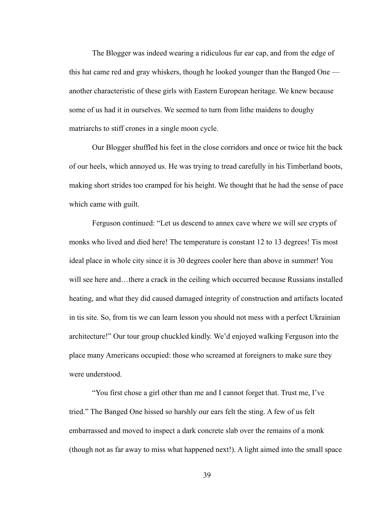The Blogger was indeed wearing a ridiculous fur ear cap, and from the edge of this hat came red and gray whiskers, though he looked younger than the Banged One another characteristic of these girls with Eastern European heritage. We knew because some of us had it in ourselves. We seemed to turn from lithe maidens to doughy matriarchs to stiff crones in a single moon cycle.

 Our Blogger shuffled his feet in the close corridors and once or twice hit the back of our heels, which annoyed us. He was trying to tread carefully in his Timberland boots, making short strides too cramped for his height. We thought that he had the sense of pace which came with guilt.

 Ferguson continued: "Let us descend to annex cave where we will see crypts of monks who lived and died here! The temperature is constant 12 to 13 degrees! Tis most ideal place in whole city since it is 30 degrees cooler here than above in summer! You will see here and…there a crack in the ceiling which occurred because Russians installed heating, and what they did caused damaged integrity of construction and artifacts located in tis site. So, from tis we can learn lesson you should not mess with a perfect Ukrainian architecture!" Our tour group chuckled kindly. We'd enjoyed walking Ferguson into the place many Americans occupied: those who screamed at foreigners to make sure they were understood.

 "You first chose a girl other than me and I cannot forget that. Trust me, I've tried." The Banged One hissed so harshly our ears felt the sting. A few of us felt embarrassed and moved to inspect a dark concrete slab over the remains of a monk (though not as far away to miss what happened next!). A light aimed into the small space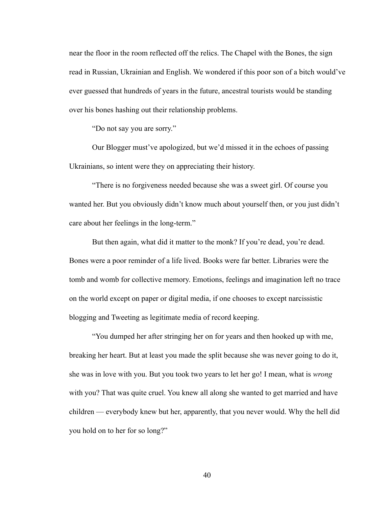near the floor in the room reflected off the relics. The Chapel with the Bones, the sign read in Russian, Ukrainian and English. We wondered if this poor son of a bitch would've ever guessed that hundreds of years in the future, ancestral tourists would be standing over his bones hashing out their relationship problems.

"Do not say you are sorry."

 Our Blogger must've apologized, but we'd missed it in the echoes of passing Ukrainians, so intent were they on appreciating their history.

 "There is no forgiveness needed because she was a sweet girl. Of course you wanted her. But you obviously didn't know much about yourself then, or you just didn't care about her feelings in the long-term."

 But then again, what did it matter to the monk? If you're dead, you're dead. Bones were a poor reminder of a life lived. Books were far better. Libraries were the tomb and womb for collective memory. Emotions, feelings and imagination left no trace on the world except on paper or digital media, if one chooses to except narcissistic blogging and Tweeting as legitimate media of record keeping.

 "You dumped her after stringing her on for years and then hooked up with me, breaking her heart. But at least you made the split because she was never going to do it, she was in love with you. But you took two years to let her go! I mean, what is *wrong* with you? That was quite cruel. You knew all along she wanted to get married and have children — everybody knew but her, apparently, that you never would. Why the hell did you hold on to her for so long?"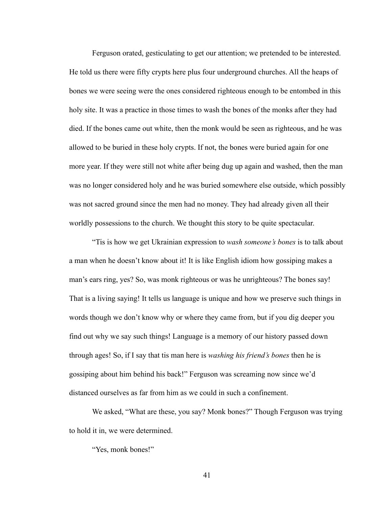Ferguson orated, gesticulating to get our attention; we pretended to be interested. He told us there were fifty crypts here plus four underground churches. All the heaps of bones we were seeing were the ones considered righteous enough to be entombed in this holy site. It was a practice in those times to wash the bones of the monks after they had died. If the bones came out white, then the monk would be seen as righteous, and he was allowed to be buried in these holy crypts. If not, the bones were buried again for one more year. If they were still not white after being dug up again and washed, then the man was no longer considered holy and he was buried somewhere else outside, which possibly was not sacred ground since the men had no money. They had already given all their worldly possessions to the church. We thought this story to be quite spectacular.

 "Tis is how we get Ukrainian expression to *wash someone's bones* is to talk about a man when he doesn't know about it! It is like English idiom how gossiping makes a man's ears ring, yes? So, was monk righteous or was he unrighteous? The bones say! That is a living saying! It tells us language is unique and how we preserve such things in words though we don't know why or where they came from, but if you dig deeper you find out why we say such things! Language is a memory of our history passed down through ages! So, if I say that tis man here is *washing his friend's bones* then he is gossiping about him behind his back!" Ferguson was screaming now since we'd distanced ourselves as far from him as we could in such a confinement.

 We asked, "What are these, you say? Monk bones?" Though Ferguson was trying to hold it in, we were determined.

"Yes, monk bones!"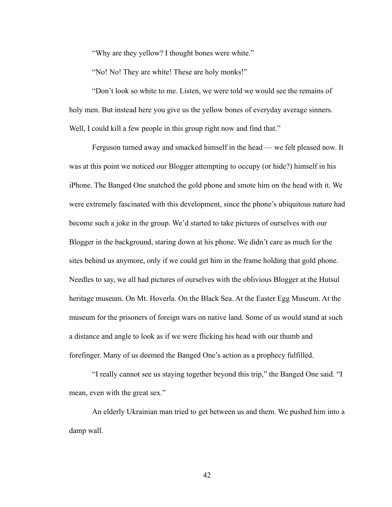"Why are they yellow? I thought bones were white."

"No! No! They are white! These are holy monks!"

 "Don't look so white to me. Listen, we were told we would see the remains of holy men. But instead here you give us the yellow bones of everyday average sinners. Well, I could kill a few people in this group right now and find that."

 Ferguson turned away and smacked himself in the head — we felt pleased now. It was at this point we noticed our Blogger attempting to occupy (or hide?) himself in his iPhone. The Banged One snatched the gold phone and smote him on the head with it. We were extremely fascinated with this development, since the phone's ubiquitous nature had become such a joke in the group. We'd started to take pictures of ourselves with our Blogger in the background, staring down at his phone. We didn't care as much for the sites behind us anymore, only if we could get him in the frame holding that gold phone. Needles to say, we all had pictures of ourselves with the oblivious Blogger at the Hutsul heritage museum. On Mt. Hoverla. On the Black Sea. At the Easter Egg Museum. At the museum for the prisoners of foreign wars on native land. Some of us would stand at such a distance and angle to look as if we were flicking his head with our thumb and forefinger. Many of us deemed the Banged One's action as a prophecy fulfilled.

 "I really cannot see us staying together beyond this trip," the Banged One said. "I mean, even with the great sex."

 An elderly Ukrainian man tried to get between us and them. We pushed him into a damp wall.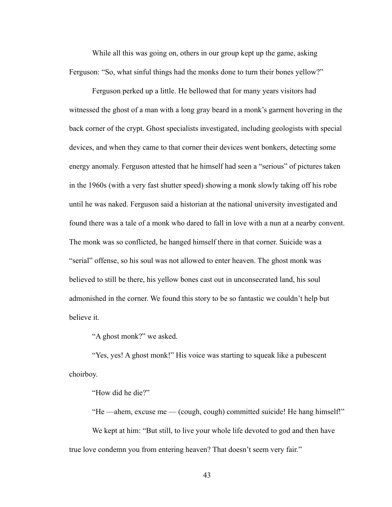While all this was going on, others in our group kept up the game, asking Ferguson: "So, what sinful things had the monks done to turn their bones yellow?"

 Ferguson perked up a little. He bellowed that for many years visitors had witnessed the ghost of a man with a long gray beard in a monk's garment hovering in the back corner of the crypt. Ghost specialists investigated, including geologists with special devices, and when they came to that corner their devices went bonkers, detecting some energy anomaly. Ferguson attested that he himself had seen a "serious" of pictures taken in the 1960s (with a very fast shutter speed) showing a monk slowly taking off his robe until he was naked. Ferguson said a historian at the national university investigated and found there was a tale of a monk who dared to fall in love with a nun at a nearby convent. The monk was so conflicted, he hanged himself there in that corner. Suicide was a "serial" offense, so his soul was not allowed to enter heaven. The ghost monk was believed to still be there, his yellow bones cast out in unconsecrated land, his soul admonished in the corner. We found this story to be so fantastic we couldn't help but believe it.

"A ghost monk?" we asked.

"Yes, yes! A ghost monk!" His voice was starting to squeak like a pubescent choirboy.

"How did he die?"

 "He —ahem, excuse me — (cough, cough) committed suicide! He hang himself!" We kept at him: "But still, to live your whole life devoted to god and then have true love condemn you from entering heaven? That doesn't seem very fair."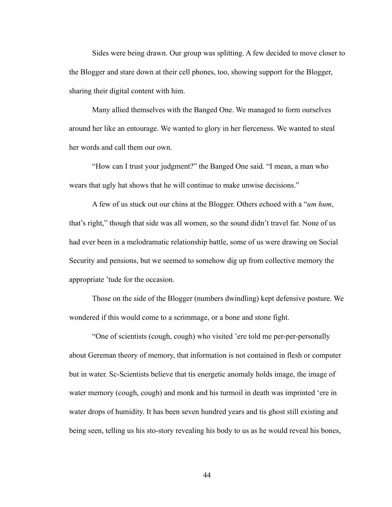Sides were being drawn. Our group was splitting. A few decided to move closer to the Blogger and stare down at their cell phones, too, showing support for the Blogger, sharing their digital content with him.

 Many allied themselves with the Banged One. We managed to form ourselves around her like an entourage. We wanted to glory in her fierceness. We wanted to steal her words and call them our own.

 "How can I trust your judgment?" the Banged One said. "I mean, a man who wears that ugly hat shows that he will continue to make unwise decisions."

 A few of us stuck out our chins at the Blogger. Others echoed with a "*um hum*, that's right," though that side was all women, so the sound didn't travel far. None of us had ever been in a melodramatic relationship battle, some of us were drawing on Social Security and pensions, but we seemed to somehow dig up from collective memory the appropriate 'tude for the occasion.

 Those on the side of the Blogger (numbers dwindling) kept defensive posture. We wondered if this would come to a scrimmage, or a bone and stone fight.

 "One of scientists (cough, cough) who visited 'ere told me per-per-personally about Gereman theory of memory, that information is not contained in flesh or computer but in water. Sc-Scientists believe that tis energetic anomaly holds image, the image of water memory (cough, cough) and monk and his turmoil in death was imprinted 'ere in water drops of humidity. It has been seven hundred years and tis ghost still existing and being seen, telling us his sto-story revealing his body to us as he would reveal his bones,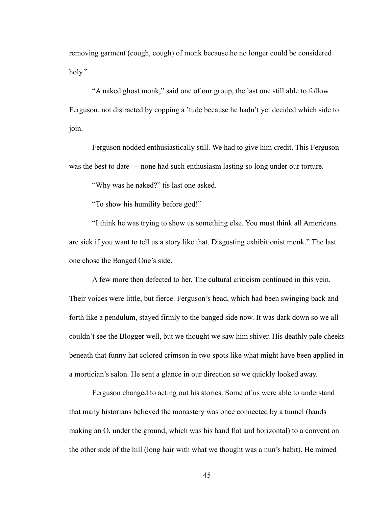removing garment (cough, cough) of monk because he no longer could be considered holy."

 "A naked ghost monk," said one of our group, the last one still able to follow Ferguson, not distracted by copping a 'tude because he hadn't yet decided which side to join.

 Ferguson nodded enthusiastically still. We had to give him credit. This Ferguson was the best to date — none had such enthusiasm lasting so long under our torture.

"Why was he naked?" tis last one asked.

"To show his humility before god!"

 "I think he was trying to show us something else. You must think all Americans are sick if you want to tell us a story like that. Disgusting exhibitionist monk." The last one chose the Banged One's side.

 A few more then defected to her. The cultural criticism continued in this vein. Their voices were little, but fierce. Ferguson's head, which had been swinging back and forth like a pendulum, stayed firmly to the banged side now. It was dark down so we all couldn't see the Blogger well, but we thought we saw him shiver. His deathly pale cheeks beneath that funny hat colored crimson in two spots like what might have been applied in a mortician's salon. He sent a glance in our direction so we quickly looked away.

 Ferguson changed to acting out his stories. Some of us were able to understand that many historians believed the monastery was once connected by a tunnel (hands making an O, under the ground, which was his hand flat and horizontal) to a convent on the other side of the hill (long hair with what we thought was a nun's habit). He mimed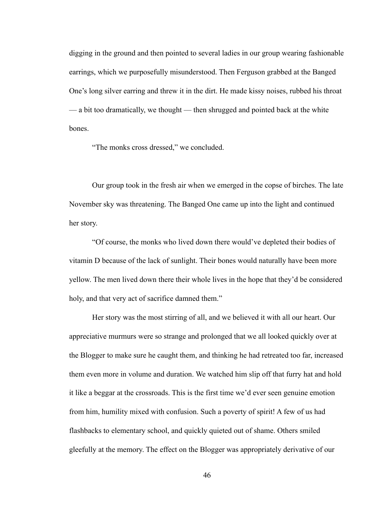digging in the ground and then pointed to several ladies in our group wearing fashionable earrings, which we purposefully misunderstood. Then Ferguson grabbed at the Banged One's long silver earring and threw it in the dirt. He made kissy noises, rubbed his throat  $-$  a bit too dramatically, we thought  $-$  then shrugged and pointed back at the white bones.

"The monks cross dressed," we concluded.

 Our group took in the fresh air when we emerged in the copse of birches. The late November sky was threatening. The Banged One came up into the light and continued her story.

 "Of course, the monks who lived down there would've depleted their bodies of vitamin D because of the lack of sunlight. Their bones would naturally have been more yellow. The men lived down there their whole lives in the hope that they'd be considered holy, and that very act of sacrifice damned them."

 Her story was the most stirring of all, and we believed it with all our heart. Our appreciative murmurs were so strange and prolonged that we all looked quickly over at the Blogger to make sure he caught them, and thinking he had retreated too far, increased them even more in volume and duration. We watched him slip off that furry hat and hold it like a beggar at the crossroads. This is the first time we'd ever seen genuine emotion from him, humility mixed with confusion. Such a poverty of spirit! A few of us had flashbacks to elementary school, and quickly quieted out of shame. Others smiled gleefully at the memory. The effect on the Blogger was appropriately derivative of our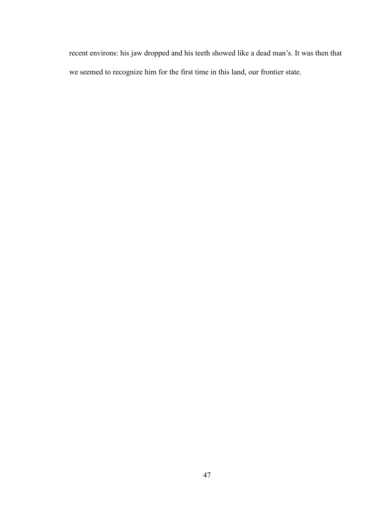recent environs: his jaw dropped and his teeth showed like a dead man's. It was then that we seemed to recognize him for the first time in this land, our frontier state.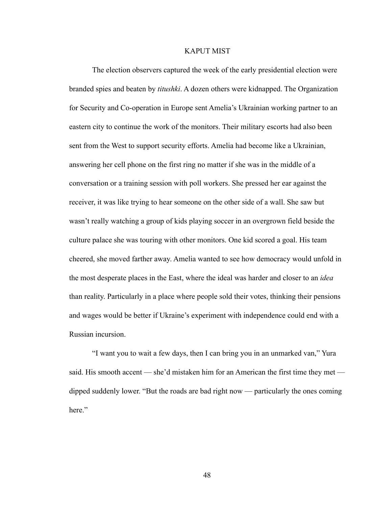#### KAPUT MIST

 The election observers captured the week of the early presidential election were branded spies and beaten by *titushki*. A dozen others were kidnapped. The Organization for Security and Co-operation in Europe sent Amelia's Ukrainian working partner to an eastern city to continue the work of the monitors. Their military escorts had also been sent from the West to support security efforts. Amelia had become like a Ukrainian, answering her cell phone on the first ring no matter if she was in the middle of a conversation or a training session with poll workers. She pressed her ear against the receiver, it was like trying to hear someone on the other side of a wall. She saw but wasn't really watching a group of kids playing soccer in an overgrown field beside the culture palace she was touring with other monitors. One kid scored a goal. His team cheered, she moved farther away. Amelia wanted to see how democracy would unfold in the most desperate places in the East, where the ideal was harder and closer to an *idea* than reality. Particularly in a place where people sold their votes, thinking their pensions and wages would be better if Ukraine's experiment with independence could end with a Russian incursion.

 "I want you to wait a few days, then I can bring you in an unmarked van," Yura said. His smooth accent — she'd mistaken him for an American the first time they met dipped suddenly lower. "But the roads are bad right now — particularly the ones coming here."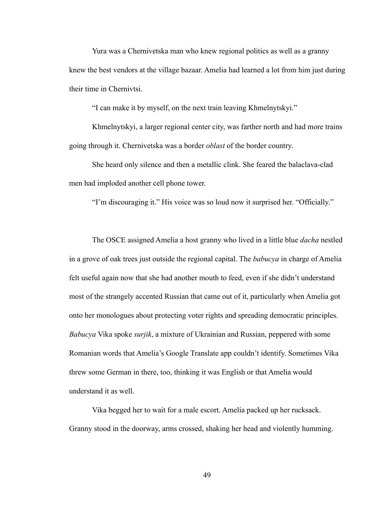Yura was a Chernivetska man who knew regional politics as well as a granny knew the best vendors at the village bazaar. Amelia had learned a lot from him just during their time in Chernivtsi.

"I can make it by myself, on the next train leaving Khmelnytskyi."

 Khmelnytskyi, a larger regional center city, was farther north and had more trains going through it. Chernivetska was a border *oblast* of the border country.

 She heard only silence and then a metallic clink. She feared the balaclava-clad men had imploded another cell phone tower.

"I'm discouraging it." His voice was so loud now it surprised her. "Officially."

 The OSCE assigned Amelia a host granny who lived in a little blue *dacha* nestled in a grove of oak trees just outside the regional capital. The *babucya* in charge of Amelia felt useful again now that she had another mouth to feed, even if she didn't understand most of the strangely accented Russian that came out of it, particularly when Amelia got onto her monologues about protecting voter rights and spreading democratic principles. *Babucya* Vika spoke *surjik*, a mixture of Ukrainian and Russian, peppered with some Romanian words that Amelia's Google Translate app couldn't identify. Sometimes Vika threw some German in there, too, thinking it was English or that Amelia would understand it as well.

 Vika begged her to wait for a male escort. Amelia packed up her rucksack. Granny stood in the doorway, arms crossed, shaking her head and violently humming.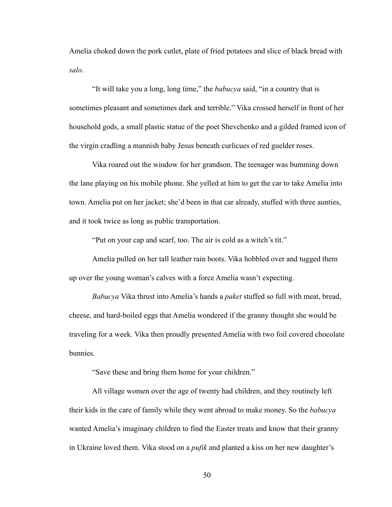Amelia choked down the pork cutlet, plate of fried potatoes and slice of black bread with *salo*.

 "It will take you a long, long time," the *babucya* said, "in a country that is sometimes pleasant and sometimes dark and terrible." Vika crossed herself in front of her household gods, a small plastic statue of the poet Shevchenko and a gilded framed icon of the virgin cradling a mannish baby Jesus beneath curlicues of red guelder roses.

 Vika roared out the window for her grandson. The teenager was bumming down the lane playing on his mobile phone. She yelled at him to get the car to take Amelia into town. Amelia put on her jacket; she'd been in that car already, stuffed with three aunties, and it took twice as long as public transportation.

"Put on your cap and scarf, too. The air is cold as a witch's tit."

 Amelia pulled on her tall leather rain boots. Vika hobbled over and tugged them up over the young woman's calves with a force Amelia wasn't expecting.

 *Babucya* Vika thrust into Amelia's hands a *paket* stuffed so full with meat, bread, cheese, and hard-boiled eggs that Amelia wondered if the granny thought she would be traveling for a week. Vika then proudly presented Amelia with two foil covered chocolate bunnies.

"Save these and bring them home for your children."

 All village women over the age of twenty had children, and they routinely left their kids in the care of family while they went abroad to make money. So the *babucya* wanted Amelia's imaginary children to find the Easter treats and know that their granny in Ukraine loved them. Vika stood on a *pufik* and planted a kiss on her new daughter's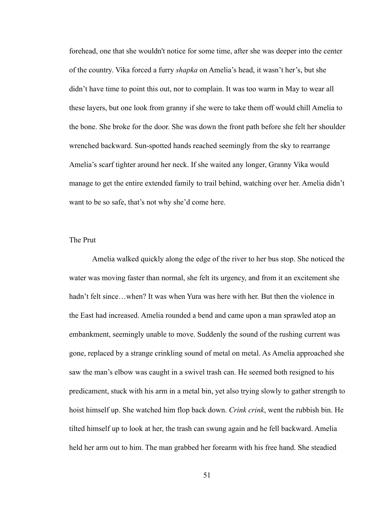forehead, one that she wouldn't notice for some time, after she was deeper into the center of the country. Vika forced a furry *shapka* on Amelia's head, it wasn't her's, but she didn't have time to point this out, nor to complain. It was too warm in May to wear all these layers, but one look from granny if she were to take them off would chill Amelia to the bone. She broke for the door. She was down the front path before she felt her shoulder wrenched backward. Sun-spotted hands reached seemingly from the sky to rearrange Amelia's scarf tighter around her neck. If she waited any longer, Granny Vika would manage to get the entire extended family to trail behind, watching over her. Amelia didn't want to be so safe, that's not why she'd come here.

#### The Prut

 Amelia walked quickly along the edge of the river to her bus stop. She noticed the water was moving faster than normal, she felt its urgency, and from it an excitement she hadn't felt since…when? It was when Yura was here with her. But then the violence in the East had increased. Amelia rounded a bend and came upon a man sprawled atop an embankment, seemingly unable to move. Suddenly the sound of the rushing current was gone, replaced by a strange crinkling sound of metal on metal. As Amelia approached she saw the man's elbow was caught in a swivel trash can. He seemed both resigned to his predicament, stuck with his arm in a metal bin, yet also trying slowly to gather strength to hoist himself up. She watched him flop back down. *Crink crink*, went the rubbish bin. He tilted himself up to look at her, the trash can swung again and he fell backward. Amelia held her arm out to him. The man grabbed her forearm with his free hand. She steadied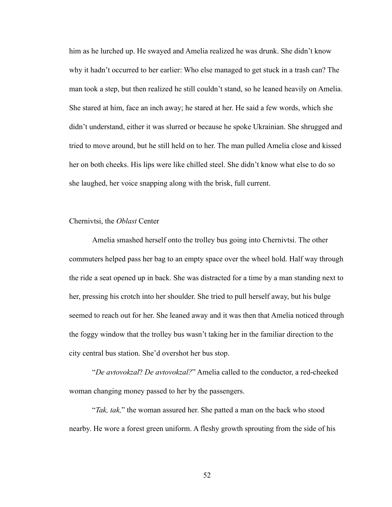him as he lurched up. He swayed and Amelia realized he was drunk. She didn't know why it hadn't occurred to her earlier: Who else managed to get stuck in a trash can? The man took a step, but then realized he still couldn't stand, so he leaned heavily on Amelia. She stared at him, face an inch away; he stared at her. He said a few words, which she didn't understand, either it was slurred or because he spoke Ukrainian. She shrugged and tried to move around, but he still held on to her. The man pulled Amelia close and kissed her on both cheeks. His lips were like chilled steel. She didn't know what else to do so she laughed, her voice snapping along with the brisk, full current.

# Chernivtsi, the *Oblast* Center

Amelia smashed herself onto the trolley bus going into Chernivtsi. The other commuters helped pass her bag to an empty space over the wheel hold. Half way through the ride a seat opened up in back. She was distracted for a time by a man standing next to her, pressing his crotch into her shoulder. She tried to pull herself away, but his bulge seemed to reach out for her. She leaned away and it was then that Amelia noticed through the foggy window that the trolley bus wasn't taking her in the familiar direction to the city central bus station. She'd overshot her bus stop.

 "*De avtovokzal*? *De avtovokzal?*" Amelia called to the conductor, a red-cheeked woman changing money passed to her by the passengers.

 "*Tak, tak,*" the woman assured her. She patted a man on the back who stood nearby. He wore a forest green uniform. A fleshy growth sprouting from the side of his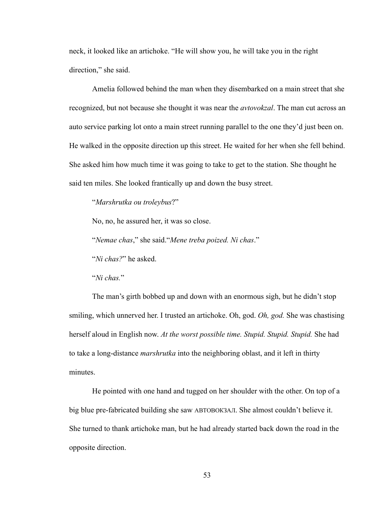neck, it looked like an artichoke. "He will show you, he will take you in the right direction," she said.

 Amelia followed behind the man when they disembarked on a main street that she recognized, but not because she thought it was near the *avtovokzal*. The man cut across an auto service parking lot onto a main street running parallel to the one they'd just been on. He walked in the opposite direction up this street. He waited for her when she fell behind. She asked him how much time it was going to take to get to the station. She thought he said ten miles. She looked frantically up and down the busy street.

"*Marshrutka ou troleybus*?"

No, no, he assured her, it was so close.

"*Nemae chas*," she said."*Mene treba poized. Ni chas*."

"*Ni chas?*" he asked.

"*Ni chas.*"

 The man's girth bobbed up and down with an enormous sigh, but he didn't stop smiling, which unnerved her. I trusted an artichoke. Oh, god. *Oh, god.* She was chastising herself aloud in English now. *At the worst possible time. Stupid. Stupid. Stupid.* She had to take a long-distance *marshrutka* into the neighboring oblast, and it left in thirty minutes.

 He pointed with one hand and tugged on her shoulder with the other. On top of a big blue pre-fabricated building she saw АВТОВОКЗАЛ. She almost couldn't believe it. She turned to thank artichoke man, but he had already started back down the road in the opposite direction.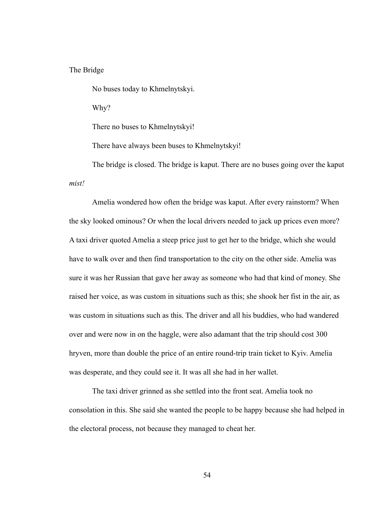## The Bridge

No buses today to Khmelnytskyi.

Why?

There no buses to Khmelnytskyi!

There have always been buses to Khmelnytskyi!

 The bridge is closed. The bridge is kaput. There are no buses going over the kaput *mist!*

 Amelia wondered how often the bridge was kaput. After every rainstorm? When the sky looked ominous? Or when the local drivers needed to jack up prices even more? A taxi driver quoted Amelia a steep price just to get her to the bridge, which she would have to walk over and then find transportation to the city on the other side. Amelia was sure it was her Russian that gave her away as someone who had that kind of money. She raised her voice, as was custom in situations such as this; she shook her fist in the air, as was custom in situations such as this. The driver and all his buddies, who had wandered over and were now in on the haggle, were also adamant that the trip should cost 300 hryven, more than double the price of an entire round-trip train ticket to Kyiv. Amelia was desperate, and they could see it. It was all she had in her wallet.

 The taxi driver grinned as she settled into the front seat. Amelia took no consolation in this. She said she wanted the people to be happy because she had helped in the electoral process, not because they managed to cheat her.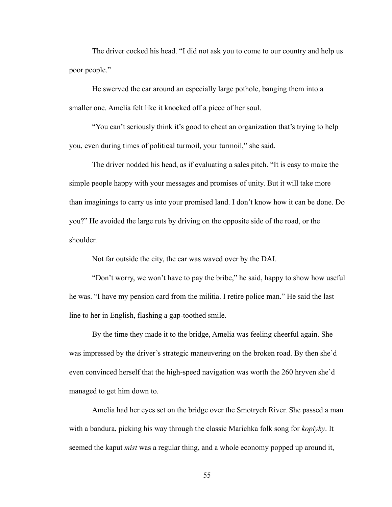The driver cocked his head. "I did not ask you to come to our country and help us poor people."

 He swerved the car around an especially large pothole, banging them into a smaller one. Amelia felt like it knocked off a piece of her soul.

 "You can't seriously think it's good to cheat an organization that's trying to help you, even during times of political turmoil, your turmoil," she said.

 The driver nodded his head, as if evaluating a sales pitch. "It is easy to make the simple people happy with your messages and promises of unity. But it will take more than imaginings to carry us into your promised land. I don't know how it can be done. Do you?" He avoided the large ruts by driving on the opposite side of the road, or the shoulder.

Not far outside the city, the car was waved over by the DAI.

 "Don't worry, we won't have to pay the bribe," he said, happy to show how useful he was. "I have my pension card from the militia. I retire police man." He said the last line to her in English, flashing a gap-toothed smile.

By the time they made it to the bridge, Amelia was feeling cheerful again. She was impressed by the driver's strategic maneuvering on the broken road. By then she'd even convinced herself that the high-speed navigation was worth the 260 hryven she'd managed to get him down to.

 Amelia had her eyes set on the bridge over the Smotrych River. She passed a man with a bandura, picking his way through the classic Marichka folk song for *kopiyky*. It seemed the kaput *mist* was a regular thing, and a whole economy popped up around it,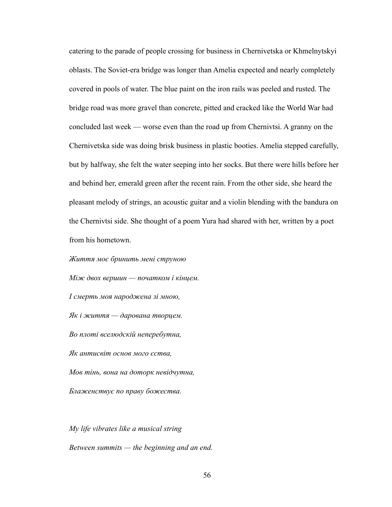catering to the parade of people crossing for business in Chernivetska or Khmelnytskyi oblasts. The Soviet-era bridge was longer than Amelia expected and nearly completely covered in pools of water. The blue paint on the iron rails was peeled and rusted. The bridge road was more gravel than concrete, pitted and cracked like the World War had concluded last week — worse even than the road up from Chernivtsi. A granny on the Chernivetska side was doing brisk business in plastic booties. Amelia stepped carefully, but by halfway, she felt the water seeping into her socks. But there were hills before her and behind her, emerald green after the recent rain. From the other side, she heard the pleasant melody of strings, an acoustic guitar and a violin blending with the bandura on the Chernivtsi side. She thought of a poem Yura had shared with her, written by a poet from his hometown.

*Життя моє бринить мені струною Між двох вершин — початком і кінцем. І смерть моя народжена зі мною, Як і життя — дарована творцем. Во плоті вселюдскій неперебутна, Як антисвіт основ мого єства, Мов тінь, вона на доторк невідчутна, Блаженствує по праву божества.* 

*My life vibrates like a musical string Between summits — the beginning and an end.*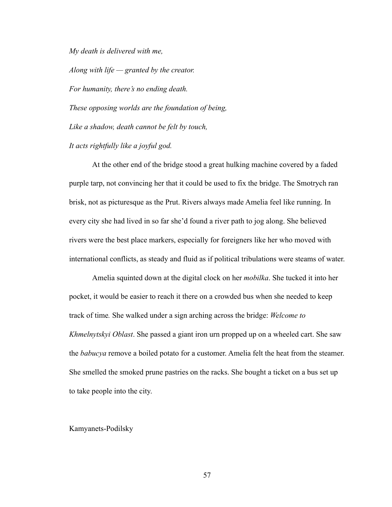*My death is delivered with me,* 

*Along with life — granted by the creator. For humanity, there's no ending death. These opposing worlds are the foundation of being, Like a shadow, death cannot be felt by touch, It acts rightfully like a joyful god.*

 At the other end of the bridge stood a great hulking machine covered by a faded purple tarp, not convincing her that it could be used to fix the bridge. The Smotrych ran brisk, not as picturesque as the Prut. Rivers always made Amelia feel like running. In every city she had lived in so far she'd found a river path to jog along. She believed rivers were the best place markers, especially for foreigners like her who moved with international conflicts, as steady and fluid as if political tribulations were steams of water.

 Amelia squinted down at the digital clock on her *mobilka*. She tucked it into her pocket, it would be easier to reach it there on a crowded bus when she needed to keep track of time*.* She walked under a sign arching across the bridge: *Welcome to Khmelnytskyi Oblast*. She passed a giant iron urn propped up on a wheeled cart. She saw the *babucya* remove a boiled potato for a customer. Amelia felt the heat from the steamer. She smelled the smoked prune pastries on the racks. She bought a ticket on a bus set up to take people into the city.

### Kamyanets-Podilsky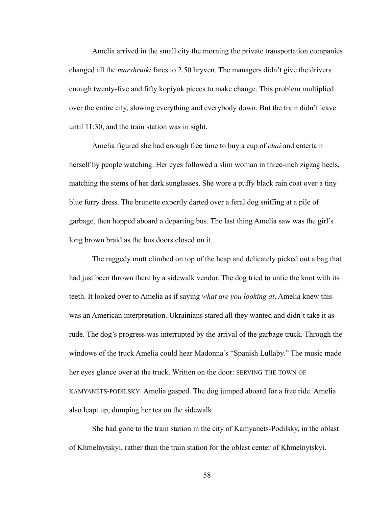Amelia arrived in the small city the morning the private transportation companies changed all the *marshrutki* fares to 2.50 hryven. The managers didn't give the drivers enough twenty-five and fifty kopiyok pieces to make change. This problem multiplied over the entire city, slowing everything and everybody down. But the train didn't leave until 11:30, and the train station was in sight.

 Amelia figured she had enough free time to buy a cup of *chai* and entertain herself by people watching. Her eyes followed a slim woman in three-inch zigzag heels, matching the stems of her dark sunglasses. She wore a puffy black rain coat over a tiny blue furry dress. The brunette expertly darted over a feral dog sniffing at a pile of garbage, then hopped aboard a departing bus. The last thing Amelia saw was the girl's long brown braid as the bus doors closed on it.

 The raggedy mutt climbed on top of the heap and delicately picked out a bag that had just been thrown there by a sidewalk vendor. The dog tried to untie the knot with its teeth. It looked over to Amelia as if saying *what are you looking at*. Amelia knew this was an American interpretation. Ukrainians stared all they wanted and didn't take it as rude. The dog's progress was interrupted by the arrival of the garbage truck. Through the windows of the truck Amelia could hear Madonna's "Spanish Lullaby." The music made her eyes glance over at the truck. Written on the door: SERVING THE TOWN OF KAMYANETS-PODILSKY. Amelia gasped. The dog jumped aboard for a free ride. Amelia also leapt up, dumping her tea on the sidewalk.

 She had gone to the train station in the city of Kamyanets-Podilsky, in the oblast of Khmelnytskyi, rather than the train station for the oblast center of Khmelnytskyi.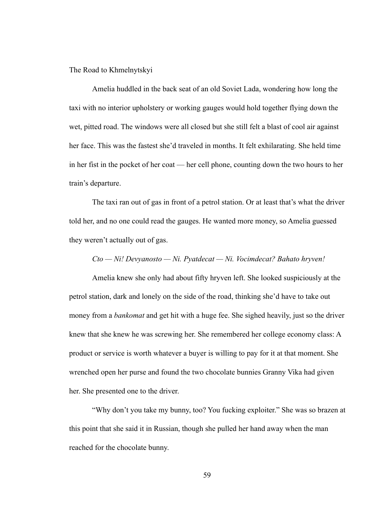# The Road to Khmelnytskyi

Amelia huddled in the back seat of an old Soviet Lada, wondering how long the taxi with no interior upholstery or working gauges would hold together flying down the wet, pitted road. The windows were all closed but she still felt a blast of cool air against her face. This was the fastest she'd traveled in months. It felt exhilarating. She held time in her fist in the pocket of her coat — her cell phone, counting down the two hours to her train's departure.

 The taxi ran out of gas in front of a petrol station. Or at least that's what the driver told her, and no one could read the gauges. He wanted more money, so Amelia guessed they weren't actually out of gas.

## *Cto — Ni! Devyanosto — Ni. Pyatdecat — Ni. Vocimdecat? Bahato hryven!*

Amelia knew she only had about fifty hryven left. She looked suspiciously at the petrol station, dark and lonely on the side of the road, thinking she'd have to take out money from a *bankomat* and get hit with a huge fee. She sighed heavily, just so the driver knew that she knew he was screwing her. She remembered her college economy class: A product or service is worth whatever a buyer is willing to pay for it at that moment. She wrenched open her purse and found the two chocolate bunnies Granny Vika had given her. She presented one to the driver.

 "Why don't you take my bunny, too? You fucking exploiter." She was so brazen at this point that she said it in Russian, though she pulled her hand away when the man reached for the chocolate bunny.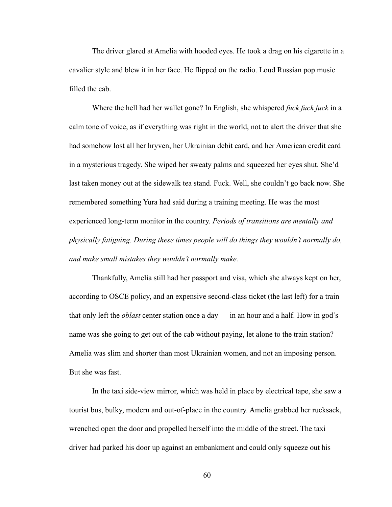The driver glared at Amelia with hooded eyes. He took a drag on his cigarette in a cavalier style and blew it in her face. He flipped on the radio. Loud Russian pop music filled the cab.

 Where the hell had her wallet gone? In English, she whispered *fuck fuck fuck* in a calm tone of voice, as if everything was right in the world, not to alert the driver that she had somehow lost all her hryven, her Ukrainian debit card, and her American credit card in a mysterious tragedy. She wiped her sweaty palms and squeezed her eyes shut. She'd last taken money out at the sidewalk tea stand. Fuck. Well, she couldn't go back now. She remembered something Yura had said during a training meeting. He was the most experienced long-term monitor in the country. *Periods of transitions are mentally and physically fatiguing. During these times people will do things they wouldn't normally do, and make small mistakes they wouldn't normally make.*

 Thankfully, Amelia still had her passport and visa, which she always kept on her, according to OSCE policy, and an expensive second-class ticket (the last left) for a train that only left the *oblast* center station once a day — in an hour and a half. How in god's name was she going to get out of the cab without paying, let alone to the train station? Amelia was slim and shorter than most Ukrainian women, and not an imposing person. But she was fast.

 In the taxi side-view mirror, which was held in place by electrical tape, she saw a tourist bus, bulky, modern and out-of-place in the country. Amelia grabbed her rucksack, wrenched open the door and propelled herself into the middle of the street. The taxi driver had parked his door up against an embankment and could only squeeze out his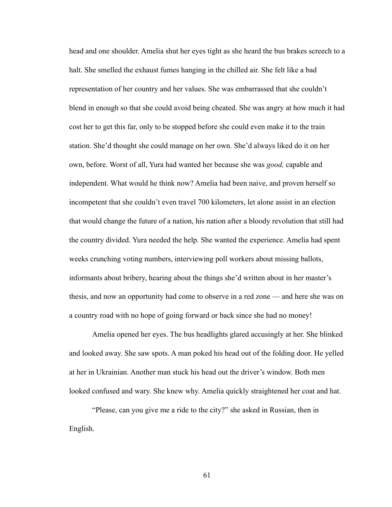head and one shoulder. Amelia shut her eyes tight as she heard the bus brakes screech to a halt. She smelled the exhaust fumes hanging in the chilled air. She felt like a bad representation of her country and her values. She was embarrassed that she couldn't blend in enough so that she could avoid being cheated. She was angry at how much it had cost her to get this far, only to be stopped before she could even make it to the train station. She'd thought she could manage on her own. She'd always liked do it on her own, before. Worst of all, Yura had wanted her because she was *good,* capable and independent. What would he think now? Amelia had been naive, and proven herself so incompetent that she couldn't even travel 700 kilometers, let alone assist in an election that would change the future of a nation, his nation after a bloody revolution that still had the country divided. Yura needed the help. She wanted the experience. Amelia had spent weeks crunching voting numbers, interviewing poll workers about missing ballots, informants about bribery, hearing about the things she'd written about in her master's thesis, and now an opportunity had come to observe in a red zone — and here she was on a country road with no hope of going forward or back since she had no money!

 Amelia opened her eyes. The bus headlights glared accusingly at her. She blinked and looked away. She saw spots. A man poked his head out of the folding door. He yelled at her in Ukrainian. Another man stuck his head out the driver's window. Both men looked confused and wary. She knew why. Amelia quickly straightened her coat and hat.

 "Please, can you give me a ride to the city?" she asked in Russian, then in English.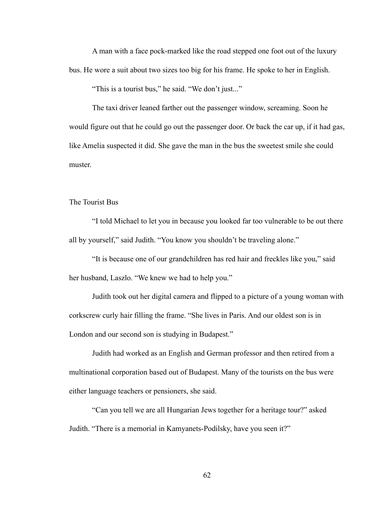A man with a face pock-marked like the road stepped one foot out of the luxury bus. He wore a suit about two sizes too big for his frame. He spoke to her in English.

"This is a tourist bus," he said. "We don't just..."

 The taxi driver leaned farther out the passenger window, screaming. Soon he would figure out that he could go out the passenger door. Or back the car up, if it had gas, like Amelia suspected it did. She gave the man in the bus the sweetest smile she could muster.

# The Tourist Bus

 "I told Michael to let you in because you looked far too vulnerable to be out there all by yourself," said Judith. "You know you shouldn't be traveling alone."

 "It is because one of our grandchildren has red hair and freckles like you," said her husband, Laszlo. "We knew we had to help you."

 Judith took out her digital camera and flipped to a picture of a young woman with corkscrew curly hair filling the frame. "She lives in Paris. And our oldest son is in London and our second son is studying in Budapest."

 Judith had worked as an English and German professor and then retired from a multinational corporation based out of Budapest. Many of the tourists on the bus were either language teachers or pensioners, she said.

 "Can you tell we are all Hungarian Jews together for a heritage tour?" asked Judith. "There is a memorial in Kamyanets-Podilsky, have you seen it?"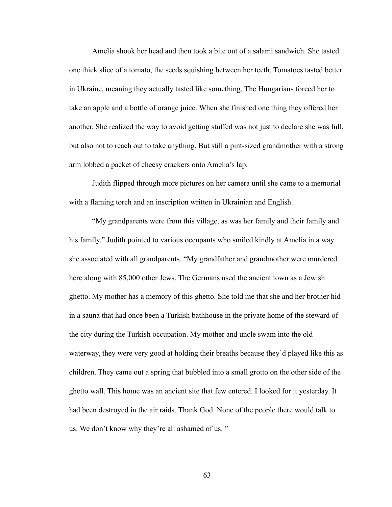Amelia shook her head and then took a bite out of a salami sandwich. She tasted one thick slice of a tomato, the seeds squishing between her teeth. Tomatoes tasted better in Ukraine, meaning they actually tasted like something. The Hungarians forced her to take an apple and a bottle of orange juice. When she finished one thing they offered her another. She realized the way to avoid getting stuffed was not just to declare she was full, but also not to reach out to take anything. But still a pint-sized grandmother with a strong arm lobbed a packet of cheesy crackers onto Amelia's lap.

 Judith flipped through more pictures on her camera until she came to a memorial with a flaming torch and an inscription written in Ukrainian and English.

 "My grandparents were from this village, as was her family and their family and his family." Judith pointed to various occupants who smiled kindly at Amelia in a way she associated with all grandparents. "My grandfather and grandmother were murdered here along with 85,000 other Jews. The Germans used the ancient town as a Jewish ghetto. My mother has a memory of this ghetto. She told me that she and her brother hid in a sauna that had once been a Turkish bathhouse in the private home of the steward of the city during the Turkish occupation. My mother and uncle swam into the old waterway, they were very good at holding their breaths because they'd played like this as children. They came out a spring that bubbled into a small grotto on the other side of the ghetto wall. This home was an ancient site that few entered. I looked for it yesterday. It had been destroyed in the air raids. Thank God. None of the people there would talk to us. We don't know why they're all ashamed of us. "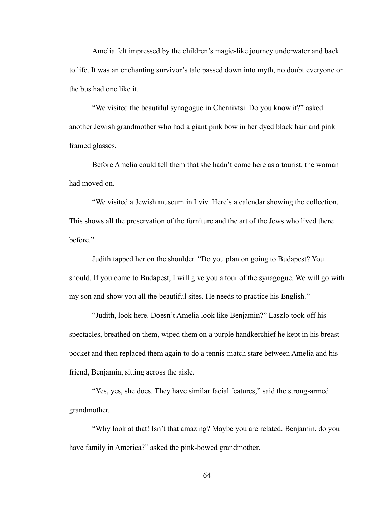Amelia felt impressed by the children's magic-like journey underwater and back to life. It was an enchanting survivor's tale passed down into myth, no doubt everyone on the bus had one like it.

 "We visited the beautiful synagogue in Chernivtsi. Do you know it?" asked another Jewish grandmother who had a giant pink bow in her dyed black hair and pink framed glasses.

 Before Amelia could tell them that she hadn't come here as a tourist, the woman had moved on.

 "We visited a Jewish museum in Lviv. Here's a calendar showing the collection. This shows all the preservation of the furniture and the art of the Jews who lived there before."

 Judith tapped her on the shoulder. "Do you plan on going to Budapest? You should. If you come to Budapest, I will give you a tour of the synagogue. We will go with my son and show you all the beautiful sites. He needs to practice his English."

 "Judith, look here. Doesn't Amelia look like Benjamin?" Laszlo took off his spectacles, breathed on them, wiped them on a purple handkerchief he kept in his breast pocket and then replaced them again to do a tennis-match stare between Amelia and his friend, Benjamin, sitting across the aisle.

 "Yes, yes, she does. They have similar facial features," said the strong-armed grandmother.

 "Why look at that! Isn't that amazing? Maybe you are related. Benjamin, do you have family in America?" asked the pink-bowed grandmother.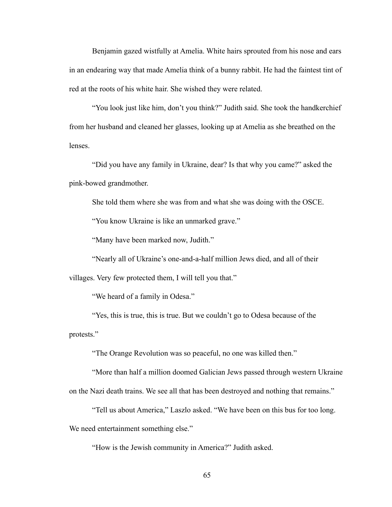Benjamin gazed wistfully at Amelia. White hairs sprouted from his nose and ears in an endearing way that made Amelia think of a bunny rabbit. He had the faintest tint of red at the roots of his white hair. She wished they were related.

 "You look just like him, don't you think?" Judith said. She took the handkerchief from her husband and cleaned her glasses, looking up at Amelia as she breathed on the lenses.

 "Did you have any family in Ukraine, dear? Is that why you came?" asked the pink-bowed grandmother.

She told them where she was from and what she was doing with the OSCE.

"You know Ukraine is like an unmarked grave."

"Many have been marked now, Judith."

 "Nearly all of Ukraine's one-and-a-half million Jews died, and all of their villages. Very few protected them, I will tell you that."

"We heard of a family in Odesa."

 "Yes, this is true, this is true. But we couldn't go to Odesa because of the protests."

"The Orange Revolution was so peaceful, no one was killed then."

 "More than half a million doomed Galician Jews passed through western Ukraine on the Nazi death trains. We see all that has been destroyed and nothing that remains."

 "Tell us about America," Laszlo asked. "We have been on this bus for too long. We need entertainment something else."

"How is the Jewish community in America?" Judith asked.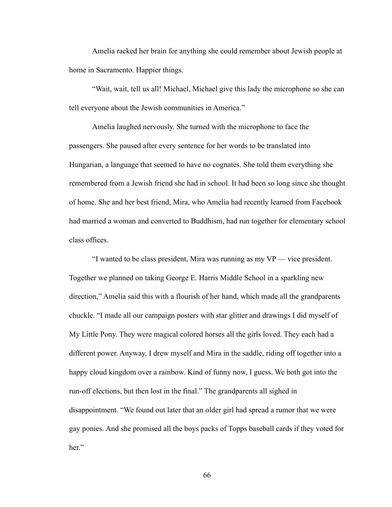Amelia racked her brain for anything she could remember about Jewish people at home in Sacramento. Happier things.

 "Wait, wait, tell us all! Michael, Michael give this lady the microphone so she can tell everyone about the Jewish communities in America."

 Amelia laughed nervously. She turned with the microphone to face the passengers. She paused after every sentence for her words to be translated into Hungarian, a language that seemed to have no cognates. She told them everything she remembered from a Jewish friend she had in school. It had been so long since she thought of home. She and her best friend, Mira, who Amelia had recently learned from Facebook had married a woman and converted to Buddhism, had run together for elementary school class offices.

 "I wanted to be class president, Mira was running as my VP — vice president. Together we planned on taking George E. Harris Middle School in a sparkling new direction," Amelia said this with a flourish of her hand, which made all the grandparents chuckle. "I made all our campaign posters with star glitter and drawings I did myself of My Little Pony. They were magical colored horses all the girls loved. They each had a different power. Anyway, I drew myself and Mira in the saddle, riding off together into a happy cloud kingdom over a rainbow. Kind of funny now, I guess. We both got into the run-off elections, but then lost in the final." The grandparents all sighed in disappointment. "We found out later that an older girl had spread a rumor that we were gay ponies. And she promised all the boys packs of Topps baseball cards if they voted for her."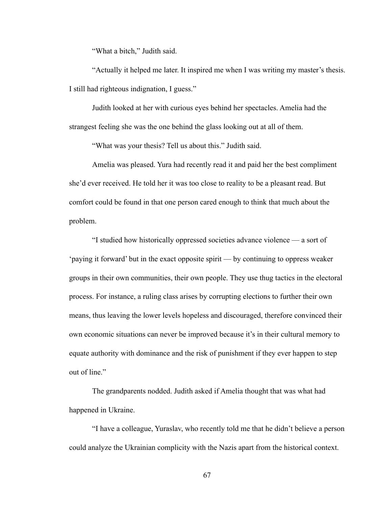"What a bitch," Judith said.

 "Actually it helped me later. It inspired me when I was writing my master's thesis. I still had righteous indignation, I guess."

 Judith looked at her with curious eyes behind her spectacles. Amelia had the strangest feeling she was the one behind the glass looking out at all of them.

"What was your thesis? Tell us about this." Judith said.

 Amelia was pleased. Yura had recently read it and paid her the best compliment she'd ever received. He told her it was too close to reality to be a pleasant read. But comfort could be found in that one person cared enough to think that much about the problem.

"I studied how historically oppressed societies advance violence — a sort of 'paying it forward' but in the exact opposite spirit — by continuing to oppress weaker groups in their own communities, their own people. They use thug tactics in the electoral process. For instance, a ruling class arises by corrupting elections to further their own means, thus leaving the lower levels hopeless and discouraged, therefore convinced their own economic situations can never be improved because it's in their cultural memory to equate authority with dominance and the risk of punishment if they ever happen to step out of line."

 The grandparents nodded. Judith asked if Amelia thought that was what had happened in Ukraine.

 "I have a colleague, Yuraslav, who recently told me that he didn't believe a person could analyze the Ukrainian complicity with the Nazis apart from the historical context.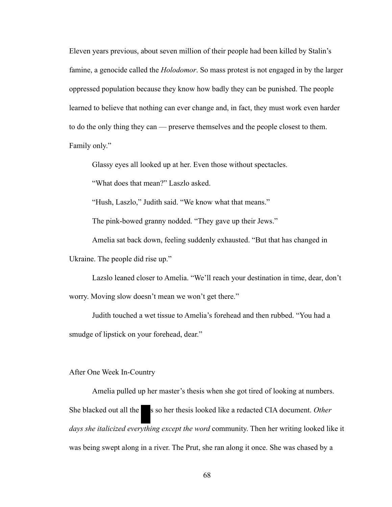Eleven years previous, about seven million of their people had been killed by Stalin's famine, a genocide called the *Holodomor*. So mass protest is not engaged in by the larger oppressed population because they know how badly they can be punished. The people learned to believe that nothing can ever change and, in fact, they must work even harder to do the only thing they can — preserve themselves and the people closest to them. Family only."

Glassy eyes all looked up at her. Even those without spectacles.

"What does that mean?" Laszlo asked.

"Hush, Laszlo," Judith said. "We know what that means."

The pink-bowed granny nodded. "They gave up their Jews."

 Amelia sat back down, feeling suddenly exhausted. "But that has changed in Ukraine. The people did rise up."

 Lazslo leaned closer to Amelia. "We'll reach your destination in time, dear, don't worry. Moving slow doesn't mean we won't get there."

 Judith touched a wet tissue to Amelia's forehead and then rubbed. "You had a smudge of lipstick on your forehead, dear."

## After One Week In-Country

 Amelia pulled up her master's thesis when she got tired of looking at numbers. She blacked out all the s so her thesis looked like a redacted CIA document. *Other days she italicized everything except the word* community. Then her writing looked like it was being swept along in a river. The Prut, she ran along it once. She was chased by a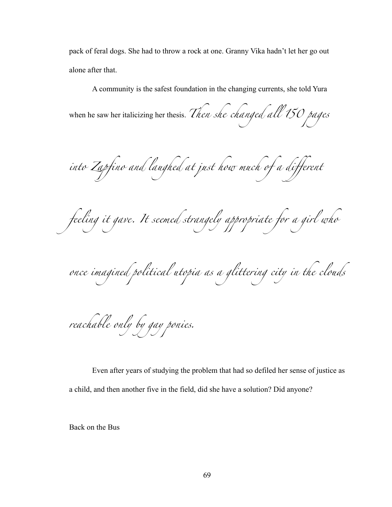pack of feral dogs. She had to throw a rock at one. Granny Vika hadn't let her go out alone after that.

A community is the safest foundation in the changing currents, she told Yura

when he saw her italicizing her thesis. *Then she changed all 150 pages* 

*into Zapfino and laughed at just how much of a different* 

*feeling it gave. It seemed strangely appropriate for a girl who* 

*once imagined political utopia as a glittering city in the clouds* 

*reachable only by gay ponies.*

Even after years of studying the problem that had so defiled her sense of justice as a child, and then another five in the field, did she have a solution? Did anyone?

Back on the Bus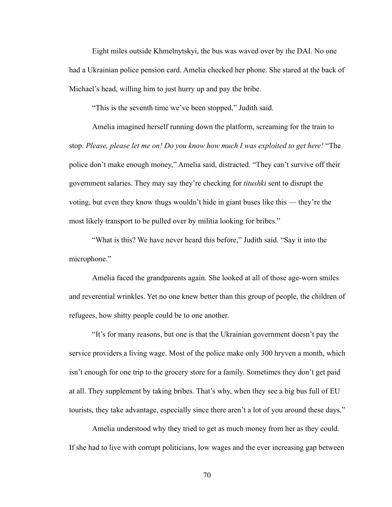Eight miles outside Khmelnytskyi, the bus was waved over by the DAI. No one had a Ukrainian police pension card. Amelia checked her phone. She stared at the back of Michael's head, willing him to just hurry up and pay the bribe.

"This is the seventh time we've been stopped," Judith said.

 Amelia imagined herself running down the platform, screaming for the train to stop. *Please, please let me on! Do you know how much I was exploited to get here!* "The police don't make enough money," Amelia said, distracted. "They can't survive off their government salaries. They may say they're checking for *titushki* sent to disrupt the voting, but even they know thugs wouldn't hide in giant buses like this — they're the most likely transport to be pulled over by militia looking for bribes."

 "What is this? We have never heard this before," Judith said. "Say it into the microphone."

 Amelia faced the grandparents again. She looked at all of those age-worn smiles and reverential wrinkles. Yet no one knew better than this group of people, the children of refugees, how shitty people could be to one another.

 "It's for many reasons, but one is that the Ukrainian government doesn't pay the service providers a living wage. Most of the police make only 300 hryven a month, which isn't enough for one trip to the grocery store for a family. Sometimes they don't get paid at all. They supplement by taking bribes. That's why, when they see a big bus full of EU tourists, they take advantage, especially since there aren't a lot of you around these days."

 Amelia understood why they tried to get as much money from her as they could. If she had to live with corrupt politicians, low wages and the ever increasing gap between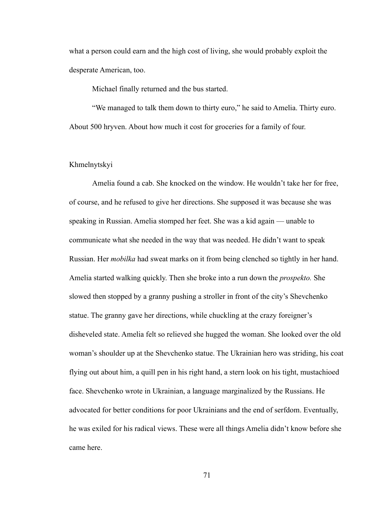what a person could earn and the high cost of living, she would probably exploit the desperate American, too.

Michael finally returned and the bus started.

 "We managed to talk them down to thirty euro," he said to Amelia. Thirty euro. About 500 hryven. About how much it cost for groceries for a family of four.

# Khmelnytskyi

 Amelia found a cab. She knocked on the window. He wouldn't take her for free, of course, and he refused to give her directions. She supposed it was because she was speaking in Russian. Amelia stomped her feet. She was a kid again — unable to communicate what she needed in the way that was needed. He didn't want to speak Russian. Her *mobilka* had sweat marks on it from being clenched so tightly in her hand. Amelia started walking quickly. Then she broke into a run down the *prospekto.* She slowed then stopped by a granny pushing a stroller in front of the city's Shevchenko statue. The granny gave her directions, while chuckling at the crazy foreigner's disheveled state. Amelia felt so relieved she hugged the woman. She looked over the old woman's shoulder up at the Shevchenko statue. The Ukrainian hero was striding, his coat flying out about him, a quill pen in his right hand, a stern look on his tight, mustachioed face. Shevchenko wrote in Ukrainian, a language marginalized by the Russians. He advocated for better conditions for poor Ukrainians and the end of serfdom. Eventually, he was exiled for his radical views. These were all things Amelia didn't know before she came here.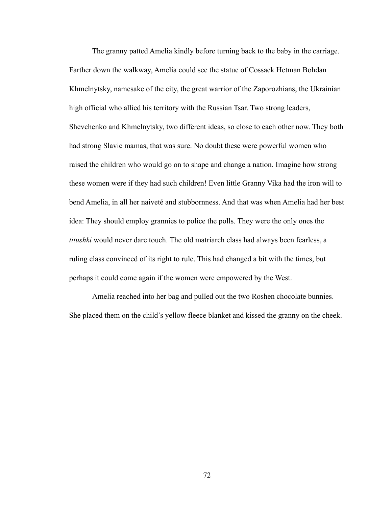The granny patted Amelia kindly before turning back to the baby in the carriage. Farther down the walkway, Amelia could see the statue of Cossack Hetman Bohdan Khmelnytsky, namesake of the city, the great warrior of the Zaporozhians, the Ukrainian high official who allied his territory with the Russian Tsar. Two strong leaders, Shevchenko and Khmelnytsky, two different ideas, so close to each other now. They both had strong Slavic mamas, that was sure. No doubt these were powerful women who raised the children who would go on to shape and change a nation. Imagine how strong these women were if they had such children! Even little Granny Vika had the iron will to bend Amelia, in all her naiveté and stubbornness. And that was when Amelia had her best idea: They should employ grannies to police the polls. They were the only ones the *titushki* would never dare touch. The old matriarch class had always been fearless, a ruling class convinced of its right to rule. This had changed a bit with the times, but perhaps it could come again if the women were empowered by the West.

 Amelia reached into her bag and pulled out the two Roshen chocolate bunnies. She placed them on the child's yellow fleece blanket and kissed the granny on the cheek.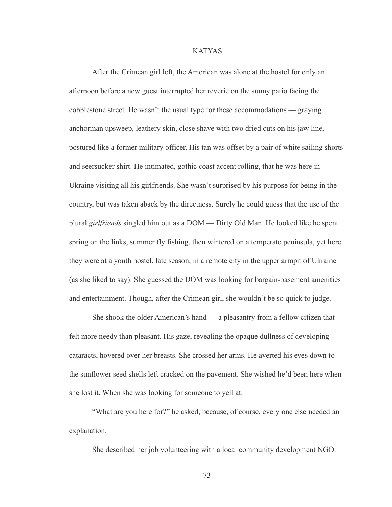#### KATYAS

 After the Crimean girl left, the American was alone at the hostel for only an afternoon before a new guest interrupted her reverie on the sunny patio facing the cobblestone street. He wasn't the usual type for these accommodations — graying anchorman upsweep, leathery skin, close shave with two dried cuts on his jaw line, postured like a former military officer. His tan was offset by a pair of white sailing shorts and seersucker shirt. He intimated, gothic coast accent rolling, that he was here in Ukraine visiting all his girlfriends. She wasn't surprised by his purpose for being in the country, but was taken aback by the directness. Surely he could guess that the use of the plural *girlfriends* singled him out as a DOM — Dirty Old Man. He looked like he spent spring on the links, summer fly fishing, then wintered on a temperate peninsula, yet here they were at a youth hostel, late season, in a remote city in the upper armpit of Ukraine (as she liked to say). She guessed the DOM was looking for bargain-basement amenities and entertainment. Though, after the Crimean girl, she wouldn't be so quick to judge.

 She shook the older American's hand — a pleasantry from a fellow citizen that felt more needy than pleasant. His gaze, revealing the opaque dullness of developing cataracts, hovered over her breasts. She crossed her arms. He averted his eyes down to the sunflower seed shells left cracked on the pavement. She wished he'd been here when she lost it. When she was looking for someone to yell at.

 "What are you here for?" he asked, because, of course, every one else needed an explanation.

She described her job volunteering with a local community development NGO.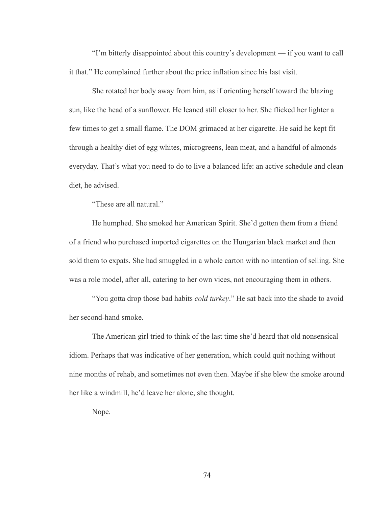"I'm bitterly disappointed about this country's development — if you want to call it that." He complained further about the price inflation since his last visit.

 She rotated her body away from him, as if orienting herself toward the blazing sun, like the head of a sunflower. He leaned still closer to her. She flicked her lighter a few times to get a small flame. The DOM grimaced at her cigarette. He said he kept fit through a healthy diet of egg whites, microgreens, lean meat, and a handful of almonds everyday. That's what you need to do to live a balanced life: an active schedule and clean diet, he advised.

"These are all natural."

 He humphed. She smoked her American Spirit. She'd gotten them from a friend of a friend who purchased imported cigarettes on the Hungarian black market and then sold them to expats. She had smuggled in a whole carton with no intention of selling. She was a role model, after all, catering to her own vices, not encouraging them in others.

 "You gotta drop those bad habits *cold turkey*." He sat back into the shade to avoid her second-hand smoke.

 The American girl tried to think of the last time she'd heard that old nonsensical idiom. Perhaps that was indicative of her generation, which could quit nothing without nine months of rehab, and sometimes not even then. Maybe if she blew the smoke around her like a windmill, he'd leave her alone, she thought.

Nope.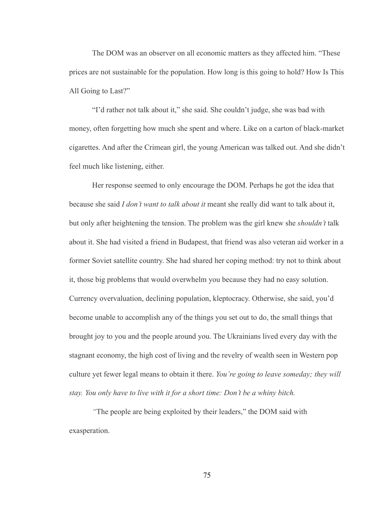The DOM was an observer on all economic matters as they affected him. "These prices are not sustainable for the population. How long is this going to hold? How Is This All Going to Last?"

 "I'd rather not talk about it," she said. She couldn't judge, she was bad with money, often forgetting how much she spent and where. Like on a carton of black-market cigarettes. And after the Crimean girl, the young American was talked out. And she didn't feel much like listening, either.

 Her response seemed to only encourage the DOM. Perhaps he got the idea that because she said *I don't want to talk about it* meant she really did want to talk about it, but only after heightening the tension. The problem was the girl knew she *shouldn't* talk about it. She had visited a friend in Budapest, that friend was also veteran aid worker in a former Soviet satellite country. She had shared her coping method: try not to think about it, those big problems that would overwhelm you because they had no easy solution. Currency overvaluation, declining population, kleptocracy. Otherwise, she said, you'd become unable to accomplish any of the things you set out to do, the small things that brought joy to you and the people around you. The Ukrainians lived every day with the stagnant economy, the high cost of living and the revelry of wealth seen in Western pop culture yet fewer legal means to obtain it there. *You're going to leave someday; they will stay. You only have to live with it for a short time: Don't be a whiny bitch.*

 *"*The people are being exploited by their leaders," the DOM said with exasperation.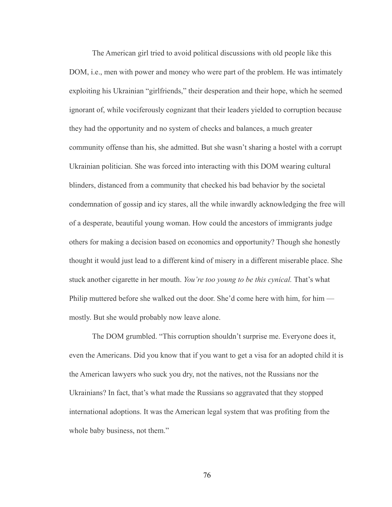The American girl tried to avoid political discussions with old people like this DOM, i.e., men with power and money who were part of the problem. He was intimately exploiting his Ukrainian "girlfriends," their desperation and their hope, which he seemed ignorant of, while vociferously cognizant that their leaders yielded to corruption because they had the opportunity and no system of checks and balances, a much greater community offense than his, she admitted. But she wasn't sharing a hostel with a corrupt Ukrainian politician. She was forced into interacting with this DOM wearing cultural blinders, distanced from a community that checked his bad behavior by the societal condemnation of gossip and icy stares, all the while inwardly acknowledging the free will of a desperate, beautiful young woman. How could the ancestors of immigrants judge others for making a decision based on economics and opportunity? Though she honestly thought it would just lead to a different kind of misery in a different miserable place. She stuck another cigarette in her mouth. *You're too young to be this cynical.* That's what Philip muttered before she walked out the door. She'd come here with him, for him mostly. But she would probably now leave alone.

 The DOM grumbled. "This corruption shouldn't surprise me. Everyone does it, even the Americans. Did you know that if you want to get a visa for an adopted child it is the American lawyers who suck you dry, not the natives, not the Russians nor the Ukrainians? In fact, that's what made the Russians so aggravated that they stopped international adoptions. It was the American legal system that was profiting from the whole baby business, not them."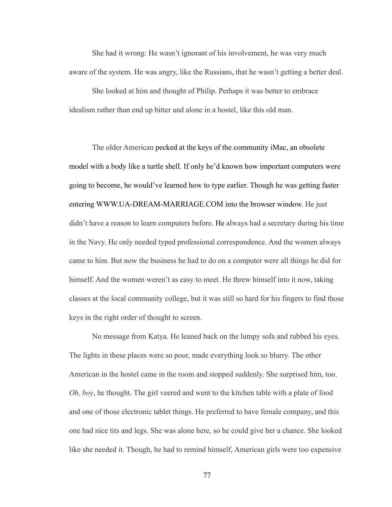She had it wrong: He wasn't ignorant of his involvement, he was very much aware of the system. He was angry, like the Russians, that he wasn't getting a better deal.

 She looked at him and thought of Philip. Perhaps it was better to embrace idealism rather than end up bitter and alone in a hostel, like this old man.

 The older American pecked at the keys of the community iMac, an obsolete model with a body like a turtle shell. If only he'd known how important computers were going to become, he would've learned how to type earlier. Though he was getting faster entering [WWW.UA-DREAM-MARRIAGE.COM](http://WWW.UA-DREAM-MARRIAGE.COM) into the browser window. He just didn't have a reason to learn computers before. He always had a secretary during his time in the Navy. He only needed typed professional correspondence. And the women always came to him. But now the business he had to do on a computer were all things he did for himself. And the women weren't as easy to meet. He threw himself into it now, taking classes at the local community college, but it was still so hard for his fingers to find those keys in the right order of thought to screen.

 No message from Katya. He leaned back on the lumpy sofa and rubbed his eyes. The lights in these places were so poor, made everything look so blurry. The other American in the hostel came in the room and stopped suddenly. She surprised him, too. *Oh, boy*, he thought. The girl veered and went to the kitchen table with a plate of food and one of those electronic tablet things. He preferred to have female company, and this one had nice tits and legs. She was alone here, so he could give her a chance. She looked like she needed it. Though, he had to remind himself, American girls were too expensive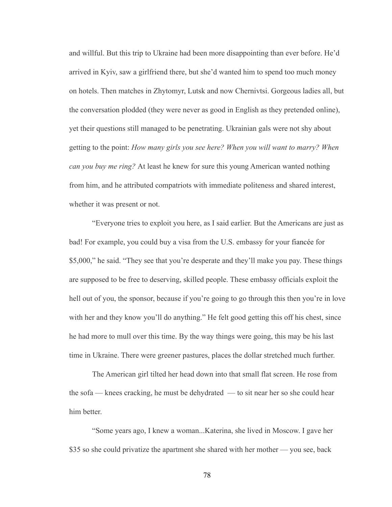and willful. But this trip to Ukraine had been more disappointing than ever before. He'd arrived in Kyiv, saw a girlfriend there, but she'd wanted him to spend too much money on hotels. Then matches in Zhytomyr, Lutsk and now Chernivtsi. Gorgeous ladies all, but the conversation plodded (they were never as good in English as they pretended online), yet their questions still managed to be penetrating. Ukrainian gals were not shy about getting to the point: *How many girls you see here? When you will want to marry? When can you buy me ring?* At least he knew for sure this young American wanted nothing from him, and he attributed compatriots with immediate politeness and shared interest, whether it was present or not.

 "Everyone tries to exploit you here, as I said earlier. But the Americans are just as bad! For example, you could buy a visa from the U.S. embassy for your fiancée for \$5,000," he said. "They see that you're desperate and they'll make you pay. These things are supposed to be free to deserving, skilled people. These embassy officials exploit the hell out of you, the sponsor, because if you're going to go through this then you're in love with her and they know you'll do anything." He felt good getting this off his chest, since he had more to mull over this time. By the way things were going, this may be his last time in Ukraine. There were greener pastures, places the dollar stretched much further.

 The American girl tilted her head down into that small flat screen. He rose from the sofa — knees cracking, he must be dehydrated — to sit near her so she could hear him better.

 "Some years ago, I knew a woman...Katerina, she lived in Moscow. I gave her \$35 so she could privatize the apartment she shared with her mother — you see, back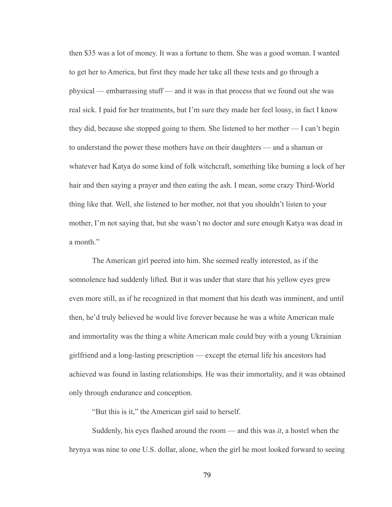then \$35 was a lot of money. It was a fortune to them. She was a good woman. I wanted to get her to America, but first they made her take all these tests and go through a physical — embarrassing stuff — and it was in that process that we found out she was real sick. I paid for her treatments, but I'm sure they made her feel lousy, in fact I know they did, because she stopped going to them. She listened to her mother — I can't begin to understand the power these mothers have on their daughters — and a shaman or whatever had Katya do some kind of folk witchcraft, something like burning a lock of her hair and then saying a prayer and then eating the ash. I mean, some crazy Third-World thing like that. Well, she listened to her mother, not that you shouldn't listen to your mother, I'm not saying that, but she wasn't no doctor and sure enough Katya was dead in a month"

 The American girl peered into him. She seemed really interested, as if the somnolence had suddenly lifted. But it was under that stare that his yellow eyes grew even more still, as if he recognized in that moment that his death was imminent, and until then, he'd truly believed he would live forever because he was a white American male and immortality was the thing a white American male could buy with a young Ukrainian girlfriend and a long-lasting prescription — except the eternal life his ancestors had achieved was found in lasting relationships. He was their immortality, and it was obtained only through endurance and conception.

"But this is it," the American girl said to herself.

 Suddenly, his eyes flashed around the room — and this was *it*, a hostel when the hrynya was nine to one U.S. dollar, alone, when the girl he most looked forward to seeing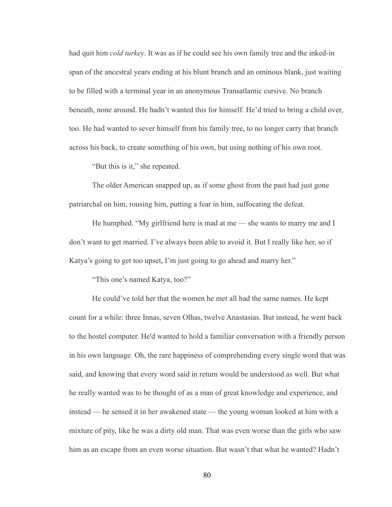had quit him *cold turkey*. It was as if he could see his own family tree and the inked-in span of the ancestral years ending at his blunt branch and an ominous blank, just waiting to be filled with a terminal year in an anonymous Transatlantic cursive. No branch beneath, none around. He hadn't wanted this for himself. He'd tried to bring a child over, too. He had wanted to sever himself from his family tree, to no longer carry that branch across his back, to create something of his own, but using nothing of his own root.

"But this is it," she repeated.

 The older American snapped up, as if some ghost from the past had just gone patriarchal on him, rousing him, putting a fear in him, suffocating the defeat.

 He humphed. "My girlfriend here is mad at me — she wants to marry me and I don't want to get married. I've always been able to avoid it. But I really like her, so if Katya's going to get too upset, I'm just going to go ahead and marry her."

"This one's named Katya, too?"

 He could've told her that the women he met all had the same names. He kept count for a while: three Innas, seven Olhas, twelve Anastasias. But instead, he went back to the hostel computer. He'd wanted to hold a familiar conversation with a friendly person in his own language. Oh, the rare happiness of comprehending every single word that was said, and knowing that every word said in return would be understood as well. But what he really wanted was to be thought of as a man of great knowledge and experience, and instead — he sensed it in her awakened state — the young woman looked at him with a mixture of pity, like he was a dirty old man. That was even worse than the girls who saw him as an escape from an even worse situation. But wasn't that what he wanted? Hadn't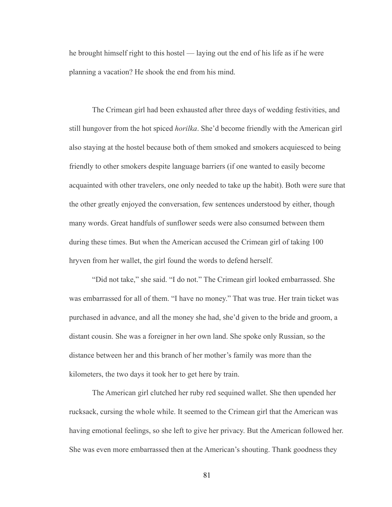he brought himself right to this hostel — laying out the end of his life as if he were planning a vacation? He shook the end from his mind.

 The Crimean girl had been exhausted after three days of wedding festivities, and still hungover from the hot spiced *horilka*. She'd become friendly with the American girl also staying at the hostel because both of them smoked and smokers acquiesced to being friendly to other smokers despite language barriers (if one wanted to easily become acquainted with other travelers, one only needed to take up the habit). Both were sure that the other greatly enjoyed the conversation, few sentences understood by either, though many words. Great handfuls of sunflower seeds were also consumed between them during these times. But when the American accused the Crimean girl of taking 100 hryven from her wallet, the girl found the words to defend herself.

 "Did not take," she said. "I do not." The Crimean girl looked embarrassed. She was embarrassed for all of them. "I have no money." That was true. Her train ticket was purchased in advance, and all the money she had, she'd given to the bride and groom, a distant cousin. She was a foreigner in her own land. She spoke only Russian, so the distance between her and this branch of her mother's family was more than the kilometers, the two days it took her to get here by train.

 The American girl clutched her ruby red sequined wallet. She then upended her rucksack, cursing the whole while. It seemed to the Crimean girl that the American was having emotional feelings, so she left to give her privacy. But the American followed her. She was even more embarrassed then at the American's shouting. Thank goodness they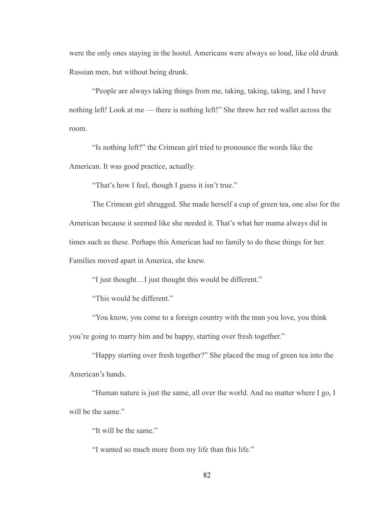were the only ones staying in the hostel. Americans were always so loud, like old drunk Russian men, but without being drunk.

 "People are always taking things from me, taking, taking, taking, and I have nothing left! Look at me — there is nothing left!" She threw her red wallet across the room.

 "Is nothing left?" the Crimean girl tried to pronounce the words like the American. It was good practice, actually.

"That's how I feel, though I guess it isn't true."

 The Crimean girl shrugged. She made herself a cup of green tea, one also for the American because it seemed like she needed it. That's what her mama always did in times such as these. Perhaps this American had no family to do these things for her. Families moved apart in America, she knew.

"I just thought…I just thought this would be different."

"This would be different."

 "You know, you come to a foreign country with the man you love, you think you're going to marry him and be happy, starting over fresh together."

 "Happy starting over fresh together?" She placed the mug of green tea into the American's hands.

 "Human nature is just the same, all over the world. And no matter where I go, I will be the same."

"It will be the same."

"I wanted so much more from my life than this life."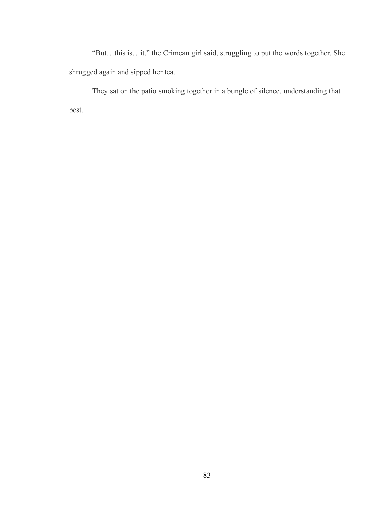"But…this is…it," the Crimean girl said, struggling to put the words together. She shrugged again and sipped her tea.

 They sat on the patio smoking together in a bungle of silence, understanding that best.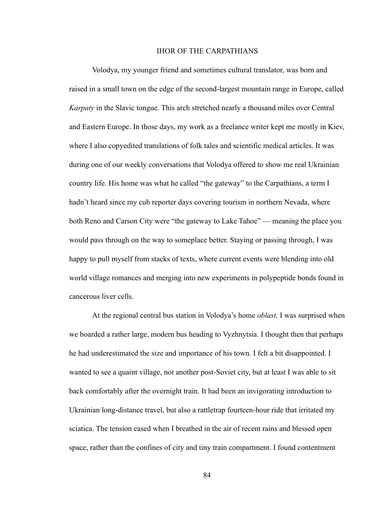### IHOR OF THE CARPATHIANS

 Volodya, my younger friend and sometimes cultural translator, was born and raised in a small town on the edge of the second-largest mountain range in Europe, called *Karpaty* in the Slavic tongue. This arch stretched nearly a thousand miles over Central and Eastern Europe. In those days, my work as a freelance writer kept me mostly in Kiev, where I also copyedited translations of folk tales and scientific medical articles. It was during one of our weekly conversations that Volodya offered to show me real Ukrainian country life. His home was what he called "the gateway" to the Carpathians, a term I hadn't heard since my cub reporter days covering tourism in northern Nevada, where both Reno and Carson City were "the gateway to Lake Tahoe" — meaning the place you would pass through on the way to someplace better. Staying or passing through, I was happy to pull myself from stacks of texts, where current events were blending into old world village romances and merging into new experiments in polypeptide bonds found in cancerous liver cells.

 At the regional central bus station in Volodya's home *oblast,* I was surprised when we boarded a rather large, modern bus heading to Vyzhnytsia. I thought then that perhaps he had underestimated the size and importance of his town. I felt a bit disappointed. I wanted to see a quaint village, not another post-Soviet city, but at least I was able to sit back comfortably after the overnight train. It had been an invigorating introduction to Ukrainian long-distance travel, but also a rattletrap fourteen-hour ride that irritated my sciatica. The tension eased when I breathed in the air of recent rains and blessed open space, rather than the confines of city and tiny train compartment. I found contentment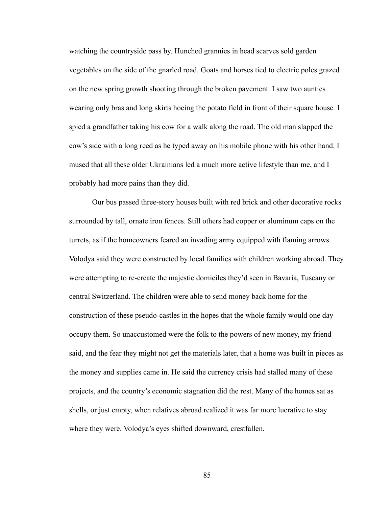watching the countryside pass by. Hunched grannies in head scarves sold garden vegetables on the side of the gnarled road. Goats and horses tied to electric poles grazed on the new spring growth shooting through the broken pavement. I saw two aunties wearing only bras and long skirts hoeing the potato field in front of their square house*.* I spied a grandfather taking his cow for a walk along the road. The old man slapped the cow's side with a long reed as he typed away on his mobile phone with his other hand. I mused that all these older Ukrainians led a much more active lifestyle than me, and I probably had more pains than they did.

 Our bus passed three-story houses built with red brick and other decorative rocks surrounded by tall, ornate iron fences. Still others had copper or aluminum caps on the turrets, as if the homeowners feared an invading army equipped with flaming arrows. Volodya said they were constructed by local families with children working abroad. They were attempting to re-create the majestic domiciles they'd seen in Bavaria, Tuscany or central Switzerland. The children were able to send money back home for the construction of these pseudo-castles in the hopes that the whole family would one day occupy them. So unaccustomed were the folk to the powers of new money, my friend said, and the fear they might not get the materials later, that a home was built in pieces as the money and supplies came in. He said the currency crisis had stalled many of these projects, and the country's economic stagnation did the rest. Many of the homes sat as shells, or just empty, when relatives abroad realized it was far more lucrative to stay where they were. Volodya's eyes shifted downward, crestfallen.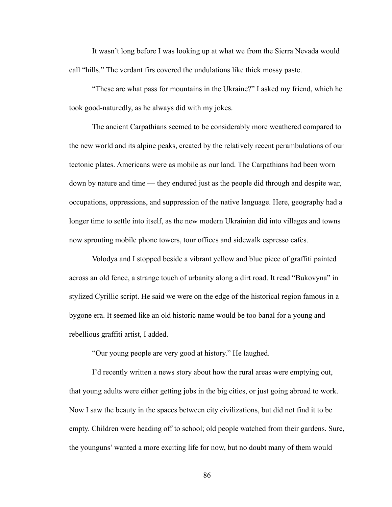It wasn't long before I was looking up at what we from the Sierra Nevada would call "hills." The verdant firs covered the undulations like thick mossy paste.

 "These are what pass for mountains in the Ukraine?" I asked my friend, which he took good-naturedly, as he always did with my jokes.

 The ancient Carpathians seemed to be considerably more weathered compared to the new world and its alpine peaks, created by the relatively recent perambulations of our tectonic plates. Americans were as mobile as our land. The Carpathians had been worn down by nature and time — they endured just as the people did through and despite war, occupations, oppressions, and suppression of the native language. Here, geography had a longer time to settle into itself, as the new modern Ukrainian did into villages and towns now sprouting mobile phone towers, tour offices and sidewalk espresso cafes.

 Volodya and I stopped beside a vibrant yellow and blue piece of graffiti painted across an old fence, a strange touch of urbanity along a dirt road. It read "Bukovyna" in stylized Cyrillic script. He said we were on the edge of the historical region famous in a bygone era. It seemed like an old historic name would be too banal for a young and rebellious graffiti artist, I added.

"Our young people are very good at history." He laughed.

 I'd recently written a news story about how the rural areas were emptying out, that young adults were either getting jobs in the big cities, or just going abroad to work. Now I saw the beauty in the spaces between city civilizations, but did not find it to be empty. Children were heading off to school; old people watched from their gardens. Sure, the younguns' wanted a more exciting life for now, but no doubt many of them would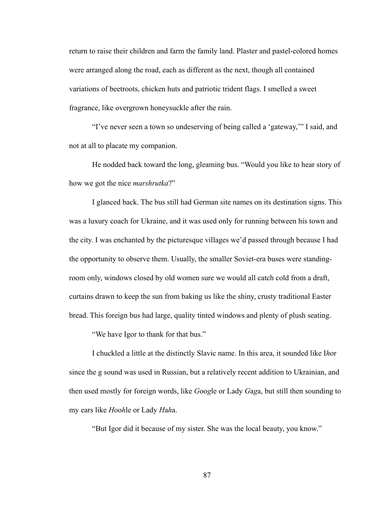return to raise their children and farm the family land. Plaster and pastel-colored homes were arranged along the road, each as different as the next, though all contained variations of beetroots, chicken huts and patriotic trident flags. I smelled a sweet fragrance, like overgrown honeysuckle after the rain.

 "I've never seen a town so undeserving of being called a 'gateway,'" I said, and not at all to placate my companion.

 He nodded back toward the long, gleaming bus. "Would you like to hear story of how we got the nice *marshrutka*?"

 I glanced back. The bus still had German site names on its destination signs. This was a luxury coach for Ukraine, and it was used only for running between his town and the city. I was enchanted by the picturesque villages we'd passed through because I had the opportunity to observe them. Usually, the smaller Soviet-era buses were standingroom only, windows closed by old women sure we would all catch cold from a draft, curtains drawn to keep the sun from baking us like the shiny, crusty traditional Easter bread. This foreign bus had large, quality tinted windows and plenty of plush seating.

"We have Igor to thank for that bus."

 I chuckled a little at the distinctly Slavic name. In this area, it sounded like I*h*or since the g sound was used in Russian, but a relatively recent addition to Ukrainian, and then used mostly for foreign words, like *G*oo*g*le or Lady *G*a*g*a, but still then sounding to my ears like *H*oo*h*le or Lady *H*a*h*a.

"But Igor did it because of my sister. She was the local beauty, you know."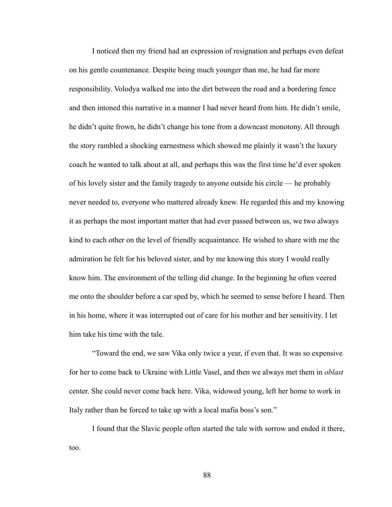I noticed then my friend had an expression of resignation and perhaps even defeat on his gentle countenance. Despite being much younger than me, he had far more responsibility. Volodya walked me into the dirt between the road and a bordering fence and then intoned this narrative in a manner I had never heard from him. He didn't smile, he didn't quite frown, he didn't change his tone from a downcast monotony. All through the story rambled a shocking earnestness which showed me plainly it wasn't the luxury coach he wanted to talk about at all, and perhaps this was the first time he'd ever spoken of his lovely sister and the family tragedy to anyone outside his circle — he probably never needed to, everyone who mattered already knew. He regarded this and my knowing it as perhaps the most important matter that had ever passed between us, we two always kind to each other on the level of friendly acquaintance. He wished to share with me the admiration he felt for his beloved sister, and by me knowing this story I would really know him. The environment of the telling did change. In the beginning he often veered me onto the shoulder before a car sped by, which he seemed to sense before I heard. Then in his home, where it was interrupted out of care for his mother and her sensitivity. I let him take his time with the tale.

 "Toward the end, we saw Vika only twice a year, if even that. It was so expensive for her to come back to Ukraine with Little Vasel, and then we always met them in *oblast* center. She could never come back here. Vika, widowed young, left her home to work in Italy rather than be forced to take up with a local mafia boss's son."

 I found that the Slavic people often started the tale with sorrow and ended it there, too.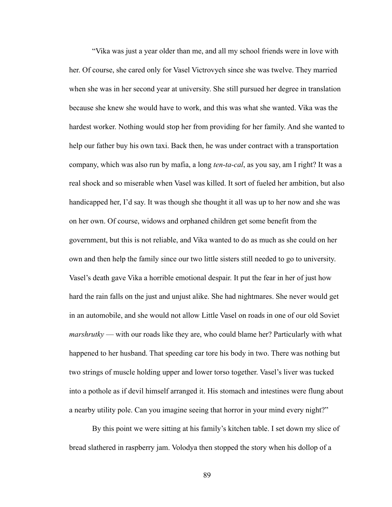"Vika was just a year older than me, and all my school friends were in love with her. Of course, she cared only for Vasel Victrovych since she was twelve. They married when she was in her second year at university. She still pursued her degree in translation because she knew she would have to work, and this was what she wanted. Vika was the hardest worker. Nothing would stop her from providing for her family. And she wanted to help our father buy his own taxi. Back then, he was under contract with a transportation company, which was also run by mafia, a long *ten-ta-cal*, as you say, am I right? It was a real shock and so miserable when Vasel was killed. It sort of fueled her ambition, but also handicapped her, I'd say. It was though she thought it all was up to her now and she was on her own. Of course, widows and orphaned children get some benefit from the government, but this is not reliable, and Vika wanted to do as much as she could on her own and then help the family since our two little sisters still needed to go to university. Vasel's death gave Vika a horrible emotional despair. It put the fear in her of just how hard the rain falls on the just and unjust alike. She had nightmares. She never would get in an automobile, and she would not allow Little Vasel on roads in one of our old Soviet *marshrutky* — with our roads like they are, who could blame her? Particularly with what happened to her husband. That speeding car tore his body in two. There was nothing but two strings of muscle holding upper and lower torso together. Vasel's liver was tucked into a pothole as if devil himself arranged it. His stomach and intestines were flung about a nearby utility pole. Can you imagine seeing that horror in your mind every night?"

 By this point we were sitting at his family's kitchen table. I set down my slice of bread slathered in raspberry jam. Volodya then stopped the story when his dollop of a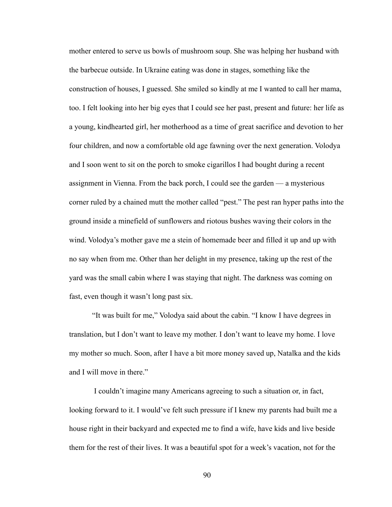mother entered to serve us bowls of mushroom soup. She was helping her husband with the barbecue outside. In Ukraine eating was done in stages, something like the construction of houses, I guessed. She smiled so kindly at me I wanted to call her mama, too. I felt looking into her big eyes that I could see her past, present and future: her life as a young, kindhearted girl, her motherhood as a time of great sacrifice and devotion to her four children, and now a comfortable old age fawning over the next generation. Volodya and I soon went to sit on the porch to smoke cigarillos I had bought during a recent assignment in Vienna. From the back porch, I could see the garden — a mysterious corner ruled by a chained mutt the mother called "pest." The pest ran hyper paths into the ground inside a minefield of sunflowers and riotous bushes waving their colors in the wind. Volodya's mother gave me a stein of homemade beer and filled it up and up with no say when from me. Other than her delight in my presence, taking up the rest of the yard was the small cabin where I was staying that night. The darkness was coming on fast, even though it wasn't long past six.

 "It was built for me," Volodya said about the cabin. "I know I have degrees in translation, but I don't want to leave my mother. I don't want to leave my home. I love my mother so much. Soon, after I have a bit more money saved up, Natalka and the kids and I will move in there."

 I couldn't imagine many Americans agreeing to such a situation or, in fact, looking forward to it. I would've felt such pressure if I knew my parents had built me a house right in their backyard and expected me to find a wife, have kids and live beside them for the rest of their lives. It was a beautiful spot for a week's vacation, not for the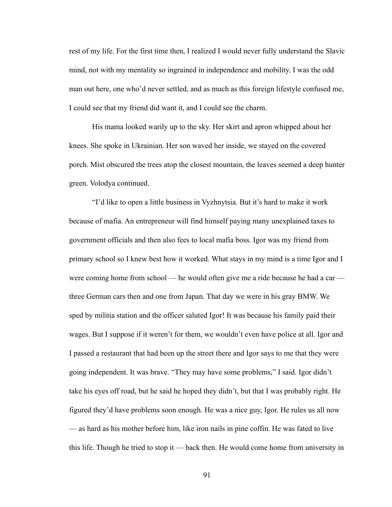rest of my life. For the first time then, I realized I would never fully understand the Slavic mind, not with my mentality so ingrained in independence and mobility. I was the odd man out here, one who'd never settled, and as much as this foreign lifestyle confused me, I could see that my friend did want it, and I could see the charm.

 His mama looked warily up to the sky. Her skirt and apron whipped about her knees. She spoke in Ukrainian. Her son waved her inside, we stayed on the covered porch. Mist obscured the trees atop the closest mountain, the leaves seemed a deep hunter green. Volodya continued.

 "I'd like to open a little business in Vyzhnytsia. But it's hard to make it work because of mafia. An entrepreneur will find himself paying many unexplained taxes to government officials and then also fees to local mafia boss. Igor was my friend from primary school so I knew best how it worked. What stays in my mind is a time Igor and I were coming home from school — he would often give me a ride because he had a car three German cars then and one from Japan. That day we were in his gray BMW. We sped by militia station and the officer saluted Igor! It was because his family paid their wages. But I suppose if it weren't for them, we wouldn't even have police at all. Igor and I passed a restaurant that had been up the street there and Igor says to me that they were going independent. It was brave. "They may have some problems," I said. Igor didn't take his eyes off road, but he said he hoped they didn't, but that I was probably right. He figured they'd have problems soon enough. He was a nice guy, Igor. He rules us all now — as hard as his mother before him, like iron nails in pine coffin. He was fated to live this life. Though he tried to stop it — back then. He would come home from university in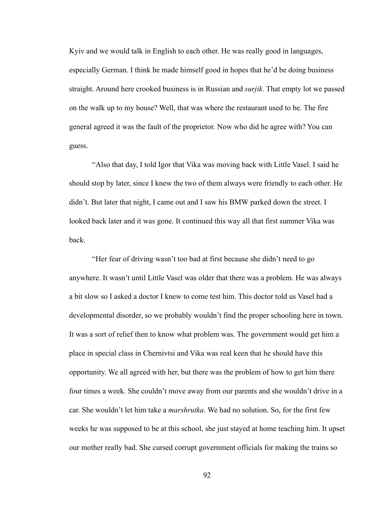Kyiv and we would talk in English to each other. He was really good in languages, especially German. I think he made himself good in hopes that he'd be doing business straight. Around here crooked business is in Russian and *surjik*. That empty lot we passed on the walk up to my house? Well, that was where the restaurant used to be. The fire general agreed it was the fault of the proprietor. Now who did he agree with? You can guess.

 "Also that day, I told Igor that Vika was moving back with Little Vasel. I said he should stop by later, since I knew the two of them always were friendly to each other. He didn't. But later that night, I came out and I saw his BMW parked down the street. I looked back later and it was gone. It continued this way all that first summer Vika was back.

 "Her fear of driving wasn't too bad at first because she didn't need to go anywhere. It wasn't until Little Vasel was older that there was a problem. He was always a bit slow so I asked a doctor I knew to come test him. This doctor told us Vasel had a developmental disorder, so we probably wouldn't find the proper schooling here in town. It was a sort of relief then to know what problem was. The government would get him a place in special class in Chernivtsi and Vika was real keen that he should have this opportunity. We all agreed with her, but there was the problem of how to get him there four times a week. She couldn't move away from our parents and she wouldn't drive in a car. She wouldn't let him take a *marshrutka*. We had no solution. So, for the first few weeks he was supposed to be at this school, she just stayed at home teaching him. It upset our mother really bad. She cursed corrupt government officials for making the trains so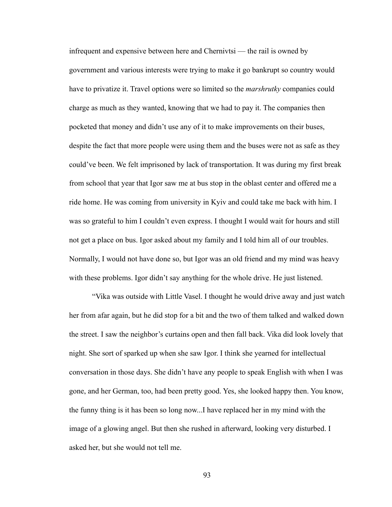infrequent and expensive between here and Chernivtsi — the rail is owned by government and various interests were trying to make it go bankrupt so country would have to privatize it. Travel options were so limited so the *marshrutky* companies could charge as much as they wanted, knowing that we had to pay it. The companies then pocketed that money and didn't use any of it to make improvements on their buses, despite the fact that more people were using them and the buses were not as safe as they could've been. We felt imprisoned by lack of transportation. It was during my first break from school that year that Igor saw me at bus stop in the oblast center and offered me a ride home. He was coming from university in Kyiv and could take me back with him. I was so grateful to him I couldn't even express. I thought I would wait for hours and still not get a place on bus. Igor asked about my family and I told him all of our troubles. Normally, I would not have done so, but Igor was an old friend and my mind was heavy with these problems. Igor didn't say anything for the whole drive. He just listened.

 "Vika was outside with Little Vasel. I thought he would drive away and just watch her from afar again, but he did stop for a bit and the two of them talked and walked down the street. I saw the neighbor's curtains open and then fall back. Vika did look lovely that night. She sort of sparked up when she saw Igor. I think she yearned for intellectual conversation in those days. She didn't have any people to speak English with when I was gone, and her German, too, had been pretty good. Yes, she looked happy then. You know, the funny thing is it has been so long now...I have replaced her in my mind with the image of a glowing angel. But then she rushed in afterward, looking very disturbed. I asked her, but she would not tell me.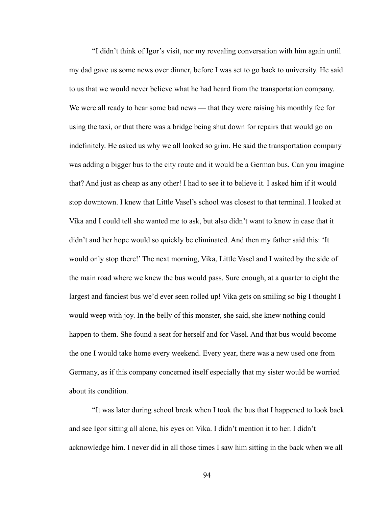"I didn't think of Igor's visit, nor my revealing conversation with him again until my dad gave us some news over dinner, before I was set to go back to university. He said to us that we would never believe what he had heard from the transportation company. We were all ready to hear some bad news — that they were raising his monthly fee for using the taxi, or that there was a bridge being shut down for repairs that would go on indefinitely. He asked us why we all looked so grim. He said the transportation company was adding a bigger bus to the city route and it would be a German bus. Can you imagine that? And just as cheap as any other! I had to see it to believe it. I asked him if it would stop downtown. I knew that Little Vasel's school was closest to that terminal. I looked at Vika and I could tell she wanted me to ask, but also didn't want to know in case that it didn't and her hope would so quickly be eliminated. And then my father said this: 'It would only stop there!' The next morning, Vika, Little Vasel and I waited by the side of the main road where we knew the bus would pass. Sure enough, at a quarter to eight the largest and fanciest bus we'd ever seen rolled up! Vika gets on smiling so big I thought I would weep with joy. In the belly of this monster, she said, she knew nothing could happen to them. She found a seat for herself and for Vasel. And that bus would become the one I would take home every weekend. Every year, there was a new used one from Germany, as if this company concerned itself especially that my sister would be worried about its condition.

 "It was later during school break when I took the bus that I happened to look back and see Igor sitting all alone, his eyes on Vika. I didn't mention it to her. I didn't acknowledge him. I never did in all those times I saw him sitting in the back when we all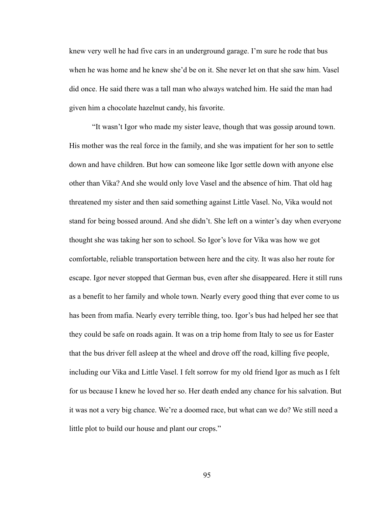knew very well he had five cars in an underground garage. I'm sure he rode that bus when he was home and he knew she'd be on it. She never let on that she saw him. Vasel did once. He said there was a tall man who always watched him. He said the man had given him a chocolate hazelnut candy, his favorite.

 "It wasn't Igor who made my sister leave, though that was gossip around town. His mother was the real force in the family, and she was impatient for her son to settle down and have children. But how can someone like Igor settle down with anyone else other than Vika? And she would only love Vasel and the absence of him. That old hag threatened my sister and then said something against Little Vasel. No, Vika would not stand for being bossed around. And she didn't. She left on a winter's day when everyone thought she was taking her son to school. So Igor's love for Vika was how we got comfortable, reliable transportation between here and the city. It was also her route for escape. Igor never stopped that German bus, even after she disappeared. Here it still runs as a benefit to her family and whole town. Nearly every good thing that ever come to us has been from mafia. Nearly every terrible thing, too. Igor's bus had helped her see that they could be safe on roads again. It was on a trip home from Italy to see us for Easter that the bus driver fell asleep at the wheel and drove off the road, killing five people, including our Vika and Little Vasel. I felt sorrow for my old friend Igor as much as I felt for us because I knew he loved her so. Her death ended any chance for his salvation. But it was not a very big chance. We're a doomed race, but what can we do? We still need a little plot to build our house and plant our crops."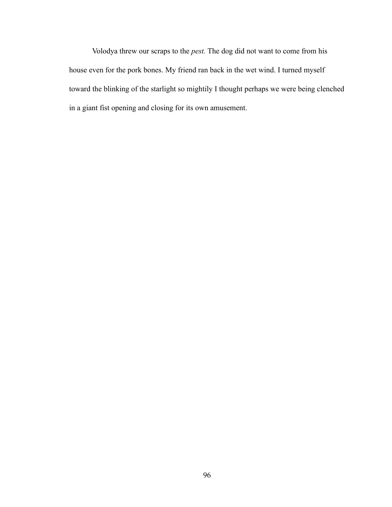Volodya threw our scraps to the *pest.* The dog did not want to come from his house even for the pork bones. My friend ran back in the wet wind. I turned myself toward the blinking of the starlight so mightily I thought perhaps we were being clenched in a giant fist opening and closing for its own amusement.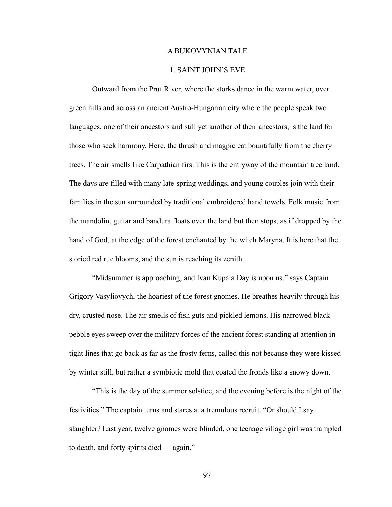### A BUKOVYNIAN TALE

### 1. SAINT JOHN'S EVE

 Outward from the Prut River, where the storks dance in the warm water, over green hills and across an ancient Austro-Hungarian city where the people speak two languages, one of their ancestors and still yet another of their ancestors, is the land for those who seek harmony. Here, the thrush and magpie eat bountifully from the cherry trees. The air smells like Carpathian firs. This is the entryway of the mountain tree land. The days are filled with many late-spring weddings, and young couples join with their families in the sun surrounded by traditional embroidered hand towels. Folk music from the mandolin, guitar and bandura floats over the land but then stops, as if dropped by the hand of God, at the edge of the forest enchanted by the witch Maryna. It is here that the storied red rue blooms, and the sun is reaching its zenith.

 "Midsummer is approaching, and Ivan Kupala Day is upon us," says Captain Grigory Vasyliovych, the hoariest of the forest gnomes. He breathes heavily through his dry, crusted nose. The air smells of fish guts and pickled lemons. His narrowed black pebble eyes sweep over the military forces of the ancient forest standing at attention in tight lines that go back as far as the frosty ferns, called this not because they were kissed by winter still, but rather a symbiotic mold that coated the fronds like a snowy down.

 "This is the day of the summer solstice, and the evening before is the night of the festivities." The captain turns and stares at a tremulous recruit. "Or should I say slaughter? Last year, twelve gnomes were blinded, one teenage village girl was trampled to death, and forty spirits died — again."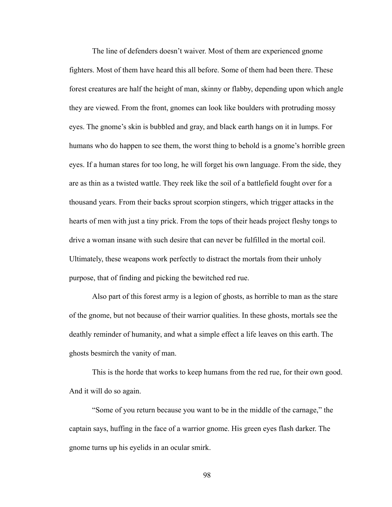The line of defenders doesn't waiver. Most of them are experienced gnome fighters. Most of them have heard this all before. Some of them had been there. These forest creatures are half the height of man, skinny or flabby, depending upon which angle they are viewed. From the front, gnomes can look like boulders with protruding mossy eyes. The gnome's skin is bubbled and gray, and black earth hangs on it in lumps. For humans who do happen to see them, the worst thing to behold is a gnome's horrible green eyes. If a human stares for too long, he will forget his own language. From the side, they are as thin as a twisted wattle. They reek like the soil of a battlefield fought over for a thousand years. From their backs sprout scorpion stingers, which trigger attacks in the hearts of men with just a tiny prick. From the tops of their heads project fleshy tongs to drive a woman insane with such desire that can never be fulfilled in the mortal coil. Ultimately, these weapons work perfectly to distract the mortals from their unholy purpose, that of finding and picking the bewitched red rue.

 Also part of this forest army is a legion of ghosts, as horrible to man as the stare of the gnome, but not because of their warrior qualities. In these ghosts, mortals see the deathly reminder of humanity, and what a simple effect a life leaves on this earth. The ghosts besmirch the vanity of man.

 This is the horde that works to keep humans from the red rue, for their own good. And it will do so again.

 "Some of you return because you want to be in the middle of the carnage," the captain says, huffing in the face of a warrior gnome. His green eyes flash darker. The gnome turns up his eyelids in an ocular smirk.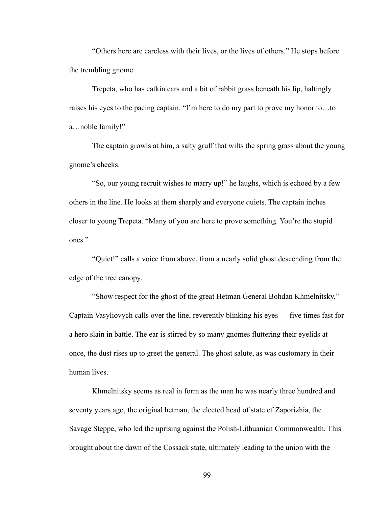"Others here are careless with their lives, or the lives of others." He stops before the trembling gnome.

 Trepeta, who has catkin ears and a bit of rabbit grass beneath his lip, haltingly raises his eyes to the pacing captain. "I'm here to do my part to prove my honor to…to a…noble family!"

 The captain growls at him, a salty gruff that wilts the spring grass about the young gnome's cheeks.

 "So, our young recruit wishes to marry up!" he laughs, which is echoed by a few others in the line. He looks at them sharply and everyone quiets. The captain inches closer to young Trepeta. "Many of you are here to prove something. You're the stupid ones."

 "Quiet!" calls a voice from above, from a nearly solid ghost descending from the edge of the tree canopy.

 "Show respect for the ghost of the great Hetman General Bohdan Khmelnitsky," Captain Vasyliovych calls over the line, reverently blinking his eyes — five times fast for a hero slain in battle. The ear is stirred by so many gnomes fluttering their eyelids at once, the dust rises up to greet the general. The ghost salute, as was customary in their human lives.

 Khmelnitsky seems as real in form as the man he was nearly three hundred and seventy years ago, the original hetman, the elected head of state of Zaporizhia, the Savage Steppe, who led the uprising against the Polish-Lithuanian Commonwealth. This brought about the dawn of the Cossack state, ultimately leading to the union with the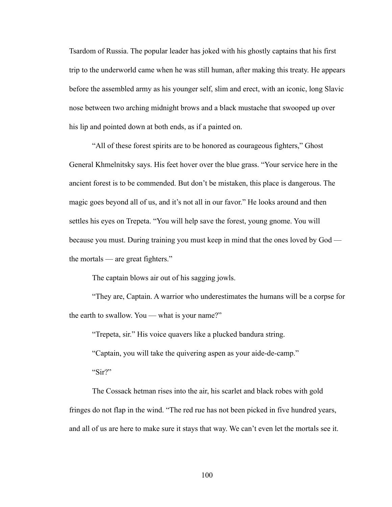Tsardom of Russia. The popular leader has joked with his ghostly captains that his first trip to the underworld came when he was still human, after making this treaty. He appears before the assembled army as his younger self, slim and erect, with an iconic, long Slavic nose between two arching midnight brows and a black mustache that swooped up over his lip and pointed down at both ends, as if a painted on.

 "All of these forest spirits are to be honored as courageous fighters," Ghost General Khmelnitsky says. His feet hover over the blue grass. "Your service here in the ancient forest is to be commended. But don't be mistaken, this place is dangerous. The magic goes beyond all of us, and it's not all in our favor." He looks around and then settles his eyes on Trepeta. "You will help save the forest, young gnome. You will because you must. During training you must keep in mind that the ones loved by God the mortals — are great fighters."

The captain blows air out of his sagging jowls.

 "They are, Captain. A warrior who underestimates the humans will be a corpse for the earth to swallow. You — what is your name?"

"Trepeta, sir." His voice quavers like a plucked bandura string.

 "Captain, you will take the quivering aspen as your aide-de-camp." "Sir?"

 The Cossack hetman rises into the air, his scarlet and black robes with gold fringes do not flap in the wind. "The red rue has not been picked in five hundred years, and all of us are here to make sure it stays that way. We can't even let the mortals see it.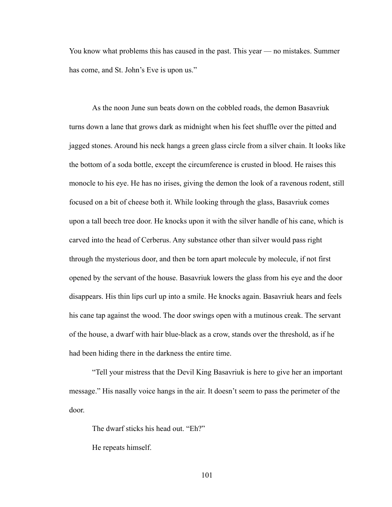You know what problems this has caused in the past. This year — no mistakes. Summer has come, and St. John's Eve is upon us."

 As the noon June sun beats down on the cobbled roads, the demon Basavriuk turns down a lane that grows dark as midnight when his feet shuffle over the pitted and jagged stones. Around his neck hangs a green glass circle from a silver chain. It looks like the bottom of a soda bottle, except the circumference is crusted in blood. He raises this monocle to his eye. He has no irises, giving the demon the look of a ravenous rodent, still focused on a bit of cheese both it. While looking through the glass, Basavriuk comes upon a tall beech tree door. He knocks upon it with the silver handle of his cane, which is carved into the head of Cerberus. Any substance other than silver would pass right through the mysterious door, and then be torn apart molecule by molecule, if not first opened by the servant of the house. Basavriuk lowers the glass from his eye and the door disappears. His thin lips curl up into a smile. He knocks again. Basavriuk hears and feels his cane tap against the wood. The door swings open with a mutinous creak. The servant of the house, a dwarf with hair blue-black as a crow, stands over the threshold, as if he had been hiding there in the darkness the entire time.

 "Tell your mistress that the Devil King Basavriuk is here to give her an important message." His nasally voice hangs in the air. It doesn't seem to pass the perimeter of the door.

The dwarf sticks his head out. "Eh?"

He repeats himself.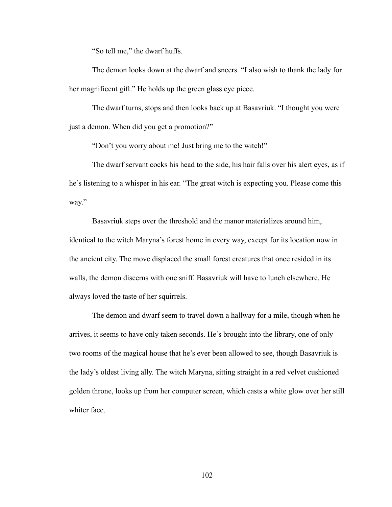"So tell me," the dwarf huffs.

 The demon looks down at the dwarf and sneers. "I also wish to thank the lady for her magnificent gift." He holds up the green glass eye piece.

 The dwarf turns, stops and then looks back up at Basavriuk. "I thought you were just a demon. When did you get a promotion?"

"Don't you worry about me! Just bring me to the witch!"

 The dwarf servant cocks his head to the side, his hair falls over his alert eyes, as if he's listening to a whisper in his ear. "The great witch is expecting you. Please come this way."

 Basavriuk steps over the threshold and the manor materializes around him, identical to the witch Maryna's forest home in every way, except for its location now in the ancient city. The move displaced the small forest creatures that once resided in its walls, the demon discerns with one sniff. Basavriuk will have to lunch elsewhere. He always loved the taste of her squirrels.

 The demon and dwarf seem to travel down a hallway for a mile, though when he arrives, it seems to have only taken seconds. He's brought into the library, one of only two rooms of the magical house that he's ever been allowed to see, though Basavriuk is the lady's oldest living ally. The witch Maryna, sitting straight in a red velvet cushioned golden throne, looks up from her computer screen, which casts a white glow over her still whiter face.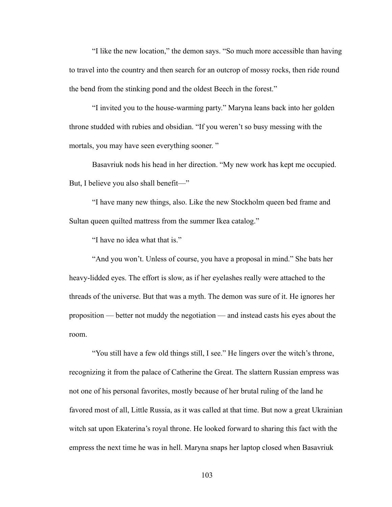"I like the new location," the demon says. "So much more accessible than having to travel into the country and then search for an outcrop of mossy rocks, then ride round the bend from the stinking pond and the oldest Beech in the forest."

 "I invited you to the house-warming party." Maryna leans back into her golden throne studded with rubies and obsidian. "If you weren't so busy messing with the mortals, you may have seen everything sooner. "

 Basavriuk nods his head in her direction. "My new work has kept me occupied. But, I believe you also shall benefit—"

 "I have many new things, also. Like the new Stockholm queen bed frame and Sultan queen quilted mattress from the summer Ikea catalog."

"I have no idea what that is."

 "And you won't. Unless of course, you have a proposal in mind." She bats her heavy-lidded eyes. The effort is slow, as if her eyelashes really were attached to the threads of the universe. But that was a myth. The demon was sure of it. He ignores her proposition — better not muddy the negotiation — and instead casts his eyes about the room.

 "You still have a few old things still, I see." He lingers over the witch's throne, recognizing it from the palace of Catherine the Great. The slattern Russian empress was not one of his personal favorites, mostly because of her brutal ruling of the land he favored most of all, Little Russia, as it was called at that time. But now a great Ukrainian witch sat upon Ekaterina's royal throne. He looked forward to sharing this fact with the empress the next time he was in hell. Maryna snaps her laptop closed when Basavriuk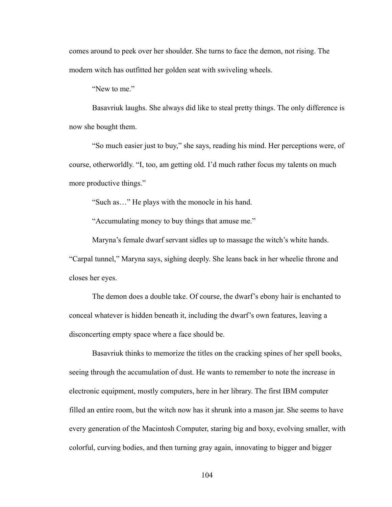comes around to peek over her shoulder. She turns to face the demon, not rising. The modern witch has outfitted her golden seat with swiveling wheels.

"New to me."

 Basavriuk laughs. She always did like to steal pretty things. The only difference is now she bought them.

 "So much easier just to buy," she says, reading his mind. Her perceptions were, of course, otherworldly. "I, too, am getting old. I'd much rather focus my talents on much more productive things."

"Such as…" He plays with the monocle in his hand.

"Accumulating money to buy things that amuse me."

Maryna's female dwarf servant sidles up to massage the witch's white hands.

"Carpal tunnel," Maryna says, sighing deeply. She leans back in her wheelie throne and closes her eyes.

 The demon does a double take. Of course, the dwarf's ebony hair is enchanted to conceal whatever is hidden beneath it, including the dwarf's own features, leaving a disconcerting empty space where a face should be.

 Basavriuk thinks to memorize the titles on the cracking spines of her spell books, seeing through the accumulation of dust. He wants to remember to note the increase in electronic equipment, mostly computers, here in her library. The first IBM computer filled an entire room, but the witch now has it shrunk into a mason jar. She seems to have every generation of the Macintosh Computer, staring big and boxy, evolving smaller, with colorful, curving bodies, and then turning gray again, innovating to bigger and bigger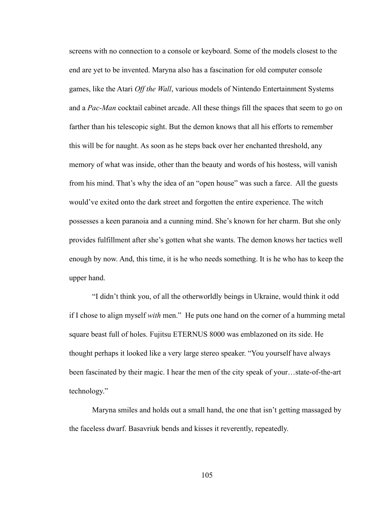screens with no connection to a console or keyboard. Some of the models closest to the end are yet to be invented. Maryna also has a fascination for old computer console games, like the Atari *Off the Wall*, various models of Nintendo Entertainment Systems and a *Pac-Man* cocktail cabinet arcade. All these things fill the spaces that seem to go on farther than his telescopic sight. But the demon knows that all his efforts to remember this will be for naught. As soon as he steps back over her enchanted threshold, any memory of what was inside, other than the beauty and words of his hostess, will vanish from his mind. That's why the idea of an "open house" was such a farce. All the guests would've exited onto the dark street and forgotten the entire experience. The witch possesses a keen paranoia and a cunning mind. She's known for her charm. But she only provides fulfillment after she's gotten what she wants. The demon knows her tactics well enough by now. And, this time, it is he who needs something. It is he who has to keep the upper hand.

 "I didn't think you, of all the otherworldly beings in Ukraine, would think it odd if I chose to align myself *with* men." He puts one hand on the corner of a humming metal square beast full of holes. Fujitsu ETERNUS 8000 was emblazoned on its side. He thought perhaps it looked like a very large stereo speaker. "You yourself have always been fascinated by their magic. I hear the men of the city speak of your…state-of-the-art technology."

 Maryna smiles and holds out a small hand, the one that isn't getting massaged by the faceless dwarf. Basavriuk bends and kisses it reverently, repeatedly.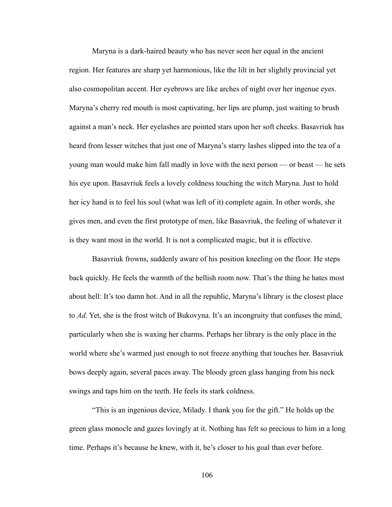Maryna is a dark-haired beauty who has never seen her equal in the ancient region. Her features are sharp yet harmonious, like the lilt in her slightly provincial yet also cosmopolitan accent. Her eyebrows are like arches of night over her ingenue eyes. Maryna's cherry red mouth is most captivating, her lips are plump, just waiting to brush against a man's neck. Her eyelashes are pointed stars upon her soft cheeks. Basavriuk has heard from lesser witches that just one of Maryna's starry lashes slipped into the tea of a young man would make him fall madly in love with the next person — or beast — he sets his eye upon. Basavriuk feels a lovely coldness touching the witch Maryna. Just to hold her icy hand is to feel his soul (what was left of it) complete again. In other words, she gives men, and even the first prototype of men, like Basavriuk, the feeling of whatever it is they want most in the world. It is not a complicated magic, but it is effective.

 Basavriuk frowns, suddenly aware of his position kneeling on the floor. He steps back quickly. He feels the warmth of the hellish room now. That's the thing he hates most about hell: It's too damn hot. And in all the republic, Maryna's library is the closest place to *Ad*. Yet, she is the frost witch of Bukovyna. It's an incongruity that confuses the mind, particularly when she is waxing her charms. Perhaps her library is the only place in the world where she's warmed just enough to not freeze anything that touches her. Basavriuk bows deeply again, several paces away. The bloody green glass hanging from his neck swings and taps him on the teeth. He feels its stark coldness.

 "This is an ingenious device, Milady. I thank you for the gift." He holds up the green glass monocle and gazes lovingly at it. Nothing has felt so precious to him in a long time. Perhaps it's because he knew, with it, he's closer to his goal than ever before.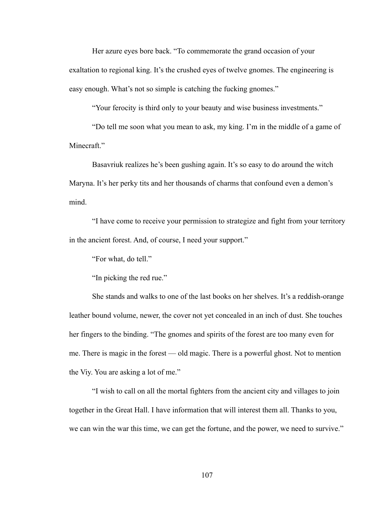Her azure eyes bore back. "To commemorate the grand occasion of your exaltation to regional king. It's the crushed eyes of twelve gnomes. The engineering is easy enough. What's not so simple is catching the fucking gnomes."

"Your ferocity is third only to your beauty and wise business investments."

 "Do tell me soon what you mean to ask, my king. I'm in the middle of a game of Minecraft<sup>"</sup>

 Basavriuk realizes he's been gushing again. It's so easy to do around the witch Maryna. It's her perky tits and her thousands of charms that confound even a demon's mind.

 "I have come to receive your permission to strategize and fight from your territory in the ancient forest. And, of course, I need your support."

"For what, do tell."

"In picking the red rue."

 She stands and walks to one of the last books on her shelves. It's a reddish-orange leather bound volume, newer, the cover not yet concealed in an inch of dust. She touches her fingers to the binding. "The gnomes and spirits of the forest are too many even for me. There is magic in the forest — old magic. There is a powerful ghost. Not to mention the Viy. You are asking a lot of me."

 "I wish to call on all the mortal fighters from the ancient city and villages to join together in the Great Hall. I have information that will interest them all. Thanks to you, we can win the war this time, we can get the fortune, and the power, we need to survive."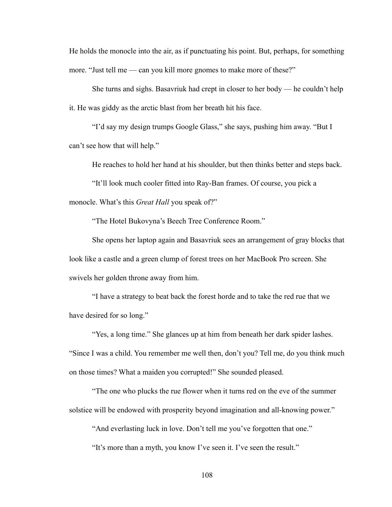He holds the monocle into the air, as if punctuating his point. But, perhaps, for something more. "Just tell me — can you kill more gnomes to make more of these?"

 She turns and sighs. Basavriuk had crept in closer to her body — he couldn't help it. He was giddy as the arctic blast from her breath hit his face.

 "I'd say my design trumps Google Glass," she says, pushing him away. "But I can't see how that will help."

He reaches to hold her hand at his shoulder, but then thinks better and steps back.

 "It'll look much cooler fitted into Ray-Ban frames. Of course, you pick a monocle. What's this *Great Hall* you speak of?"

"The Hotel Bukovyna's Beech Tree Conference Room."

 She opens her laptop again and Basavriuk sees an arrangement of gray blocks that look like a castle and a green clump of forest trees on her MacBook Pro screen. She swivels her golden throne away from him.

 "I have a strategy to beat back the forest horde and to take the red rue that we have desired for so long."

 "Yes, a long time." She glances up at him from beneath her dark spider lashes. "Since I was a child. You remember me well then, don't you? Tell me, do you think much on those times? What a maiden you corrupted!" She sounded pleased.

 "The one who plucks the rue flower when it turns red on the eve of the summer solstice will be endowed with prosperity beyond imagination and all-knowing power."

"And everlasting luck in love. Don't tell me you've forgotten that one."

"It's more than a myth, you know I've seen it. I've seen the result."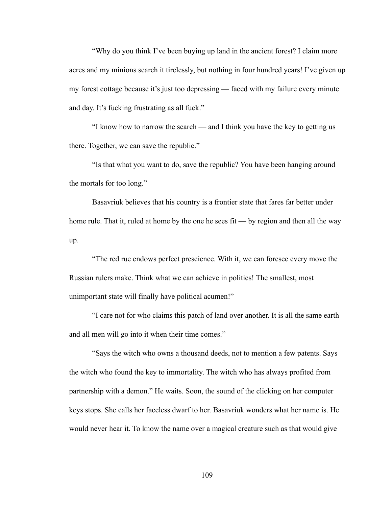"Why do you think I've been buying up land in the ancient forest? I claim more acres and my minions search it tirelessly, but nothing in four hundred years! I've given up my forest cottage because it's just too depressing — faced with my failure every minute and day. It's fucking frustrating as all fuck."

 "I know how to narrow the search — and I think you have the key to getting us there. Together, we can save the republic."

 "Is that what you want to do, save the republic? You have been hanging around the mortals for too long."

 Basavriuk believes that his country is a frontier state that fares far better under home rule. That it, ruled at home by the one he sees fit — by region and then all the way up.

 "The red rue endows perfect prescience. With it, we can foresee every move the Russian rulers make. Think what we can achieve in politics! The smallest, most unimportant state will finally have political acumen!"

 "I care not for who claims this patch of land over another. It is all the same earth and all men will go into it when their time comes."

 "Says the witch who owns a thousand deeds, not to mention a few patents. Says the witch who found the key to immortality. The witch who has always profited from partnership with a demon." He waits. Soon, the sound of the clicking on her computer keys stops. She calls her faceless dwarf to her. Basavriuk wonders what her name is. He would never hear it. To know the name over a magical creature such as that would give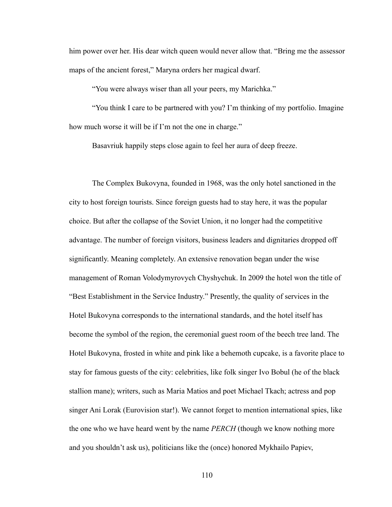him power over her. His dear witch queen would never allow that. "Bring me the assessor maps of the ancient forest," Maryna orders her magical dwarf.

"You were always wiser than all your peers, my Marichka."

 "You think I care to be partnered with you? I'm thinking of my portfolio. Imagine how much worse it will be if I'm not the one in charge."

Basavriuk happily steps close again to feel her aura of deep freeze.

 The Complex Bukovyna, founded in 1968, was the only hotel sanctioned in the city to host foreign tourists. Since foreign guests had to stay here, it was the popular choice. But after the collapse of the Soviet Union, it no longer had the competitive advantage. The number of foreign visitors, business leaders and dignitaries dropped off significantly. Meaning completely. An extensive renovation began under the wise management of Roman Volodymyrovych Chyshychuk. In 2009 the hotel won the title of "Best Establishment in the Service Industry." Presently, the quality of services in the Hotel Bukovyna corresponds to the international standards, and the hotel itself has become the symbol of the region, the ceremonial guest room of the beech tree land. The Hotel Bukovyna, frosted in white and pink like a behemoth cupcake, is a favorite place to stay for famous guests of the city: celebrities, like folk singer Ivo Bobul (he of the black stallion mane); writers, such as Maria Matios and poet Michael Tkach; actress and pop singer Ani Lorak (Eurovision star!). We cannot forget to mention international spies, like the one who we have heard went by the name *PERCH* (though we know nothing more and you shouldn't ask us), politicians like the (once) honored Mykhailo Papiev,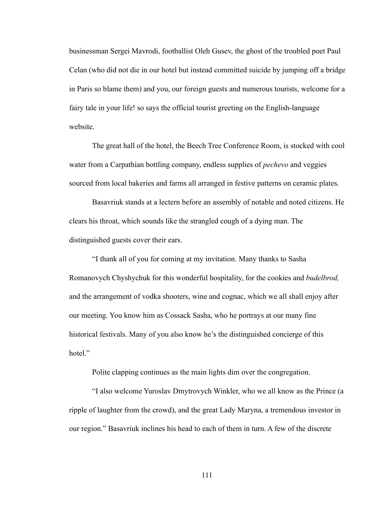businessman Sergei Mavrodi, footballist Oleh Gusev, the ghost of the troubled poet Paul Celan (who did not die in our hotel but instead committed suicide by jumping off a bridge in Paris so blame them) and you, our foreign guests and numerous tourists, welcome for a fairy tale in your life! so says the official tourist greeting on the English-language website.

 The great hall of the hotel, the Beech Tree Conference Room, is stocked with cool water from a Carpathian bottling company, endless supplies of *pechevo* and veggies sourced from local bakeries and farms all arranged in festive patterns on ceramic plates.

 Basavriuk stands at a lectern before an assembly of notable and noted citizens. He clears his throat, which sounds like the strangled cough of a dying man. The distinguished guests cover their ears.

 "I thank all of you for coming at my invitation. Many thanks to Sasha Romanovych Chyshychuk for this wonderful hospitality, for the cookies and *budelbrod,* and the arrangement of vodka shooters, wine and cognac, which we all shall enjoy after our meeting. You know him as Cossack Sasha, who he portrays at our many fine historical festivals. Many of you also know he's the distinguished concierge of this hotel"

Polite clapping continues as the main lights dim over the congregation.

 "I also welcome Yuroslav Dmytrovych Winkler, who we all know as the Prince (a ripple of laughter from the crowd), and the great Lady Maryna, a tremendous investor in our region." Basavriuk inclines his head to each of them in turn. A few of the discrete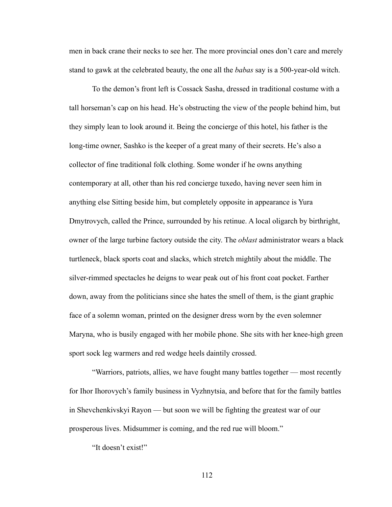men in back crane their necks to see her. The more provincial ones don't care and merely stand to gawk at the celebrated beauty, the one all the *babas* say is a 500-year-old witch.

 To the demon's front left is Cossack Sasha, dressed in traditional costume with a tall horseman's cap on his head. He's obstructing the view of the people behind him, but they simply lean to look around it. Being the concierge of this hotel, his father is the long-time owner, Sashko is the keeper of a great many of their secrets. He's also a collector of fine traditional folk clothing. Some wonder if he owns anything contemporary at all, other than his red concierge tuxedo, having never seen him in anything else Sitting beside him, but completely opposite in appearance is Yura Dmytrovych, called the Prince, surrounded by his retinue. A local oligarch by birthright, owner of the large turbine factory outside the city. The *oblast* administrator wears a black turtleneck, black sports coat and slacks, which stretch mightily about the middle. The silver-rimmed spectacles he deigns to wear peak out of his front coat pocket. Farther down, away from the politicians since she hates the smell of them, is the giant graphic face of a solemn woman, printed on the designer dress worn by the even solemner Maryna, who is busily engaged with her mobile phone. She sits with her knee-high green sport sock leg warmers and red wedge heels daintily crossed.

 "Warriors, patriots, allies, we have fought many battles together — most recently for Ihor Ihorovych's family business in Vyzhnytsia, and before that for the family battles in Shevchenkivskyi Rayon — but soon we will be fighting the greatest war of our prosperous lives. Midsummer is coming, and the red rue will bloom."

"It doesn't exist!"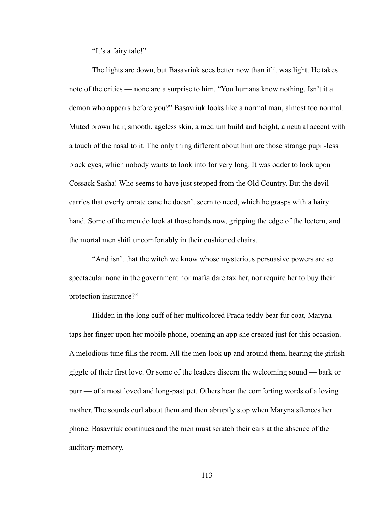"It's a fairy tale!"

 The lights are down, but Basavriuk sees better now than if it was light. He takes note of the critics — none are a surprise to him. "You humans know nothing. Isn't it a demon who appears before you?" Basavriuk looks like a normal man, almost too normal. Muted brown hair, smooth, ageless skin, a medium build and height, a neutral accent with a touch of the nasal to it. The only thing different about him are those strange pupil-less black eyes, which nobody wants to look into for very long. It was odder to look upon Cossack Sasha! Who seems to have just stepped from the Old Country. But the devil carries that overly ornate cane he doesn't seem to need, which he grasps with a hairy hand. Some of the men do look at those hands now, gripping the edge of the lectern, and the mortal men shift uncomfortably in their cushioned chairs.

 "And isn't that the witch we know whose mysterious persuasive powers are so spectacular none in the government nor mafia dare tax her, nor require her to buy their protection insurance?"

 Hidden in the long cuff of her multicolored Prada teddy bear fur coat, Maryna taps her finger upon her mobile phone, opening an app she created just for this occasion. A melodious tune fills the room. All the men look up and around them, hearing the girlish giggle of their first love. Or some of the leaders discern the welcoming sound — bark or purr — of a most loved and long-past pet. Others hear the comforting words of a loving mother. The sounds curl about them and then abruptly stop when Maryna silences her phone. Basavriuk continues and the men must scratch their ears at the absence of the auditory memory.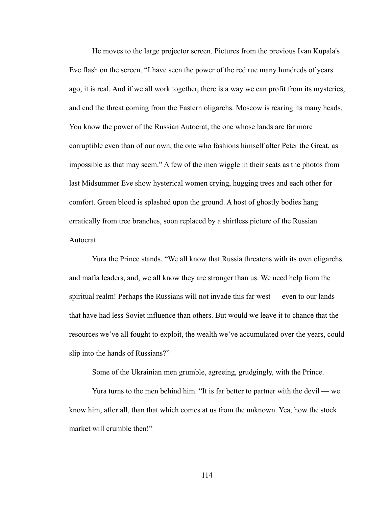He moves to the large projector screen. Pictures from the previous Ivan Kupala's Eve flash on the screen. "I have seen the power of the red rue many hundreds of years ago, it is real. And if we all work together, there is a way we can profit from its mysteries, and end the threat coming from the Eastern oligarchs. Moscow is rearing its many heads. You know the power of the Russian Autocrat, the one whose lands are far more corruptible even than of our own, the one who fashions himself after Peter the Great, as impossible as that may seem." A few of the men wiggle in their seats as the photos from last Midsummer Eve show hysterical women crying, hugging trees and each other for comfort. Green blood is splashed upon the ground. A host of ghostly bodies hang erratically from tree branches, soon replaced by a shirtless picture of the Russian Autocrat.

 Yura the Prince stands. "We all know that Russia threatens with its own oligarchs and mafia leaders, and, we all know they are stronger than us. We need help from the spiritual realm! Perhaps the Russians will not invade this far west — even to our lands that have had less Soviet influence than others. But would we leave it to chance that the resources we've all fought to exploit, the wealth we've accumulated over the years, could slip into the hands of Russians?"

Some of the Ukrainian men grumble, agreeing, grudgingly, with the Prince.

 Yura turns to the men behind him. "It is far better to partner with the devil — we know him, after all, than that which comes at us from the unknown. Yea, how the stock market will crumble then!"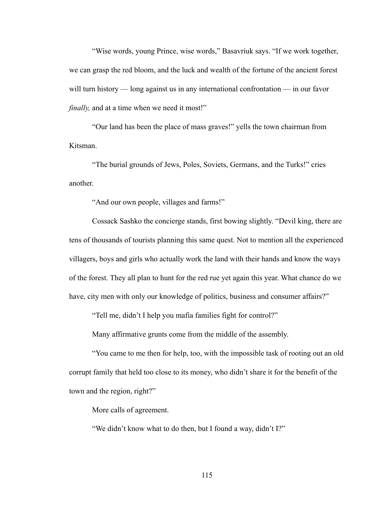"Wise words, young Prince, wise words," Basavriuk says. "If we work together, we can grasp the red bloom, and the luck and wealth of the fortune of the ancient forest will turn history — long against us in any international confrontation — in our favor *finally*, and at a time when we need it most!"

 "Our land has been the place of mass graves!" yells the town chairman from Kitsman.

 "The burial grounds of Jews, Poles, Soviets, Germans, and the Turks!" cries another.

"And our own people, villages and farms!"

 Cossack Sashko the concierge stands, first bowing slightly. "Devil king, there are tens of thousands of tourists planning this same quest. Not to mention all the experienced villagers, boys and girls who actually work the land with their hands and know the ways of the forest. They all plan to hunt for the red rue yet again this year. What chance do we have, city men with only our knowledge of politics, business and consumer affairs?"

"Tell me, didn't I help you mafia families fight for control?"

Many affirmative grunts come from the middle of the assembly.

 "You came to me then for help, too, with the impossible task of rooting out an old corrupt family that held too close to its money, who didn't share it for the benefit of the town and the region, right?"

More calls of agreement.

"We didn't know what to do then, but I found a way, didn't I?"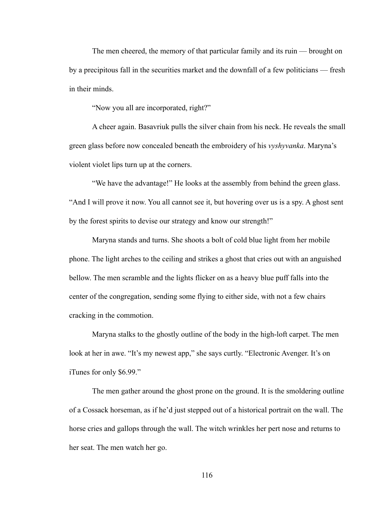The men cheered, the memory of that particular family and its ruin — brought on by a precipitous fall in the securities market and the downfall of a few politicians — fresh in their minds.

"Now you all are incorporated, right?"

 A cheer again. Basavriuk pulls the silver chain from his neck. He reveals the small green glass before now concealed beneath the embroidery of his *vyshyvanka*. Maryna's violent violet lips turn up at the corners.

 "We have the advantage!" He looks at the assembly from behind the green glass. "And I will prove it now. You all cannot see it, but hovering over us is a spy. A ghost sent by the forest spirits to devise our strategy and know our strength!"

 Maryna stands and turns. She shoots a bolt of cold blue light from her mobile phone. The light arches to the ceiling and strikes a ghost that cries out with an anguished bellow. The men scramble and the lights flicker on as a heavy blue puff falls into the center of the congregation, sending some flying to either side, with not a few chairs cracking in the commotion.

 Maryna stalks to the ghostly outline of the body in the high-loft carpet. The men look at her in awe. "It's my newest app," she says curtly. "Electronic Avenger. It's on iTunes for only \$6.99."

 The men gather around the ghost prone on the ground. It is the smoldering outline of a Cossack horseman, as if he'd just stepped out of a historical portrait on the wall. The horse cries and gallops through the wall. The witch wrinkles her pert nose and returns to her seat. The men watch her go.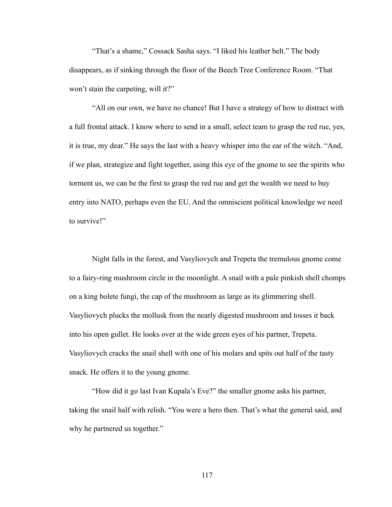"That's a shame," Cossack Sasha says. "I liked his leather belt." The body disappears, as if sinking through the floor of the Beech Tree Conference Room. "That won't stain the carpeting, will it?"

 "All on our own, we have no chance! But I have a strategy of how to distract with a full frontal attack. I know where to send in a small, select team to grasp the red rue, yes, it is true, my dear." He says the last with a heavy whisper into the ear of the witch. "And, if we plan, strategize and fight together, using this eye of the gnome to see the spirits who torment us, we can be the first to grasp the red rue and get the wealth we need to buy entry into NATO, perhaps even the EU. And the omniscient political knowledge we need to survive!"

 Night falls in the forest, and Vasyliovych and Trepeta the tremulous gnome come to a fairy-ring mushroom circle in the moonlight. A snail with a pale pinkish shell chomps on a king bolete fungi, the cap of the mushroom as large as its glimmering shell. Vasyliovych plucks the mollusk from the nearly digested mushroom and tosses it back into his open gullet. He looks over at the wide green eyes of his partner, Trepeta. Vasyliovych cracks the snail shell with one of his molars and spits out half of the tasty snack. He offers it to the young gnome.

 "How did it go last Ivan Kupala's Eve?" the smaller gnome asks his partner, taking the snail half with relish. "You were a hero then. That's what the general said, and why he partnered us together."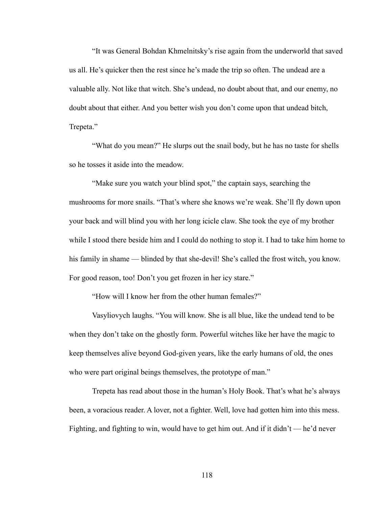"It was General Bohdan Khmelnitsky's rise again from the underworld that saved us all. He's quicker then the rest since he's made the trip so often. The undead are a valuable ally. Not like that witch. She's undead, no doubt about that, and our enemy, no doubt about that either. And you better wish you don't come upon that undead bitch, Trepeta."

 "What do you mean?" He slurps out the snail body, but he has no taste for shells so he tosses it aside into the meadow.

 "Make sure you watch your blind spot," the captain says, searching the mushrooms for more snails. "That's where she knows we're weak. She'll fly down upon your back and will blind you with her long icicle claw. She took the eye of my brother while I stood there beside him and I could do nothing to stop it. I had to take him home to his family in shame — blinded by that she-devil! She's called the frost witch, you know. For good reason, too! Don't you get frozen in her icy stare."

"How will I know her from the other human females?"

 Vasyliovych laughs. "You will know. She is all blue, like the undead tend to be when they don't take on the ghostly form. Powerful witches like her have the magic to keep themselves alive beyond God-given years, like the early humans of old, the ones who were part original beings themselves, the prototype of man."

 Trepeta has read about those in the human's Holy Book. That's what he's always been, a voracious reader. A lover, not a fighter. Well, love had gotten him into this mess. Fighting, and fighting to win, would have to get him out. And if it didn't — he'd never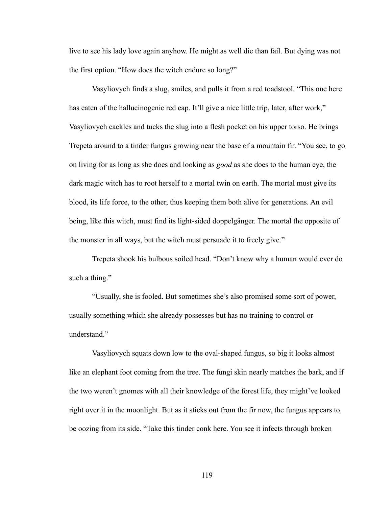live to see his lady love again anyhow. He might as well die than fail. But dying was not the first option. "How does the witch endure so long?"

 Vasyliovych finds a slug, smiles, and pulls it from a red toadstool. "This one here has eaten of the hallucinogenic red cap. It'll give a nice little trip, later, after work," Vasyliovych cackles and tucks the slug into a flesh pocket on his upper torso. He brings Trepeta around to a tinder fungus growing near the base of a mountain fir. "You see, to go on living for as long as she does and looking as *good* as she does to the human eye, the dark magic witch has to root herself to a mortal twin on earth. The mortal must give its blood, its life force, to the other, thus keeping them both alive for generations. An evil being, like this witch, must find its light-sided doppelgänger. The mortal the opposite of the monster in all ways, but the witch must persuade it to freely give."

 Trepeta shook his bulbous soiled head. "Don't know why a human would ever do such a thing."

 "Usually, she is fooled. But sometimes she's also promised some sort of power, usually something which she already possesses but has no training to control or understand."

 Vasyliovych squats down low to the oval-shaped fungus, so big it looks almost like an elephant foot coming from the tree. The fungi skin nearly matches the bark, and if the two weren't gnomes with all their knowledge of the forest life, they might've looked right over it in the moonlight. But as it sticks out from the fir now, the fungus appears to be oozing from its side. "Take this tinder conk here. You see it infects through broken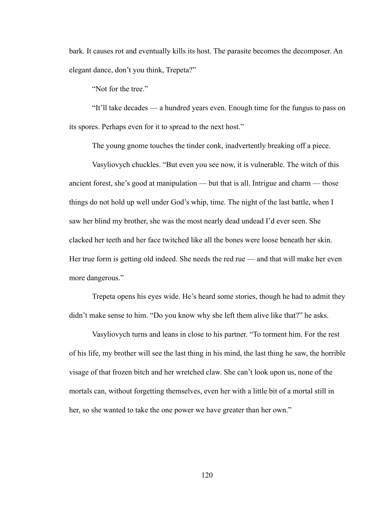bark. It causes rot and eventually kills its host. The parasite becomes the decomposer. An elegant dance, don't you think, Trepeta?"

"Not for the tree."

 "It'll take decades — a hundred years even. Enough time for the fungus to pass on its spores. Perhaps even for it to spread to the next host."

The young gnome touches the tinder conk, inadvertently breaking off a piece.

 Vasyliovych chuckles. "But even you see now, it is vulnerable. The witch of this ancient forest, she's good at manipulation — but that is all. Intrigue and charm — those things do not hold up well under God's whip, time. The night of the last battle, when I saw her blind my brother, she was the most nearly dead undead I'd ever seen. She clacked her teeth and her face twitched like all the bones were loose beneath her skin. Her true form is getting old indeed. She needs the red rue — and that will make her even more dangerous."

 Trepeta opens his eyes wide. He's heard some stories, though he had to admit they didn't make sense to him. "Do you know why she left them alive like that?" he asks.

 Vasyliovych turns and leans in close to his partner. "To torment him. For the rest of his life, my brother will see the last thing in his mind, the last thing he saw, the horrible visage of that frozen bitch and her wretched claw. She can't look upon us, none of the mortals can, without forgetting themselves, even her with a little bit of a mortal still in her, so she wanted to take the one power we have greater than her own."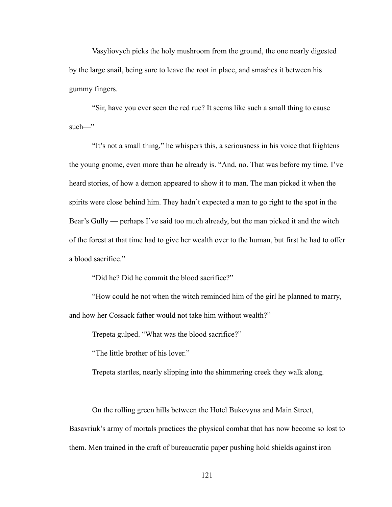Vasyliovych picks the holy mushroom from the ground, the one nearly digested by the large snail, being sure to leave the root in place, and smashes it between his gummy fingers.

 "Sir, have you ever seen the red rue? It seems like such a small thing to cause such—"

 "It's not a small thing," he whispers this, a seriousness in his voice that frightens the young gnome, even more than he already is. "And, no. That was before my time. I've heard stories, of how a demon appeared to show it to man. The man picked it when the spirits were close behind him. They hadn't expected a man to go right to the spot in the Bear's Gully — perhaps I've said too much already, but the man picked it and the witch of the forest at that time had to give her wealth over to the human, but first he had to offer a blood sacrifice."

"Did he? Did he commit the blood sacrifice?"

 "How could he not when the witch reminded him of the girl he planned to marry, and how her Cossack father would not take him without wealth?"

Trepeta gulped. "What was the blood sacrifice?"

"The little brother of his lover."

Trepeta startles, nearly slipping into the shimmering creek they walk along.

 On the rolling green hills between the Hotel Bukovyna and Main Street, Basavriuk's army of mortals practices the physical combat that has now become so lost to them. Men trained in the craft of bureaucratic paper pushing hold shields against iron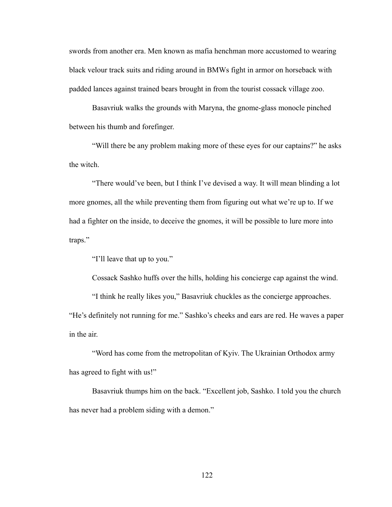swords from another era. Men known as mafia henchman more accustomed to wearing black velour track suits and riding around in BMWs fight in armor on horseback with padded lances against trained bears brought in from the tourist cossack village zoo.

 Basavriuk walks the grounds with Maryna, the gnome-glass monocle pinched between his thumb and forefinger.

 "Will there be any problem making more of these eyes for our captains?" he asks the witch.

 "There would've been, but I think I've devised a way. It will mean blinding a lot more gnomes, all the while preventing them from figuring out what we're up to. If we had a fighter on the inside, to deceive the gnomes, it will be possible to lure more into traps."

"I'll leave that up to you."

Cossack Sashko huffs over the hills, holding his concierge cap against the wind.

"I think he really likes you," Basavriuk chuckles as the concierge approaches.

"He's definitely not running for me." Sashko's cheeks and ears are red. He waves a paper in the air.

 "Word has come from the metropolitan of Kyiv. The Ukrainian Orthodox army has agreed to fight with us!"

 Basavriuk thumps him on the back. "Excellent job, Sashko. I told you the church has never had a problem siding with a demon."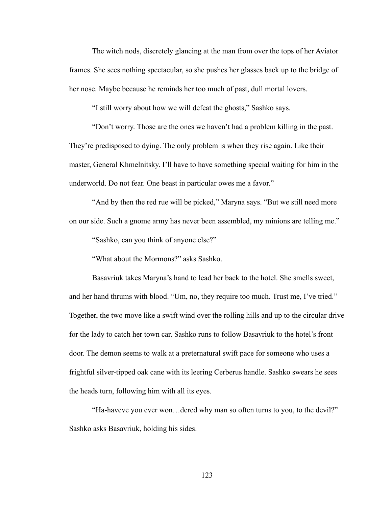The witch nods, discretely glancing at the man from over the tops of her Aviator frames. She sees nothing spectacular, so she pushes her glasses back up to the bridge of her nose. Maybe because he reminds her too much of past, dull mortal lovers.

"I still worry about how we will defeat the ghosts," Sashko says.

 "Don't worry. Those are the ones we haven't had a problem killing in the past. They're predisposed to dying. The only problem is when they rise again. Like their master, General Khmelnitsky. I'll have to have something special waiting for him in the underworld. Do not fear. One beast in particular owes me a favor."

 "And by then the red rue will be picked," Maryna says. "But we still need more on our side. Such a gnome army has never been assembled, my minions are telling me."

"Sashko, can you think of anyone else?"

"What about the Mormons?" asks Sashko.

 Basavriuk takes Maryna's hand to lead her back to the hotel. She smells sweet, and her hand thrums with blood. "Um, no, they require too much. Trust me, I've tried." Together, the two move like a swift wind over the rolling hills and up to the circular drive for the lady to catch her town car. Sashko runs to follow Basavriuk to the hotel's front door. The demon seems to walk at a preternatural swift pace for someone who uses a frightful silver-tipped oak cane with its leering Cerberus handle. Sashko swears he sees the heads turn, following him with all its eyes.

 "Ha-haveve you ever won…dered why man so often turns to you, to the devil?" Sashko asks Basavriuk, holding his sides.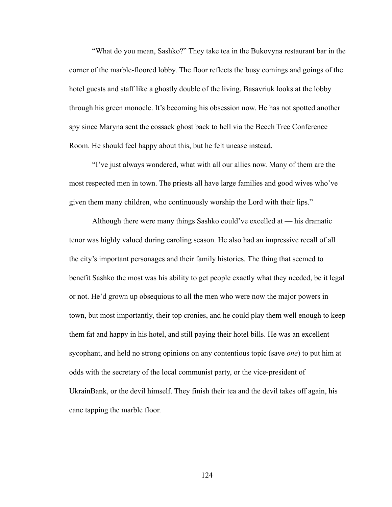"What do you mean, Sashko?" They take tea in the Bukovyna restaurant bar in the corner of the marble-floored lobby. The floor reflects the busy comings and goings of the hotel guests and staff like a ghostly double of the living. Basavriuk looks at the lobby through his green monocle. It's becoming his obsession now. He has not spotted another spy since Maryna sent the cossack ghost back to hell via the Beech Tree Conference Room. He should feel happy about this, but he felt unease instead.

 "I've just always wondered, what with all our allies now. Many of them are the most respected men in town. The priests all have large families and good wives who've given them many children, who continuously worship the Lord with their lips."

 Although there were many things Sashko could've excelled at — his dramatic tenor was highly valued during caroling season. He also had an impressive recall of all the city's important personages and their family histories. The thing that seemed to benefit Sashko the most was his ability to get people exactly what they needed, be it legal or not. He'd grown up obsequious to all the men who were now the major powers in town, but most importantly, their top cronies, and he could play them well enough to keep them fat and happy in his hotel, and still paying their hotel bills. He was an excellent sycophant, and held no strong opinions on any contentious topic (save *one*) to put him at odds with the secretary of the local communist party, or the vice-president of UkrainBank, or the devil himself. They finish their tea and the devil takes off again, his cane tapping the marble floor.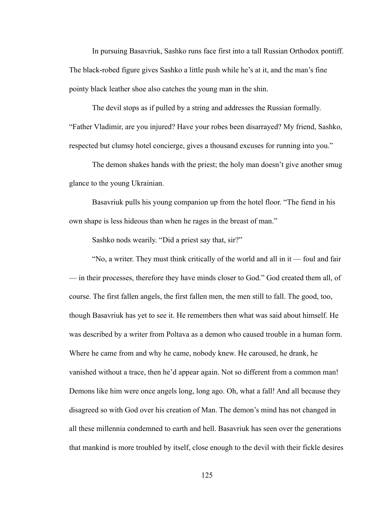In pursuing Basavriuk, Sashko runs face first into a tall Russian Orthodox pontiff. The black-robed figure gives Sashko a little push while he's at it, and the man's fine pointy black leather shoe also catches the young man in the shin.

 The devil stops as if pulled by a string and addresses the Russian formally. "Father Vladimir, are you injured? Have your robes been disarrayed? My friend, Sashko, respected but clumsy hotel concierge, gives a thousand excuses for running into you."

 The demon shakes hands with the priest; the holy man doesn't give another smug glance to the young Ukrainian.

 Basavriuk pulls his young companion up from the hotel floor. "The fiend in his own shape is less hideous than when he rages in the breast of man."

Sashko nods wearily. "Did a priest say that, sir?"

 "No, a writer. They must think critically of the world and all in it — foul and fair — in their processes, therefore they have minds closer to God." God created them all, of course. The first fallen angels, the first fallen men, the men still to fall. The good, too, though Basavriuk has yet to see it. He remembers then what was said about himself. He was described by a writer from Poltava as a demon who caused trouble in a human form. Where he came from and why he came, nobody knew. He caroused, he drank, he vanished without a trace, then he'd appear again. Not so different from a common man! Demons like him were once angels long, long ago. Oh, what a fall! And all because they disagreed so with God over his creation of Man. The demon's mind has not changed in all these millennia condemned to earth and hell. Basavriuk has seen over the generations that mankind is more troubled by itself, close enough to the devil with their fickle desires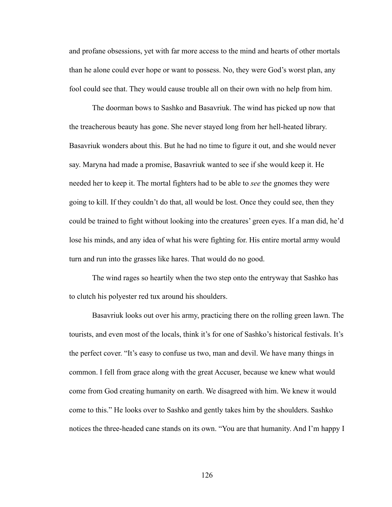and profane obsessions, yet with far more access to the mind and hearts of other mortals than he alone could ever hope or want to possess. No, they were God's worst plan, any fool could see that. They would cause trouble all on their own with no help from him.

 The doorman bows to Sashko and Basavriuk. The wind has picked up now that the treacherous beauty has gone. She never stayed long from her hell-heated library. Basavriuk wonders about this. But he had no time to figure it out, and she would never say. Maryna had made a promise, Basavriuk wanted to see if she would keep it. He needed her to keep it. The mortal fighters had to be able to *see* the gnomes they were going to kill. If they couldn't do that, all would be lost. Once they could see, then they could be trained to fight without looking into the creatures' green eyes. If a man did, he'd lose his minds, and any idea of what his were fighting for. His entire mortal army would turn and run into the grasses like hares. That would do no good.

 The wind rages so heartily when the two step onto the entryway that Sashko has to clutch his polyester red tux around his shoulders.

 Basavriuk looks out over his army, practicing there on the rolling green lawn. The tourists, and even most of the locals, think it's for one of Sashko's historical festivals. It's the perfect cover. "It's easy to confuse us two, man and devil. We have many things in common. I fell from grace along with the great Accuser, because we knew what would come from God creating humanity on earth. We disagreed with him. We knew it would come to this." He looks over to Sashko and gently takes him by the shoulders. Sashko notices the three-headed cane stands on its own. "You are that humanity. And I'm happy I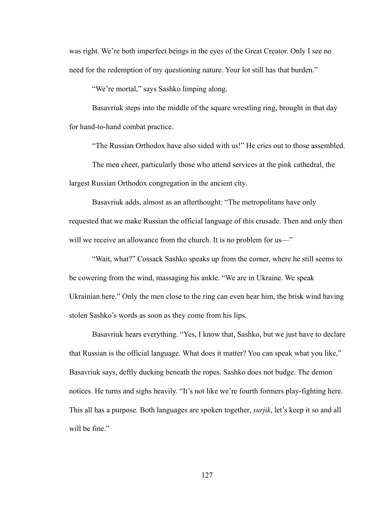was right. We're both imperfect beings in the eyes of the Great Creator. Only I see no need for the redemption of my questioning nature. Your lot still has that burden."

"We're mortal," says Sashko limping along.

 Basavriuk steps into the middle of the square wrestling ring, brought in that day for hand-to-hand combat practice.

"The Russian Orthodox have also sided with us!" He cries out to those assembled.

 The men cheer, particularly those who attend services at the pink cathedral, the largest Russian Orthodox congregation in the ancient city.

 Basavriuk adds, almost as an afterthought: "The metropolitans have only requested that we make Russian the official language of this crusade. Then and only then will we receive an allowance from the church. It is no problem for us—"

 "Wait, what?" Cossack Sashko speaks up from the corner, where he still seems to be cowering from the wind, massaging his ankle. "We are in Ukraine. We speak Ukrainian here." Only the men close to the ring can even hear him, the brisk wind having stolen Sashko's words as soon as they come from his lips.

 Basavriuk hears everything. "Yes, I know that, Sashko, but we just have to declare that Russian is the official language. What does it matter? You can speak what you like," Basavriuk says, deftly ducking beneath the ropes. Sashko does not budge. The demon notices. He turns and sighs heavily. "It's not like we're fourth formers play-fighting here. This all has a purpose. Both languages are spoken together, *surjik*, let's keep it so and all will be fine."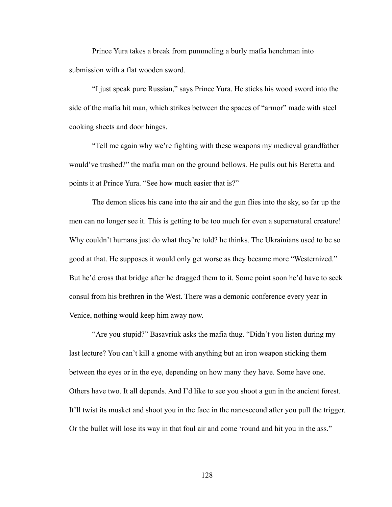Prince Yura takes a break from pummeling a burly mafia henchman into submission with a flat wooden sword.

 "I just speak pure Russian," says Prince Yura. He sticks his wood sword into the side of the mafia hit man, which strikes between the spaces of "armor" made with steel cooking sheets and door hinges.

 "Tell me again why we're fighting with these weapons my medieval grandfather would've trashed?" the mafia man on the ground bellows. He pulls out his Beretta and points it at Prince Yura. "See how much easier that is?"

 The demon slices his cane into the air and the gun flies into the sky, so far up the men can no longer see it. This is getting to be too much for even a supernatural creature! Why couldn't humans just do what they're told? he thinks. The Ukrainians used to be so good at that. He supposes it would only get worse as they became more "Westernized." But he'd cross that bridge after he dragged them to it. Some point soon he'd have to seek consul from his brethren in the West. There was a demonic conference every year in Venice, nothing would keep him away now.

 "Are you stupid?" Basavriuk asks the mafia thug. "Didn't you listen during my last lecture? You can't kill a gnome with anything but an iron weapon sticking them between the eyes or in the eye, depending on how many they have. Some have one. Others have two. It all depends. And I'd like to see you shoot a gun in the ancient forest. It'll twist its musket and shoot you in the face in the nanosecond after you pull the trigger. Or the bullet will lose its way in that foul air and come 'round and hit you in the ass."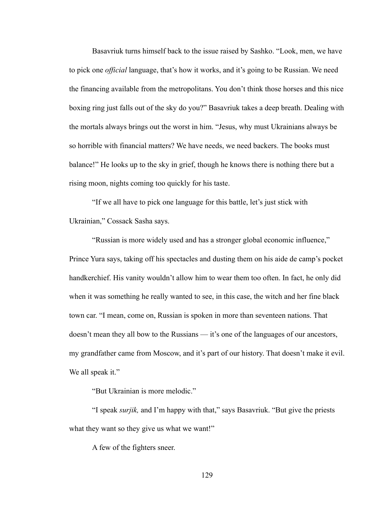Basavriuk turns himself back to the issue raised by Sashko. "Look, men, we have to pick one *official* language, that's how it works, and it's going to be Russian. We need the financing available from the metropolitans. You don't think those horses and this nice boxing ring just falls out of the sky do you?" Basavriuk takes a deep breath. Dealing with the mortals always brings out the worst in him. "Jesus, why must Ukrainians always be so horrible with financial matters? We have needs, we need backers. The books must balance!" He looks up to the sky in grief, though he knows there is nothing there but a rising moon, nights coming too quickly for his taste.

 "If we all have to pick one language for this battle, let's just stick with Ukrainian," Cossack Sasha says.

 "Russian is more widely used and has a stronger global economic influence," Prince Yura says, taking off his spectacles and dusting them on his aide de camp's pocket handkerchief. His vanity wouldn't allow him to wear them too often. In fact, he only did when it was something he really wanted to see, in this case, the witch and her fine black town car. "I mean, come on, Russian is spoken in more than seventeen nations. That doesn't mean they all bow to the Russians — it's one of the languages of our ancestors, my grandfather came from Moscow, and it's part of our history. That doesn't make it evil. We all speak it."

"But Ukrainian is more melodic."

 "I speak *surjik,* and I'm happy with that," says Basavriuk. "But give the priests what they want so they give us what we want!"

A few of the fighters sneer.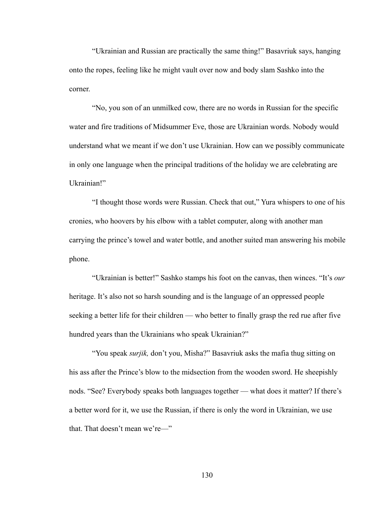"Ukrainian and Russian are practically the same thing!" Basavriuk says, hanging onto the ropes, feeling like he might vault over now and body slam Sashko into the corner.

 "No, you son of an unmilked cow, there are no words in Russian for the specific water and fire traditions of Midsummer Eve, those are Ukrainian words. Nobody would understand what we meant if we don't use Ukrainian. How can we possibly communicate in only one language when the principal traditions of the holiday we are celebrating are Ukrainian!"

 "I thought those words were Russian. Check that out," Yura whispers to one of his cronies, who hoovers by his elbow with a tablet computer, along with another man carrying the prince's towel and water bottle, and another suited man answering his mobile phone.

 "Ukrainian is better!" Sashko stamps his foot on the canvas, then winces. "It's *our*  heritage. It's also not so harsh sounding and is the language of an oppressed people seeking a better life for their children — who better to finally grasp the red rue after five hundred years than the Ukrainians who speak Ukrainian?"

 "You speak *surjik,* don't you, Misha?" Basavriuk asks the mafia thug sitting on his ass after the Prince's blow to the midsection from the wooden sword. He sheepishly nods. "See? Everybody speaks both languages together — what does it matter? If there's a better word for it, we use the Russian, if there is only the word in Ukrainian, we use that. That doesn't mean we're—"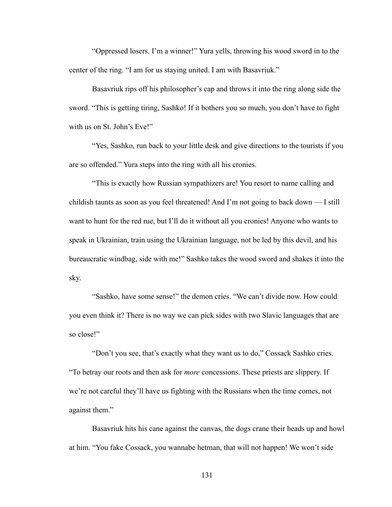"Oppressed losers. I'm a winner!" Yura yells, throwing his wood sword in to the center of the ring. "I am for us staying united. I am with Basavriuk."

 Basavriuk rips off his philosopher's cap and throws it into the ring along side the sword. "This is getting tiring, Sashko! If it bothers you so much, you don't have to fight with us on St. John's Eve!"

 "Yes, Sashko, run back to your little desk and give directions to the tourists if you are so offended." Yura steps into the ring with all his cronies.

 "This is exactly how Russian sympathizers are! You resort to name calling and childish taunts as soon as you feel threatened! And I'm not going to back down — I still want to hunt for the red rue, but I'll do it without all you cronies! Anyone who wants to speak in Ukrainian, train using the Ukrainian language, not be led by this devil, and his bureaucratic windbag, side with me!" Sashko takes the wood sword and shakes it into the sky.

 "Sashko, have some sense!" the demon cries. "We can't divide now. How could you even think it? There is no way we can pick sides with two Slavic languages that are so close!"

 "Don't you see, that's exactly what they want us to do," Cossack Sashko cries. "To betray our roots and then ask for *more* concessions. These priests are slippery. If we're not careful they'll have us fighting with the Russians when the time comes, not against them."

 Basavriuk hits his cane against the canvas, the dogs crane their heads up and howl at him. "You fake Cossack, you wannabe hetman, that will not happen! We won't side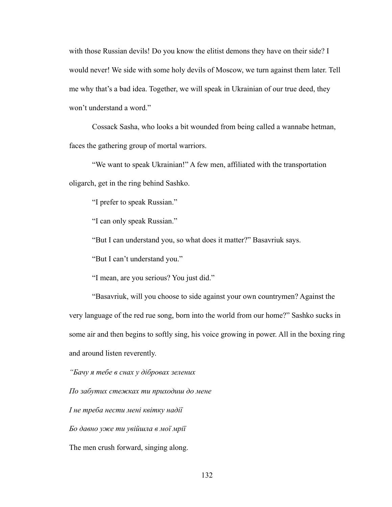with those Russian devils! Do you know the elitist demons they have on their side? I would never! We side with some holy devils of Moscow, we turn against them later. Tell me why that's a bad idea. Together, we will speak in Ukrainian of our true deed, they won't understand a word."

 Cossack Sasha, who looks a bit wounded from being called a wannabe hetman, faces the gathering group of mortal warriors.

 "We want to speak Ukrainian!" A few men, affiliated with the transportation oligarch, get in the ring behind Sashko.

"I prefer to speak Russian."

"I can only speak Russian."

"But I can understand you, so what does it matter?" Basavriuk says.

"But I can't understand you."

"I mean, are you serious? You just did."

 "Basavriuk, will you choose to side against your own countrymen? Against the very language of the red rue song, born into the world from our home?" Sashko sucks in some air and then begins to softly sing, his voice growing in power. All in the boxing ring and around listen reverently.

*"Бачу я тебе в снах у дiбровах зелених*

*По забутих стежках ти приходиш до мене*

*I не треба нести менi квiтку надiї*

*Бо давно уже ти увiйшла в мої мрiї*

The men crush forward, singing along.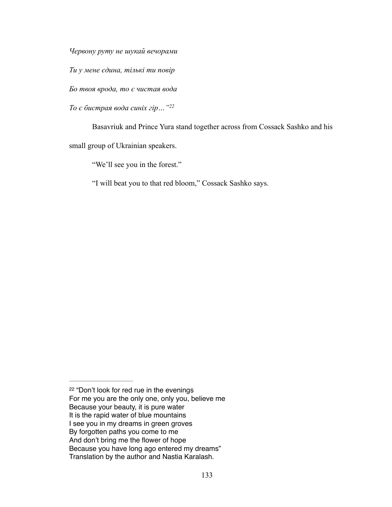*Червону руту не шукай вечорами*

*Ти у мене єдина, тiлькi ти повiр*

*Бо твоя врода, то є чистая вода*

*То є бистрая вода синiх гiр…"22*

Basavriuk and Prince Yura stand together across from Cossack Sashko and his

small group of Ukrainian speakers.

"We'll see you in the forest."

"I will beat you to that red bloom," Cossack Sashko says.

<sup>&</sup>lt;sup>22</sup> "Don't look for red rue in the evenings For me you are the only one, only you, believe me Because your beauty, it is pure water It is the rapid water of blue mountains I see you in my dreams in green groves By forgotten paths you come to me And don't bring me the flower of hope Because you have long ago entered my dreams" Translation by the author and Nastia Karalash.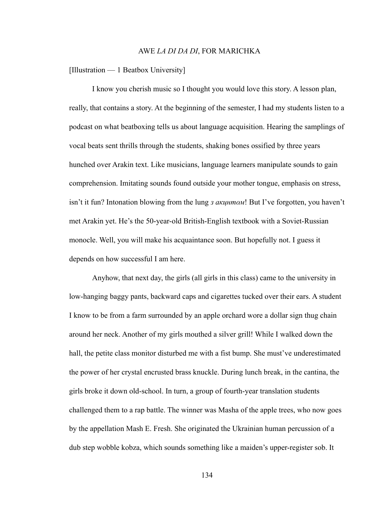## AWE *LA DI DA DI*, FOR MARICHKA

## [Illustration — 1 Beatbox University]

 I know you cherish music so I thought you would love this story. A lesson plan, really, that contains a story. At the beginning of the semester, I had my students listen to a podcast on what beatboxing tells us about language acquisition. Hearing the samplings of vocal beats sent thrills through the students, shaking bones ossified by three years hunched over Arakin text. Like musicians, language learners manipulate sounds to gain comprehension. Imitating sounds found outside your mother tongue, emphasis on stress, isn't it fun? Intonation blowing from the lung *з акцнтом*! But I've forgotten, you haven't met Arakin yet. He's the 50-year-old British-English textbook with a Soviet-Russian monocle. Well, you will make his acquaintance soon. But hopefully not. I guess it depends on how successful I am here.

 Anyhow, that next day, the girls (all girls in this class) came to the university in low-hanging baggy pants, backward caps and cigarettes tucked over their ears. A student I know to be from a farm surrounded by an apple orchard wore a dollar sign thug chain around her neck. Another of my girls mouthed a silver grill! While I walked down the hall, the petite class monitor disturbed me with a fist bump. She must've underestimated the power of her crystal encrusted brass knuckle. During lunch break, in the cantina, the girls broke it down old-school. In turn, a group of fourth-year translation students challenged them to a rap battle. The winner was Masha of the apple trees, who now goes by the appellation Mash E. Fresh. She originated the Ukrainian human percussion of a dub step wobble kobza, which sounds something like a maiden's upper-register sob. It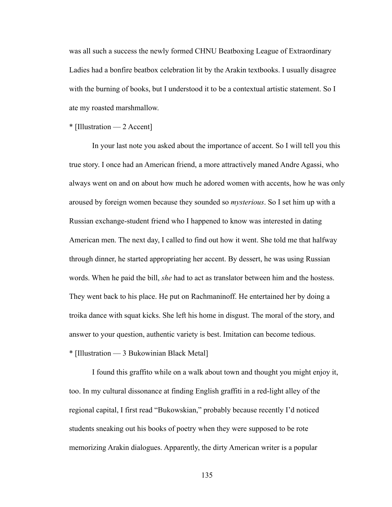was all such a success the newly formed CHNU Beatboxing League of Extraordinary Ladies had a bonfire beatbox celebration lit by the Arakin textbooks. I usually disagree with the burning of books, but I understood it to be a contextual artistic statement. So I ate my roasted marshmallow.

\* [Illustration — 2 Accent]

 In your last note you asked about the importance of accent. So I will tell you this true story. I once had an American friend, a more attractively maned Andre Agassi, who always went on and on about how much he adored women with accents, how he was only aroused by foreign women because they sounded so *mysterious*. So I set him up with a Russian exchange-student friend who I happened to know was interested in dating American men. The next day, I called to find out how it went. She told me that halfway through dinner, he started appropriating her accent. By dessert, he was using Russian words. When he paid the bill, *she* had to act as translator between him and the hostess. They went back to his place. He put on Rachmaninoff. He entertained her by doing a troika dance with squat kicks. She left his home in disgust. The moral of the story, and answer to your question, authentic variety is best. Imitation can become tedious.

\* [Illustration — 3 Bukowinian Black Metal]

 I found this graffito while on a walk about town and thought you might enjoy it, too. In my cultural dissonance at finding English graffiti in a red-light alley of the regional capital, I first read "Bukowskian," probably because recently I'd noticed students sneaking out his books of poetry when they were supposed to be rote memorizing Arakin dialogues. Apparently, the dirty American writer is a popular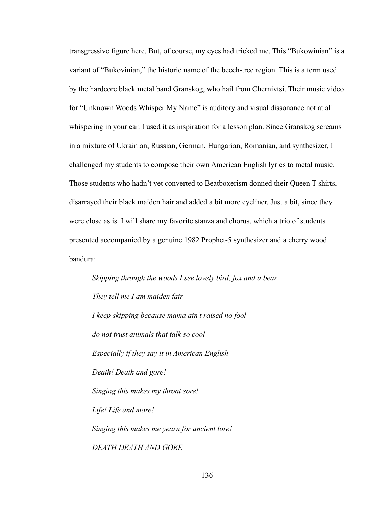transgressive figure here. But, of course, my eyes had tricked me. This "Bukowinian" is a variant of "Bukovinian," the historic name of the beech-tree region. This is a term used by the hardcore black metal band Granskog, who hail from Chernivtsi. Their music video for "Unknown Woods Whisper My Name" is auditory and visual dissonance not at all whispering in your ear. I used it as inspiration for a lesson plan. Since Granskog screams in a mixture of Ukrainian, Russian, German, Hungarian, Romanian, and synthesizer, I challenged my students to compose their own American English lyrics to metal music. Those students who hadn't yet converted to Beatboxerism donned their Queen T-shirts, disarrayed their black maiden hair and added a bit more eyeliner. Just a bit, since they were close as is. I will share my favorite stanza and chorus, which a trio of students presented accompanied by a genuine 1982 Prophet-5 synthesizer and a cherry wood bandura:

*Skipping through the woods I see lovely bird, fox and a bear They tell me I am maiden fair I keep skipping because mama ain't raised no fool do not trust animals that talk so cool Especially if they say it in American English Death! Death and gore! Singing this makes my throat sore! Life! Life and more! Singing this makes me yearn for ancient lore! DEATH DEATH AND GORE*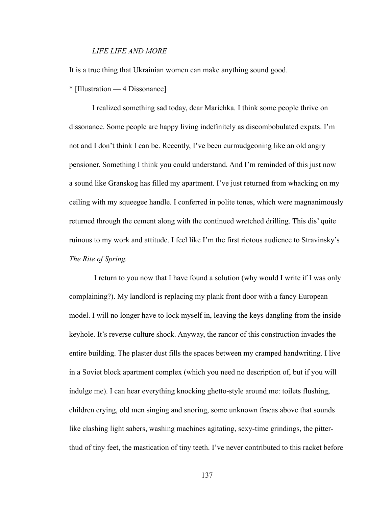#### *LIFE LIFE AND MORE*

It is a true thing that Ukrainian women can make anything sound good.

#### \* [Illustration — 4 Dissonance]

 I realized something sad today, dear Marichka. I think some people thrive on dissonance. Some people are happy living indefinitely as discombobulated expats. I'm not and I don't think I can be. Recently, I've been curmudgeoning like an old angry pensioner. Something I think you could understand. And I'm reminded of this just now a sound like Granskog has filled my apartment. I've just returned from whacking on my ceiling with my squeegee handle. I conferred in polite tones, which were magnanimously returned through the cement along with the continued wretched drilling. This dis' quite ruinous to my work and attitude. I feel like I'm the first riotous audience to Stravinsky's *The Rite of Spring.* 

 I return to you now that I have found a solution (why would I write if I was only complaining?). My landlord is replacing my plank front door with a fancy European model. I will no longer have to lock myself in, leaving the keys dangling from the inside keyhole. It's reverse culture shock. Anyway, the rancor of this construction invades the entire building. The plaster dust fills the spaces between my cramped handwriting. I live in a Soviet block apartment complex (which you need no description of, but if you will indulge me). I can hear everything knocking ghetto-style around me: toilets flushing, children crying, old men singing and snoring, some unknown fracas above that sounds like clashing light sabers, washing machines agitating, sexy-time grindings, the pitterthud of tiny feet, the mastication of tiny teeth. I've never contributed to this racket before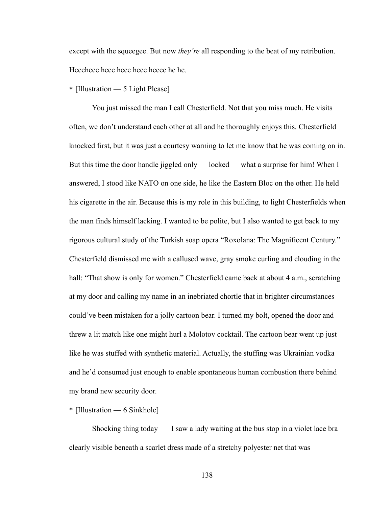except with the squeegee. But now *they're* all responding to the beat of my retribution. Heeeheee heee heee heee heeee he he.

#### \* [Illustration — 5 Light Please]

 You just missed the man I call Chesterfield. Not that you miss much. He visits often, we don't understand each other at all and he thoroughly enjoys this. Chesterfield knocked first, but it was just a courtesy warning to let me know that he was coming on in. But this time the door handle jiggled only — locked — what a surprise for him! When I answered, I stood like NATO on one side, he like the Eastern Bloc on the other. He held his cigarette in the air. Because this is my role in this building, to light Chesterfields when the man finds himself lacking. I wanted to be polite, but I also wanted to get back to my rigorous cultural study of the Turkish soap opera "Roxolana: The Magnificent Century." Chesterfield dismissed me with a callused wave, gray smoke curling and clouding in the hall: "That show is only for women." Chesterfield came back at about 4 a.m., scratching at my door and calling my name in an inebriated chortle that in brighter circumstances could've been mistaken for a jolly cartoon bear. I turned my bolt, opened the door and threw a lit match like one might hurl a Molotov cocktail. The cartoon bear went up just like he was stuffed with synthetic material. Actually, the stuffing was Ukrainian vodka and he'd consumed just enough to enable spontaneous human combustion there behind my brand new security door.

\* [Illustration — 6 Sinkhole]

 Shocking thing today — I saw a lady waiting at the bus stop in a violet lace bra clearly visible beneath a scarlet dress made of a stretchy polyester net that was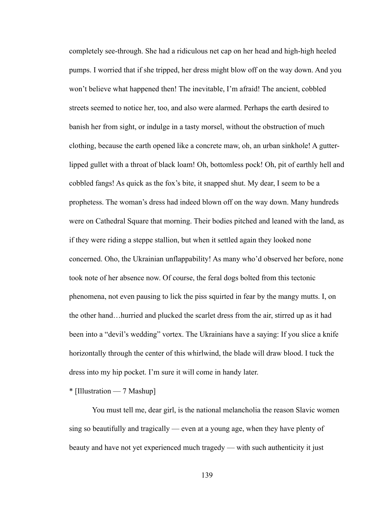completely see-through. She had a ridiculous net cap on her head and high-high heeled pumps. I worried that if she tripped, her dress might blow off on the way down. And you won't believe what happened then! The inevitable, I'm afraid! The ancient, cobbled streets seemed to notice her, too, and also were alarmed. Perhaps the earth desired to banish her from sight, or indulge in a tasty morsel, without the obstruction of much clothing, because the earth opened like a concrete maw, oh, an urban sinkhole! A gutterlipped gullet with a throat of black loam! Oh, bottomless pock! Oh, pit of earthly hell and cobbled fangs! As quick as the fox's bite, it snapped shut. My dear, I seem to be a prophetess. The woman's dress had indeed blown off on the way down. Many hundreds were on Cathedral Square that morning. Their bodies pitched and leaned with the land, as if they were riding a steppe stallion, but when it settled again they looked none concerned. Oho, the Ukrainian unflappability! As many who'd observed her before, none took note of her absence now. Of course, the feral dogs bolted from this tectonic phenomena, not even pausing to lick the piss squirted in fear by the mangy mutts. I, on the other hand…hurried and plucked the scarlet dress from the air, stirred up as it had been into a "devil's wedding" vortex. The Ukrainians have a saying: If you slice a knife horizontally through the center of this whirlwind, the blade will draw blood. I tuck the dress into my hip pocket. I'm sure it will come in handy later.

#### \* [Illustration — 7 Mashup]

 You must tell me, dear girl, is the national melancholia the reason Slavic women sing so beautifully and tragically — even at a young age, when they have plenty of beauty and have not yet experienced much tragedy — with such authenticity it just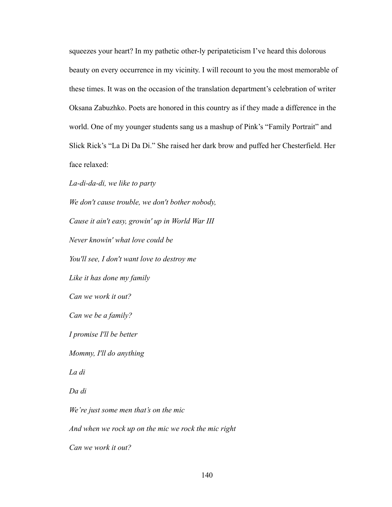squeezes your heart? In my pathetic other-ly peripateticism I've heard this dolorous beauty on every occurrence in my vicinity. I will recount to you the most memorable of these times. It was on the occasion of the translation department's celebration of writer Oksana Zabuzhko. Poets are honored in this country as if they made a difference in the world. One of my younger students sang us a mashup of Pink's "Family Portrait" and Slick Rick's "La Di Da Di." She raised her dark brow and puffed her Chesterfield. Her face relaxed:

*La-di-da-di, we like to party* 

*We don't cause trouble, we don't bother nobody,*

*Cause it ain't easy, growin' up in World War III* 

*Never knowin' what love could be* 

*You'll see, I don't want love to destroy me* 

*Like it has done my family* 

*Can we work it out?* 

*Can we be a family?* 

*I promise I'll be better* 

*Mommy, I'll do anything*

*La di* 

*Da di* 

*We're just some men that's on the mic* 

*And when we rock up on the mic we rock the mic right*

*Can we work it out?*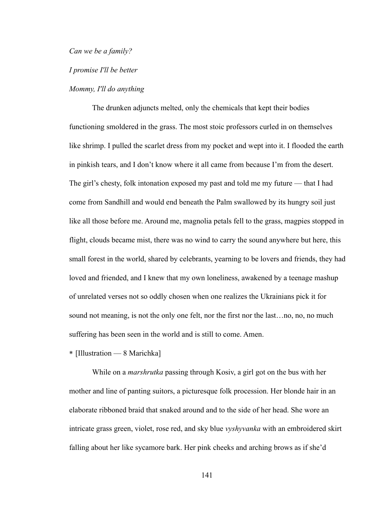*Can we be a family?* 

#### *I promise I'll be better*

#### *Mommy, I'll do anything*

The drunken adjuncts melted, only the chemicals that kept their bodies functioning smoldered in the grass. The most stoic professors curled in on themselves like shrimp. I pulled the scarlet dress from my pocket and wept into it. I flooded the earth in pinkish tears, and I don't know where it all came from because I'm from the desert. The girl's chesty, folk intonation exposed my past and told me my future — that I had come from Sandhill and would end beneath the Palm swallowed by its hungry soil just like all those before me. Around me, magnolia petals fell to the grass, magpies stopped in flight, clouds became mist, there was no wind to carry the sound anywhere but here, this small forest in the world, shared by celebrants, yearning to be lovers and friends, they had loved and friended, and I knew that my own loneliness, awakened by a teenage mashup of unrelated verses not so oddly chosen when one realizes the Ukrainians pick it for sound not meaning, is not the only one felt, nor the first nor the last…no, no, no much suffering has been seen in the world and is still to come. Amen.

\* [Illustration — 8 Marichka]

 While on a *marshrutka* passing through Kosiv, a girl got on the bus with her mother and line of panting suitors, a picturesque folk procession. Her blonde hair in an elaborate ribboned braid that snaked around and to the side of her head. She wore an intricate grass green, violet, rose red, and sky blue *vyshyvanka* with an embroidered skirt falling about her like sycamore bark. Her pink cheeks and arching brows as if she'd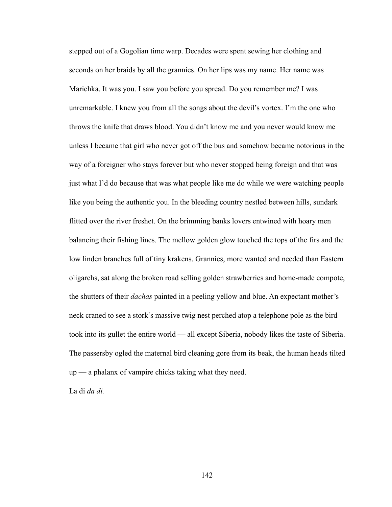stepped out of a Gogolian time warp. Decades were spent sewing her clothing and seconds on her braids by all the grannies. On her lips was my name. Her name was Marichka. It was you. I saw you before you spread. Do you remember me? I was unremarkable. I knew you from all the songs about the devil's vortex. I'm the one who throws the knife that draws blood. You didn't know me and you never would know me unless I became that girl who never got off the bus and somehow became notorious in the way of a foreigner who stays forever but who never stopped being foreign and that was just what I'd do because that was what people like me do while we were watching people like you being the authentic you. In the bleeding country nestled between hills, sundark flitted over the river freshet. On the brimming banks lovers entwined with hoary men balancing their fishing lines. The mellow golden glow touched the tops of the firs and the low linden branches full of tiny krakens. Grannies, more wanted and needed than Eastern oligarchs, sat along the broken road selling golden strawberries and home-made compote, the shutters of their *dachas* painted in a peeling yellow and blue. An expectant mother's neck craned to see a stork's massive twig nest perched atop a telephone pole as the bird took into its gullet the entire world — all except Siberia, nobody likes the taste of Siberia. The passersby ogled the maternal bird cleaning gore from its beak, the human heads tilted up — a phalanx of vampire chicks taking what they need.

La di *da di.*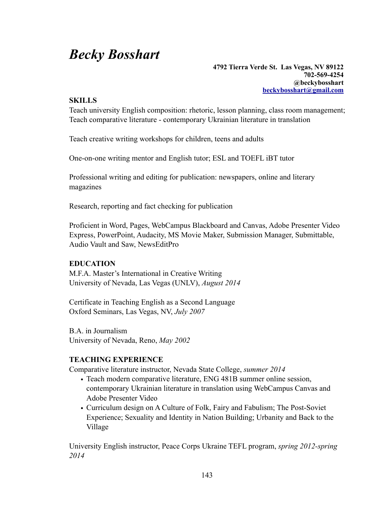# *Becky Bosshart*

**4792 Tierra Verde St. Las Vegas, NV 89122 702-569-4254 @beckybosshart [beckybosshart@gmail.com](mailto:beckybosshart@gmail.com)**

#### **SKILLS**

Teach university English composition: rhetoric, lesson planning, class room management; Teach comparative literature - contemporary Ukrainian literature in translation

Teach creative writing workshops for children, teens and adults

One-on-one writing mentor and English tutor; ESL and TOEFL iBT tutor

Professional writing and editing for publication: newspapers, online and literary magazines

Research, reporting and fact checking for publication

Proficient in Word, Pages, WebCampus Blackboard and Canvas, Adobe Presenter Video Express, PowerPoint, Audacity, MS Movie Maker, Submission Manager, Submittable, Audio Vault and Saw, NewsEditPro

## **EDUCATION**

M.F.A. Master's International in Creative Writing University of Nevada, Las Vegas (UNLV), *August 2014*

Certificate in Teaching English as a Second Language Oxford Seminars, Las Vegas, NV, *July 2007*

B.A. in Journalism University of Nevada, Reno, *May 2002*

## **TEACHING EXPERIENCE**

Comparative literature instructor, Nevada State College, *summer 2014* 

- Teach modern comparative literature, ENG 481B summer online session, contemporary Ukrainian literature in translation using WebCampus Canvas and Adobe Presenter Video
- Curriculum design on A Culture of Folk, Fairy and Fabulism; The Post-Soviet Experience; Sexuality and Identity in Nation Building; Urbanity and Back to the Village

University English instructor, Peace Corps Ukraine TEFL program, *spring 2012-spring 2014*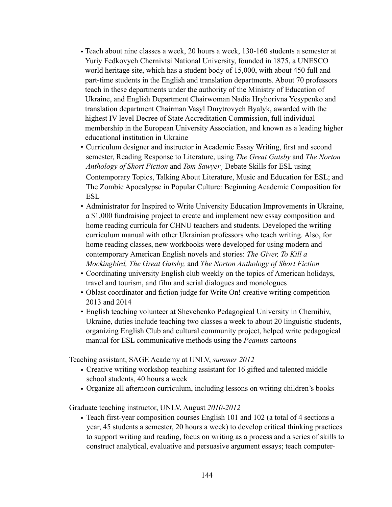- Teach about nine classes a week, 20 hours a week, 130-160 students a semester at Yuriy Fedkovych Chernivtsi National University, founded in 1875, a UNESCO world heritage site, which has a student body of 15,000, with about 450 full and part-time students in the English and translation departments. About 70 professors teach in these departments under the authority of the Ministry of Education of Ukraine, and English Department Chairwoman Nadia Hryhorivna Yesypenko and translation department Chairman Vasyl Dmytrovych Byalyk, awarded with the highest IV level Decree of State Accreditation Commission, full individual membership in the European University Association, and known as a leading higher educational institution in Ukraine
- Curriculum designer and instructor in Academic Essay Writing, first and second semester, Reading Response to Literature, using *The Great Gatsby* and *The Norton Anthology of Short Fiction* and *Tom Sawyer;* Debate Skills for ESL using Contemporary Topics, Talking About Literature, Music and Education for ESL; and The Zombie Apocalypse in Popular Culture: Beginning Academic Composition for ESL
- Administrator for Inspired to Write University Education Improvements in Ukraine, a \$1,000 fundraising project to create and implement new essay composition and home reading curricula for CHNU teachers and students. Developed the writing curriculum manual with other Ukrainian professors who teach writing. Also, for home reading classes, new workbooks were developed for using modern and contemporary American English novels and stories: *The Giver, To Kill a Mockingbird, The Great Gatsby,* and *The Norton Anthology of Short Fiction*
- Coordinating university English club weekly on the topics of American holidays, travel and tourism, and film and serial dialogues and monologues
- Oblast coordinator and fiction judge for Write On! creative writing competition 2013 and 2014
- English teaching volunteer at Shevchenko Pedagogical University in Chernihiv, Ukraine, duties include teaching two classes a week to about 20 linguistic students, organizing English Club and cultural community project, helped write pedagogical manual for ESL communicative methods using the *Peanuts* cartoons

Teaching assistant, SAGE Academy at UNLV, *summer 2012*

- Creative writing workshop teaching assistant for 16 gifted and talented middle school students, 40 hours a week
- Organize all afternoon curriculum, including lessons on writing children's books

Graduate teaching instructor, UNLV, August *2010-2012*

• Teach first-year composition courses English 101 and 102 (a total of 4 sections a year, 45 students a semester, 20 hours a week) to develop critical thinking practices to support writing and reading, focus on writing as a process and a series of skills to construct analytical, evaluative and persuasive argument essays; teach computer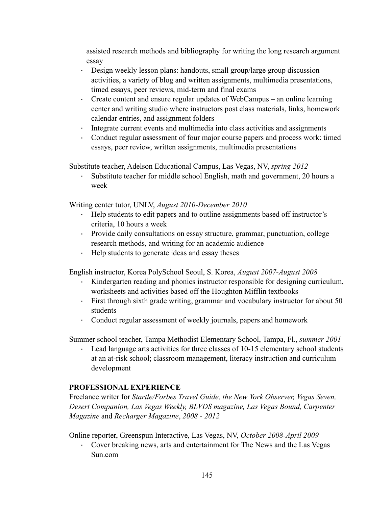assisted research methods and bibliography for writing the long research argument essay

- · Design weekly lesson plans: handouts, small group/large group discussion activities, a variety of blog and written assignments, multimedia presentations, timed essays, peer reviews, mid-term and final exams
- · Create content and ensure regular updates of WebCampus an online learning center and writing studio where instructors post class materials, links, homework calendar entries, and assignment folders
- · Integrate current events and multimedia into class activities and assignments
- · Conduct regular assessment of four major course papers and process work: timed essays, peer review, written assignments, multimedia presentations

Substitute teacher, Adelson Educational Campus, Las Vegas, NV, *spring 2012*

Substitute teacher for middle school English, math and government, 20 hours a week

Writing center tutor, UNLV, *August 2010-December 2010*

- · Help students to edit papers and to outline assignments based off instructor's criteria, 10 hours a week
- · Provide daily consultations on essay structure, grammar, punctuation, college research methods, and writing for an academic audience
- · Help students to generate ideas and essay theses

English instructor, Korea PolySchool Seoul, S. Korea, *August 2007-August 2008*

- · Kindergarten reading and phonics instructor responsible for designing curriculum, worksheets and activities based off the Houghton Mifflin textbooks
- · First through sixth grade writing, grammar and vocabulary instructor for about 50 students
- · Conduct regular assessment of weekly journals, papers and homework

Summer school teacher, Tampa Methodist Elementary School, Tampa, Fl., *summer 2001*

· Lead language arts activities for three classes of 10-15 elementary school students at an at-risk school; classroom management, literacy instruction and curriculum development

## **PROFESSIONAL EXPERIENCE**

Freelance writer for *Startle/Forbes Travel Guide, the New York Observer, Vegas Seven, Desert Companion, Las Vegas Weekly, BLVDS magazine, Las Vegas Bound, Carpenter Magazine* and *Recharger Magazine*, *2008 - 2012*

Online reporter, Greenspun Interactive, Las Vegas, NV, *October 2008-April 2009*

· Cover breaking news, arts and entertainment for The News and the Las Vegas Sun.com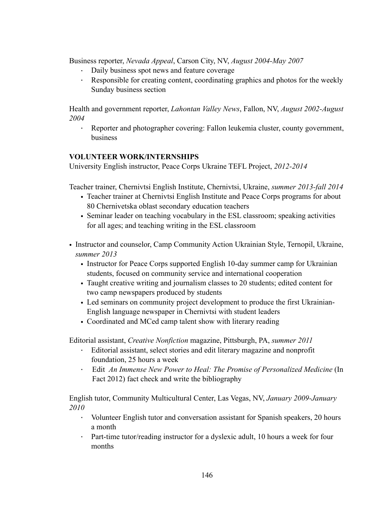Business reporter, *Nevada Appeal*, Carson City, NV, *August 2004-May 2007*

- · Daily business spot news and feature coverage
- · Responsible for creating content, coordinating graphics and photos for the weekly Sunday business section

Health and government reporter, *Lahontan Valley News*, Fallon, NV, *August 2002-August 2004*

· Reporter and photographer covering: Fallon leukemia cluster, county government, business

## **VOLUNTEER WORK/INTERNSHIPS**

University English instructor, Peace Corps Ukraine TEFL Project, *2012-2014*

Teacher trainer, Chernivtsi English Institute, Chernivtsi, Ukraine, *summer 2013-fall 2014* 

- Teacher trainer at Chernivtsi English Institute and Peace Corps programs for about 80 Chernivetska oblast secondary education teachers
- Seminar leader on teaching vocabulary in the ESL classroom; speaking activities for all ages; and teaching writing in the ESL classroom
- Instructor and counselor, Camp Community Action Ukrainian Style, Ternopil, Ukraine, *summer 2013*
	- Instructor for Peace Corps supported English 10-day summer camp for Ukrainian students, focused on community service and international cooperation
	- Taught creative writing and journalism classes to 20 students; edited content for two camp newspapers produced by students
	- Led seminars on community project development to produce the first Ukrainian-English language newspaper in Chernivtsi with student leaders
	- Coordinated and MCed camp talent show with literary reading

Editorial assistant, *Creative Nonfiction* magazine, Pittsburgh, PA, *summer 2011*

- · Editorial assistant, select stories and edit literary magazine and nonprofit foundation, 25 hours a week
- · Edit *An Immense New Power to Heal: The Promise of Personalized Medicine* (In Fact 2012) fact check and write the bibliography

English tutor, Community Multicultural Center, Las Vegas, NV, *January 2009-January 2010*

- · Volunteer English tutor and conversation assistant for Spanish speakers, 20 hours a month
- · Part-time tutor/reading instructor for a dyslexic adult, 10 hours a week for four months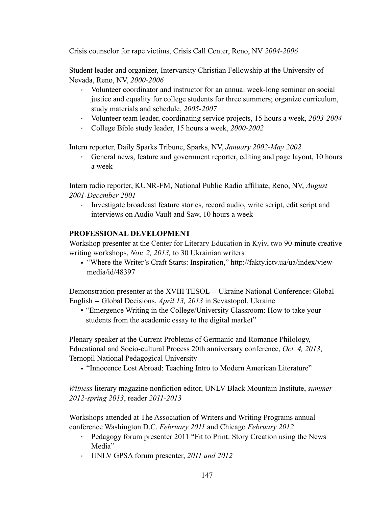Crisis counselor for rape victims, Crisis Call Center, Reno, NV *2004-2006*

Student leader and organizer, Intervarsity Christian Fellowship at the University of Nevada, Reno, NV, *2000-2006*

- · Volunteer coordinator and instructor for an annual week-long seminar on social justice and equality for college students for three summers; organize curriculum, study materials and schedule, *2005-2007*
- · Volunteer team leader, coordinating service projects, 15 hours a week, *2003-2004*
- · College Bible study leader, 15 hours a week, *2000-2002*

Intern reporter, Daily Sparks Tribune, Sparks, NV, *January 2002-May 2002*

· General news, feature and government reporter, editing and page layout, 10 hours a week

Intern radio reporter, KUNR-FM, National Public Radio affiliate, Reno, NV, *August 2001-December 2001* 

· Investigate broadcast feature stories, record audio, write script, edit script and interviews on Audio Vault and Saw, 10 hours a week

# **PROFESSIONAL DEVELOPMENT**

Workshop presenter at the Center for Literary Education in Kyiv, two 90-minute creative writing workshops, *Nov. 2, 2013,* to 30 Ukrainian writers

• ["Where the Writer's Craft Starts: Inspiration," http://fakty.ictv.ua/ua/index/view](http://fakty.ictv.ua/ua/index/view-media/id/48397)media/id/48397

Demonstration presenter at the XVIII TESOL -- Ukraine National Conference: Global English -- Global Decisions, *April 13, 2013* in Sevastopol, Ukraine

• "Emergence Writing in the College/University Classroom: How to take your students from the academic essay to the digital market"

Plenary speaker at the Current Problems of Germanic and Romance Philology, Educational and Socio-cultural Process 20th anniversary conference, *Oct. 4, 2013*, Ternopil National Pedagogical University

• "Innocence Lost Abroad: Teaching Intro to Modern American Literature"

*Witness* literary magazine nonfiction editor, UNLV Black Mountain Institute, *summer 2012-spring 2013*, reader *2011-2013*

Workshops attended at The Association of Writers and Writing Programs annual conference Washington D.C. *February 2011* and Chicago *February 2012*

- · Pedagogy forum presenter 2011 "Fit to Print: Story Creation using the News Media"
- · UNLV GPSA forum presenter, *2011 and 2012*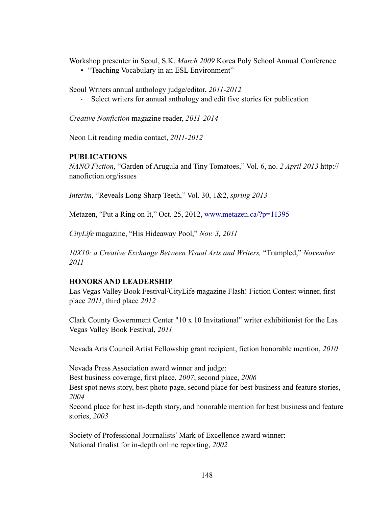Workshop presenter in Seoul, S.K. *March 2009* Korea Poly School Annual Conference

• "Teaching Vocabulary in an ESL Environment"

Seoul Writers annual anthology judge/editor, *2011-2012*

· Select writers for annual anthology and edit five stories for publication

*Creative Nonfiction* magazine reader, *2011-2014*

Neon Lit reading media contact, *2011-2012*

## **PUBLICATIONS**

*NANO Fiction*[, "Garden of Arugula and Tiny Tomatoes," Vol. 6, no.](http://nanofiction.org/issues) *2 April 2013* http:// nanofiction.org/issues

*Interim*, "Reveals Long Sharp Teeth," Vol. 30, 1&2, *spring 2013*

Metazen, "Put a Ring on It," Oct. 25, 2012, [www.metazen.ca/?p=11395](http://www.metazen.ca/?p=11395)

*CityLife* magazine, "His Hideaway Pool," *Nov. 3, 2011*

*10X10: a Creative Exchange Between Visual Arts and Writers,* "Trampled," *November 2011*

## **HONORS AND LEADERSHIP**

stories, *2003*

Las Vegas Valley Book Festival/CityLife magazine Flash! Fiction Contest winner, first place *2011*, third place *2012*

Clark County Government Center "10 x 10 Invitational" writer exhibitionist for the Las Vegas Valley Book Festival, *2011*

Nevada Arts Council Artist Fellowship grant recipient, fiction honorable mention, *2010*

Nevada Press Association award winner and judge: Best business coverage, first place, *2007*; second place, *2006* Best spot news story, best photo page, second place for best business and feature stories, *2004* Second place for best in-depth story, and honorable mention for best business and feature

Society of Professional Journalists' Mark of Excellence award winner: National finalist for in-depth online reporting, *2002*